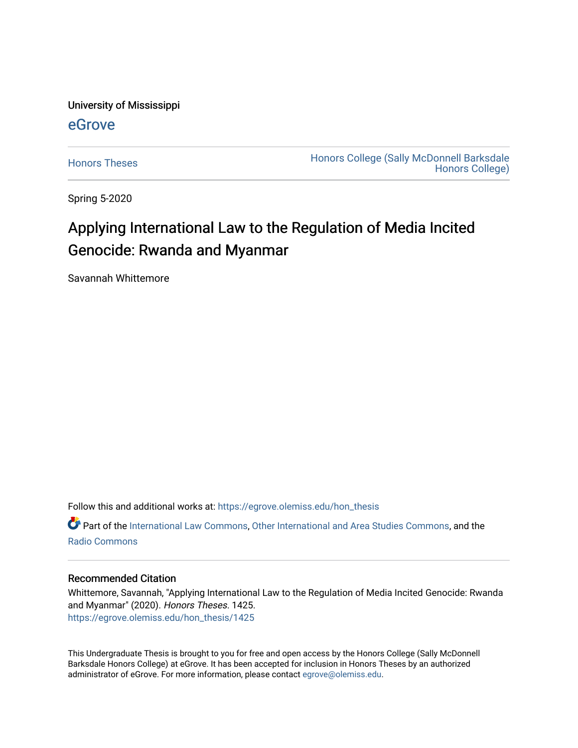University of Mississippi

# [eGrove](https://egrove.olemiss.edu/)

[Honors Theses](https://egrove.olemiss.edu/hon_thesis) **Honors College (Sally McDonnell Barksdale** [Honors College\)](https://egrove.olemiss.edu/honors) 

Spring 5-2020

# Applying International Law to the Regulation of Media Incited Genocide: Rwanda and Myanmar

Savannah Whittemore

Follow this and additional works at: [https://egrove.olemiss.edu/hon\\_thesis](https://egrove.olemiss.edu/hon_thesis?utm_source=egrove.olemiss.edu%2Fhon_thesis%2F1425&utm_medium=PDF&utm_campaign=PDFCoverPages) 

**P** Part of the [International Law Commons,](http://network.bepress.com/hgg/discipline/609?utm_source=egrove.olemiss.edu%2Fhon_thesis%2F1425&utm_medium=PDF&utm_campaign=PDFCoverPages) [Other International and Area Studies Commons](http://network.bepress.com/hgg/discipline/365?utm_source=egrove.olemiss.edu%2Fhon_thesis%2F1425&utm_medium=PDF&utm_campaign=PDFCoverPages), and the [Radio Commons](http://network.bepress.com/hgg/discipline/1144?utm_source=egrove.olemiss.edu%2Fhon_thesis%2F1425&utm_medium=PDF&utm_campaign=PDFCoverPages) 

# Recommended Citation

Whittemore, Savannah, "Applying International Law to the Regulation of Media Incited Genocide: Rwanda and Myanmar" (2020). Honors Theses. 1425. [https://egrove.olemiss.edu/hon\\_thesis/1425](https://egrove.olemiss.edu/hon_thesis/1425?utm_source=egrove.olemiss.edu%2Fhon_thesis%2F1425&utm_medium=PDF&utm_campaign=PDFCoverPages) 

This Undergraduate Thesis is brought to you for free and open access by the Honors College (Sally McDonnell Barksdale Honors College) at eGrove. It has been accepted for inclusion in Honors Theses by an authorized administrator of eGrove. For more information, please contact [egrove@olemiss.edu](mailto:egrove@olemiss.edu).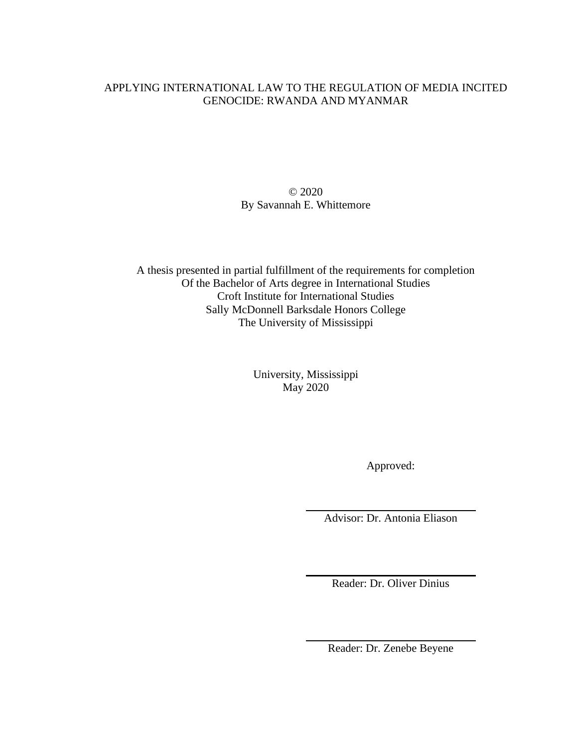# APPLYING INTERNATIONAL LAW TO THE REGULATION OF MEDIA INCITED GENOCIDE: RWANDA AND MYANMAR

© 2020 By Savannah E. Whittemore

A thesis presented in partial fulfillment of the requirements for completion Of the Bachelor of Arts degree in International Studies Croft Institute for International Studies Sally McDonnell Barksdale Honors College The University of Mississippi

> University, Mississippi May 2020

> > Approved:

Advisor: Dr. Antonia Eliason

Reader: Dr. Oliver Dinius

Reader: Dr. Zenebe Beyene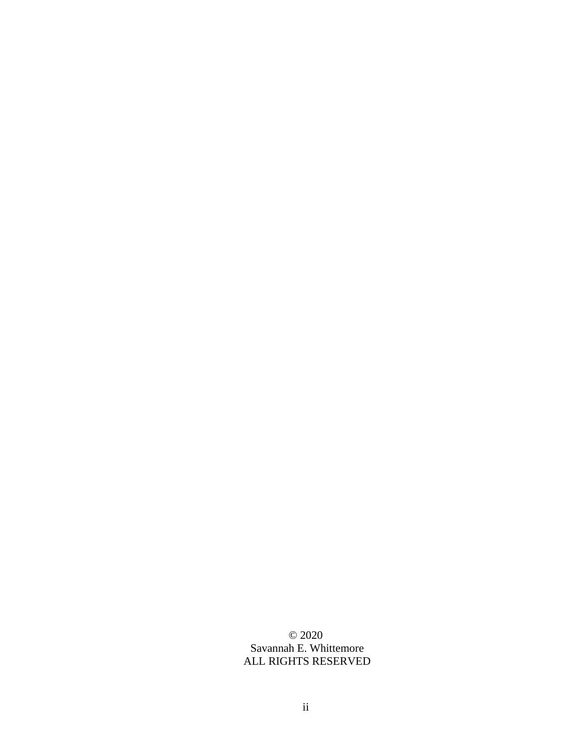© 2020 Savannah E. Whittemore ALL RIGHTS RESERVED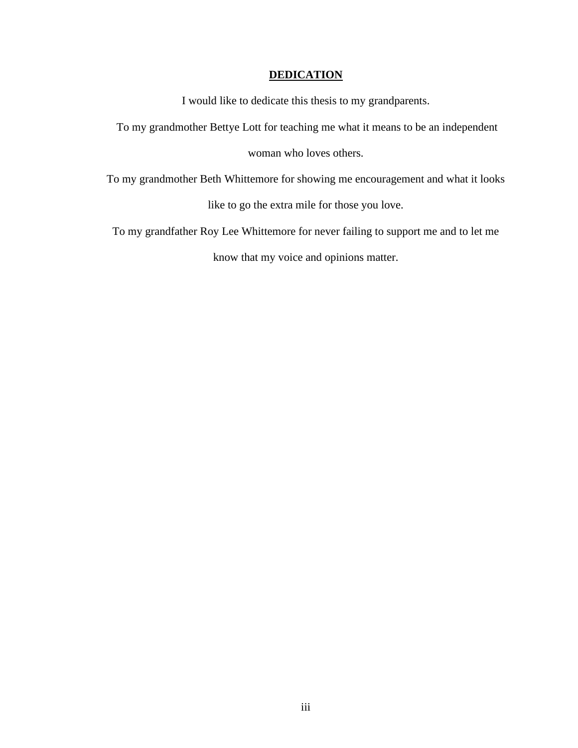# **DEDICATION**

I would like to dedicate this thesis to my grandparents.

To my grandmother Bettye Lott for teaching me what it means to be an independent

woman who loves others.

To my grandmother Beth Whittemore for showing me encouragement and what it looks

like to go the extra mile for those you love.

To my grandfather Roy Lee Whittemore for never failing to support me and to let me

know that my voice and opinions matter.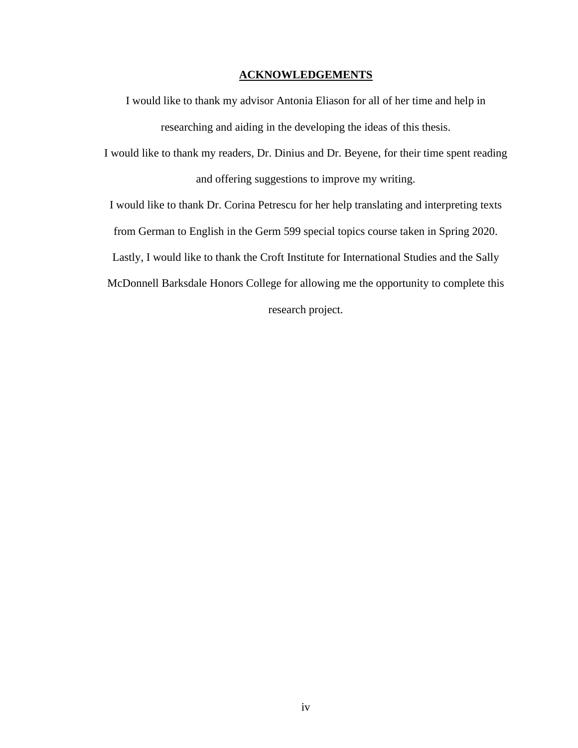### **ACKNOWLEDGEMENTS**

I would like to thank my advisor Antonia Eliason for all of her time and help in researching and aiding in the developing the ideas of this thesis.

I would like to thank my readers, Dr. Dinius and Dr. Beyene, for their time spent reading and offering suggestions to improve my writing.

I would like to thank Dr. Corina Petrescu for her help translating and interpreting texts

from German to English in the Germ 599 special topics course taken in Spring 2020.

Lastly, I would like to thank the Croft Institute for International Studies and the Sally

McDonnell Barksdale Honors College for allowing me the opportunity to complete this

research project.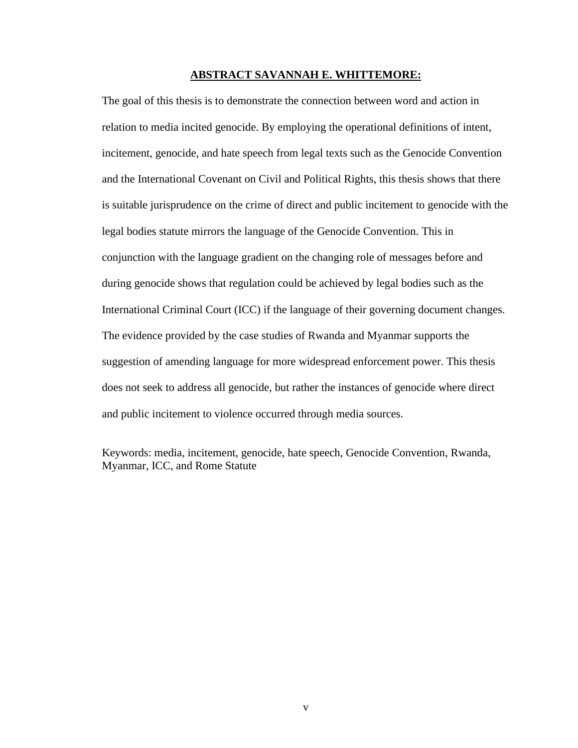#### **ABSTRACT SAVANNAH E. WHITTEMORE:**

The goal of this thesis is to demonstrate the connection between word and action in relation to media incited genocide. By employing the operational definitions of intent, incitement, genocide, and hate speech from legal texts such as the Genocide Convention and the International Covenant on Civil and Political Rights, this thesis shows that there is suitable jurisprudence on the crime of direct and public incitement to genocide with the legal bodies statute mirrors the language of the Genocide Convention. This in conjunction with the language gradient on the changing role of messages before and during genocide shows that regulation could be achieved by legal bodies such as the International Criminal Court (ICC) if the language of their governing document changes. The evidence provided by the case studies of Rwanda and Myanmar supports the suggestion of amending language for more widespread enforcement power. This thesis does not seek to address all genocide, but rather the instances of genocide where direct and public incitement to violence occurred through media sources.

Keywords: media, incitement, genocide, hate speech, Genocide Convention, Rwanda, Myanmar, ICC, and Rome Statute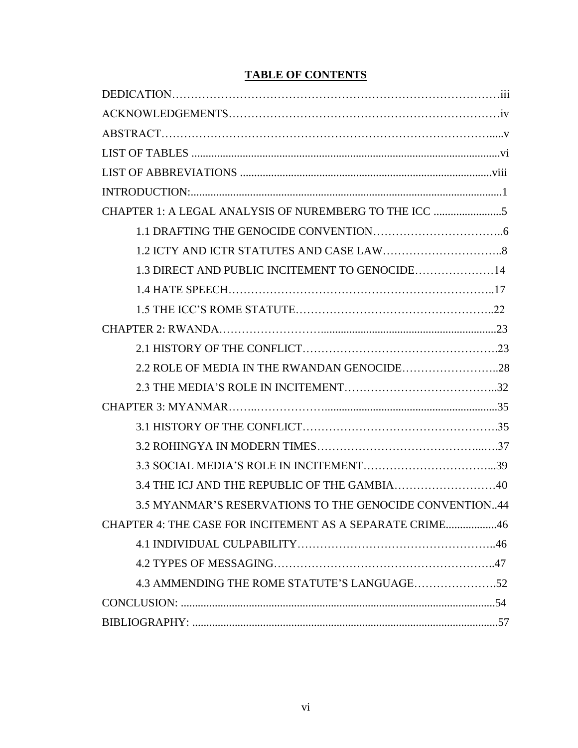# **TABLE OF CONTENTS**

| 1.3 DIRECT AND PUBLIC INCITEMENT TO GENOCIDE14           |
|----------------------------------------------------------|
|                                                          |
|                                                          |
|                                                          |
|                                                          |
| 2.2 ROLE OF MEDIA IN THE RWANDAN GENOCIDE28              |
|                                                          |
|                                                          |
|                                                          |
|                                                          |
|                                                          |
|                                                          |
| 3.5 MYANMAR'S RESERVATIONS TO THE GENOCIDE CONVENTION44  |
| CHAPTER 4: THE CASE FOR INCITEMENT AS A SEPARATE CRIME46 |
|                                                          |
|                                                          |
|                                                          |
|                                                          |
|                                                          |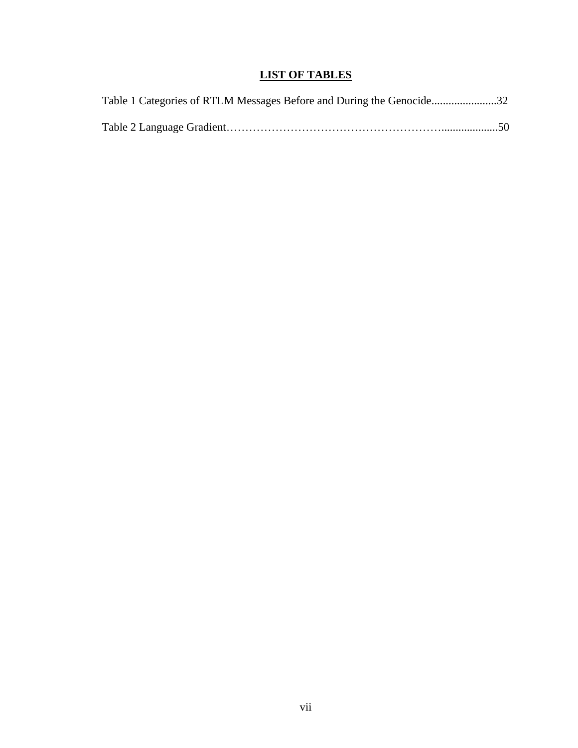# **LIST OF TABLES**

| Table 1 Categories of RTLM Messages Before and During the Genocide32 |  |
|----------------------------------------------------------------------|--|
|                                                                      |  |
|                                                                      |  |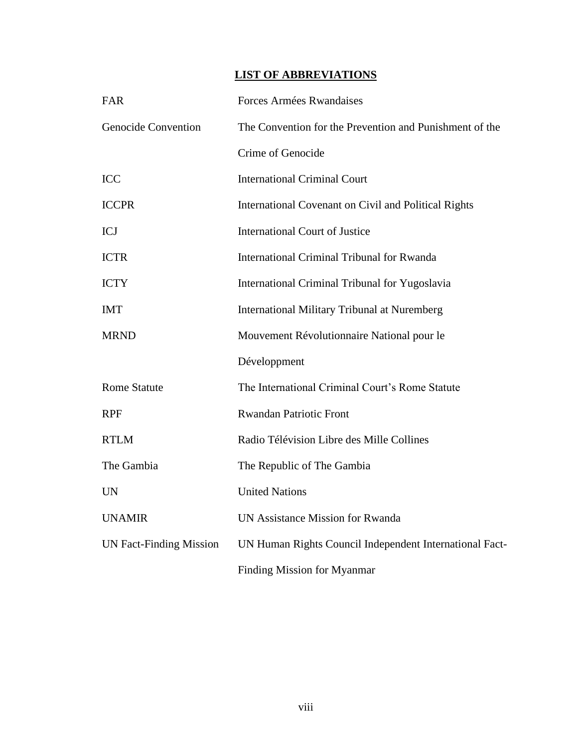# **LIST OF ABBREVIATIONS**

| FAR                            | Forces Armées Rwandaises                                |
|--------------------------------|---------------------------------------------------------|
| <b>Genocide Convention</b>     | The Convention for the Prevention and Punishment of the |
|                                | Crime of Genocide                                       |
| <b>ICC</b>                     | <b>International Criminal Court</b>                     |
| <b>ICCPR</b>                   | International Covenant on Civil and Political Rights    |
| <b>ICJ</b>                     | <b>International Court of Justice</b>                   |
| <b>ICTR</b>                    | <b>International Criminal Tribunal for Rwanda</b>       |
| <b>ICTY</b>                    | International Criminal Tribunal for Yugoslavia          |
| <b>IMT</b>                     | <b>International Military Tribunal at Nuremberg</b>     |
| <b>MRND</b>                    | Mouvement Révolutionnaire National pour le              |
|                                | Développment                                            |
| <b>Rome Statute</b>            | The International Criminal Court's Rome Statute         |
| <b>RPF</b>                     | <b>Rwandan Patriotic Front</b>                          |
| <b>RTLM</b>                    | Radio Télévision Libre des Mille Collines               |
| The Gambia                     | The Republic of The Gambia                              |
| <b>UN</b>                      | <b>United Nations</b>                                   |
| <b>UNAMIR</b>                  | <b>UN Assistance Mission for Rwanda</b>                 |
| <b>UN Fact-Finding Mission</b> | UN Human Rights Council Independent International Fact- |
|                                | Finding Mission for Myanmar                             |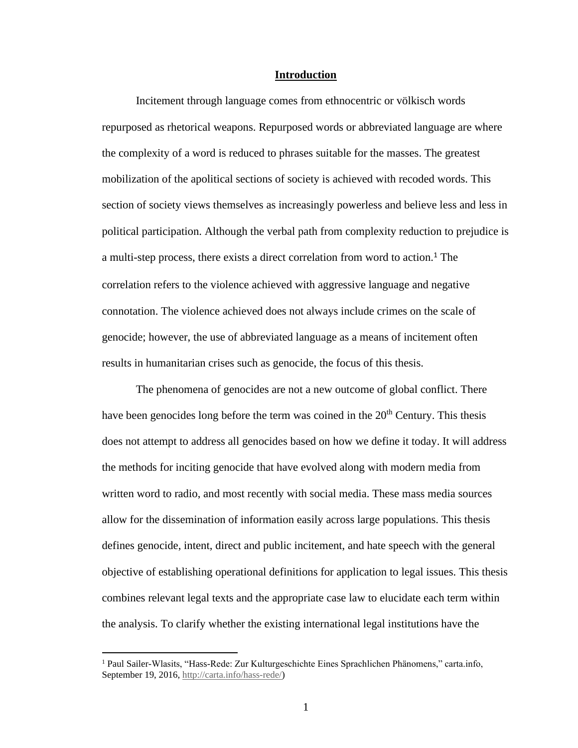#### **Introduction**

Incitement through language comes from ethnocentric or völkisch words repurposed as rhetorical weapons. Repurposed words or abbreviated language are where the complexity of a word is reduced to phrases suitable for the masses. The greatest mobilization of the apolitical sections of society is achieved with recoded words. This section of society views themselves as increasingly powerless and believe less and less in political participation. Although the verbal path from complexity reduction to prejudice is a multi-step process, there exists a direct correlation from word to action.<sup>1</sup> The correlation refers to the violence achieved with aggressive language and negative connotation. The violence achieved does not always include crimes on the scale of genocide; however, the use of abbreviated language as a means of incitement often results in humanitarian crises such as genocide, the focus of this thesis.

The phenomena of genocides are not a new outcome of global conflict. There have been genocides long before the term was coined in the 20<sup>th</sup> Century. This thesis does not attempt to address all genocides based on how we define it today. It will address the methods for inciting genocide that have evolved along with modern media from written word to radio, and most recently with social media. These mass media sources allow for the dissemination of information easily across large populations. This thesis defines genocide, intent, direct and public incitement, and hate speech with the general objective of establishing operational definitions for application to legal issues. This thesis combines relevant legal texts and the appropriate case law to elucidate each term within the analysis. To clarify whether the existing international legal institutions have the

<sup>1</sup> Paul Sailer-Wlasits, "Hass-Rede: Zur Kulturgeschichte Eines Sprachlichen Phänomens," carta.info, September 19, 2016, [http://carta.info/hass-rede/\)](http://carta.info/hass-rede/)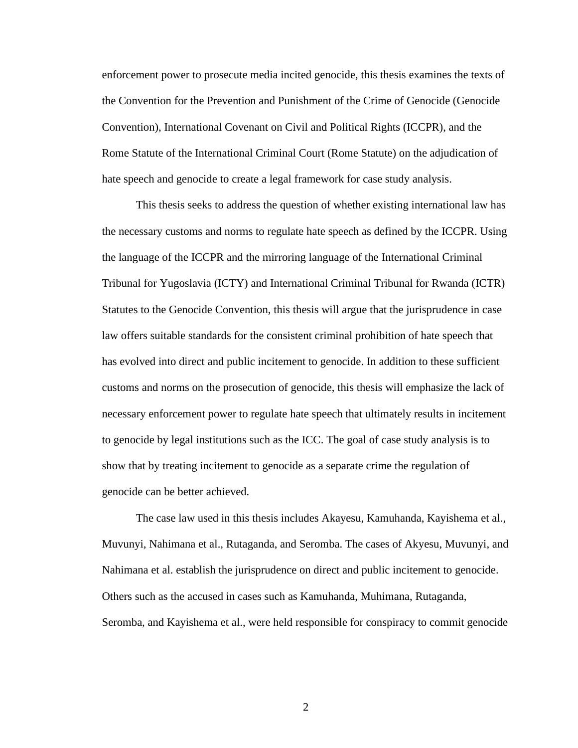enforcement power to prosecute media incited genocide, this thesis examines the texts of the Convention for the Prevention and Punishment of the Crime of Genocide (Genocide Convention), International Covenant on Civil and Political Rights (ICCPR), and the Rome Statute of the International Criminal Court (Rome Statute) on the adjudication of hate speech and genocide to create a legal framework for case study analysis.

This thesis seeks to address the question of whether existing international law has the necessary customs and norms to regulate hate speech as defined by the ICCPR. Using the language of the ICCPR and the mirroring language of the International Criminal Tribunal for Yugoslavia (ICTY) and International Criminal Tribunal for Rwanda (ICTR) Statutes to the Genocide Convention, this thesis will argue that the jurisprudence in case law offers suitable standards for the consistent criminal prohibition of hate speech that has evolved into direct and public incitement to genocide. In addition to these sufficient customs and norms on the prosecution of genocide, this thesis will emphasize the lack of necessary enforcement power to regulate hate speech that ultimately results in incitement to genocide by legal institutions such as the ICC. The goal of case study analysis is to show that by treating incitement to genocide as a separate crime the regulation of genocide can be better achieved.

The case law used in this thesis includes Akayesu, Kamuhanda, Kayishema et al., Muvunyi, Nahimana et al., Rutaganda, and Seromba. The cases of Akyesu, Muvunyi, and Nahimana et al. establish the jurisprudence on direct and public incitement to genocide. Others such as the accused in cases such as Kamuhanda, Muhimana, Rutaganda, Seromba, and Kayishema et al., were held responsible for conspiracy to commit genocide

2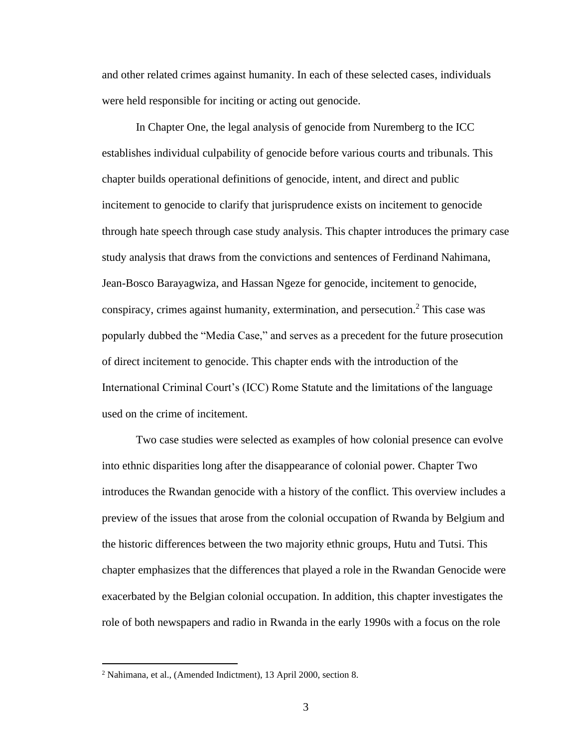and other related crimes against humanity. In each of these selected cases, individuals were held responsible for inciting or acting out genocide.

In Chapter One, the legal analysis of genocide from Nuremberg to the ICC establishes individual culpability of genocide before various courts and tribunals. This chapter builds operational definitions of genocide, intent, and direct and public incitement to genocide to clarify that jurisprudence exists on incitement to genocide through hate speech through case study analysis. This chapter introduces the primary case study analysis that draws from the convictions and sentences of Ferdinand Nahimana, Jean-Bosco Barayagwiza, and Hassan Ngeze for genocide, incitement to genocide, conspiracy, crimes against humanity, extermination, and persecution.<sup>2</sup> This case was popularly dubbed the "Media Case," and serves as a precedent for the future prosecution of direct incitement to genocide. This chapter ends with the introduction of the International Criminal Court's (ICC) Rome Statute and the limitations of the language used on the crime of incitement.

Two case studies were selected as examples of how colonial presence can evolve into ethnic disparities long after the disappearance of colonial power. Chapter Two introduces the Rwandan genocide with a history of the conflict. This overview includes a preview of the issues that arose from the colonial occupation of Rwanda by Belgium and the historic differences between the two majority ethnic groups, Hutu and Tutsi. This chapter emphasizes that the differences that played a role in the Rwandan Genocide were exacerbated by the Belgian colonial occupation. In addition, this chapter investigates the role of both newspapers and radio in Rwanda in the early 1990s with a focus on the role

<sup>2</sup> Nahimana, et al., (Amended Indictment), 13 April 2000, section 8.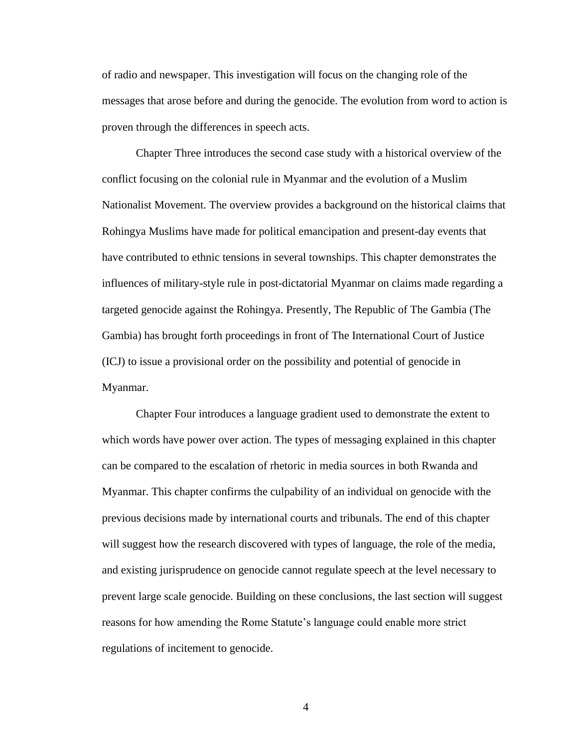of radio and newspaper. This investigation will focus on the changing role of the messages that arose before and during the genocide. The evolution from word to action is proven through the differences in speech acts.

Chapter Three introduces the second case study with a historical overview of the conflict focusing on the colonial rule in Myanmar and the evolution of a Muslim Nationalist Movement. The overview provides a background on the historical claims that Rohingya Muslims have made for political emancipation and present-day events that have contributed to ethnic tensions in several townships. This chapter demonstrates the influences of military-style rule in post-dictatorial Myanmar on claims made regarding a targeted genocide against the Rohingya. Presently, The Republic of The Gambia (The Gambia) has brought forth proceedings in front of The International Court of Justice (ICJ) to issue a provisional order on the possibility and potential of genocide in Myanmar.

Chapter Four introduces a language gradient used to demonstrate the extent to which words have power over action. The types of messaging explained in this chapter can be compared to the escalation of rhetoric in media sources in both Rwanda and Myanmar. This chapter confirms the culpability of an individual on genocide with the previous decisions made by international courts and tribunals. The end of this chapter will suggest how the research discovered with types of language, the role of the media, and existing jurisprudence on genocide cannot regulate speech at the level necessary to prevent large scale genocide. Building on these conclusions, the last section will suggest reasons for how amending the Rome Statute's language could enable more strict regulations of incitement to genocide.

4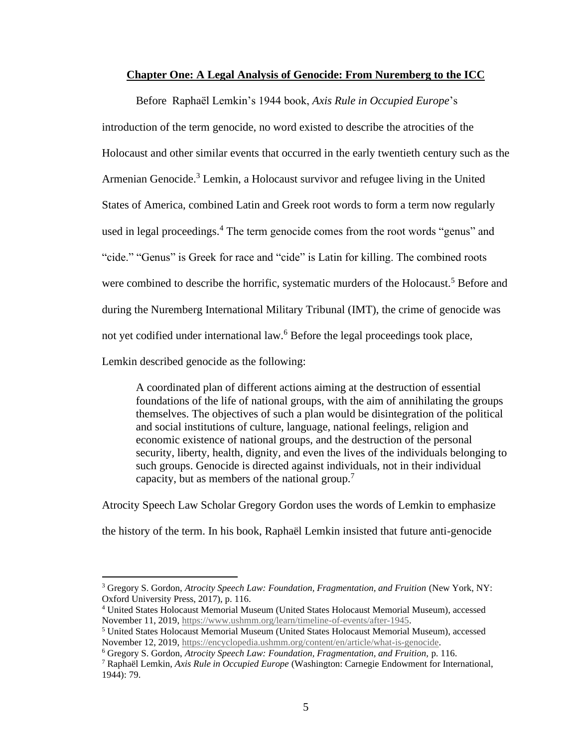### **Chapter One: A Legal Analysis of Genocide: From Nuremberg to the ICC**

Before Raphaël Lemkin's 1944 book, *Axis Rule in Occupied Europe*'s introduction of the term genocide, no word existed to describe the atrocities of the Holocaust and other similar events that occurred in the early twentieth century such as the Armenian Genocide. <sup>3</sup> Lemkin, a Holocaust survivor and refugee living in the United States of America, combined Latin and Greek root words to form a term now regularly used in legal proceedings.<sup>4</sup> The term genocide comes from the root words "genus" and "cide." "Genus" is Greek for race and "cide" is Latin for killing. The combined roots were combined to describe the horrific, systematic murders of the Holocaust.<sup>5</sup> Before and during the Nuremberg International Military Tribunal (IMT), the crime of genocide was not yet codified under international law.<sup>6</sup> Before the legal proceedings took place, Lemkin described genocide as the following:

A coordinated plan of different actions aiming at the destruction of essential foundations of the life of national groups, with the aim of annihilating the groups themselves. The objectives of such a plan would be disintegration of the political and social institutions of culture, language, national feelings, religion and economic existence of national groups, and the destruction of the personal security, liberty, health, dignity, and even the lives of the individuals belonging to such groups. Genocide is directed against individuals, not in their individual capacity, but as members of the national group.<sup>7</sup>

Atrocity Speech Law Scholar Gregory Gordon uses the words of Lemkin to emphasize

the history of the term. In his book, Raphaël Lemkin insisted that future anti-genocide

<sup>&</sup>lt;sup>3</sup> Gregory S. Gordon, Atrocity Speech Law: Foundation, Fragmentation, and Fruition (New York, NY: Oxford University Press, 2017), p. 116.

<sup>4</sup> United States Holocaust Memorial Museum (United States Holocaust Memorial Museum), accessed November 11, 2019[, https://www.ushmm.org/learn/timeline-of-events/after-1945.](https://www.ushmm.org/learn/timeline-of-events/after-1945)

<sup>5</sup> United States Holocaust Memorial Museum (United States Holocaust Memorial Museum), accessed November 12, 2019[, https://encyclopedia.ushmm.org/content/en/article/what-is-genocide.](https://encyclopedia.ushmm.org/content/en/article/what-is-genocide)

<sup>6</sup> Gregory S. Gordon, *Atrocity Speech Law: Foundation, Fragmentation, and Fruition,* p. 116.

<sup>7</sup> Raphaël Lemkin, *Axis Rule in Occupied Europe* (Washington: Carnegie Endowment for International, 1944): 79.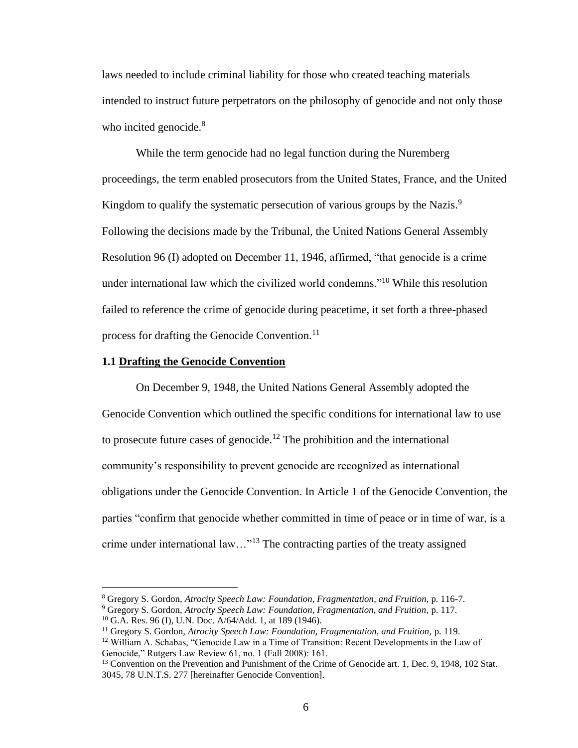laws needed to include criminal liability for those who created teaching materials intended to instruct future perpetrators on the philosophy of genocide and not only those who incited genocide.<sup>8</sup>

While the term genocide had no legal function during the Nuremberg proceedings, the term enabled prosecutors from the United States, France, and the United Kingdom to qualify the systematic persecution of various groups by the Nazis.<sup>9</sup> Following the decisions made by the Tribunal, the United Nations General Assembly Resolution 96 (I) adopted on December 11, 1946, affirmed, "that genocide is a crime under international law which the civilized world condemns."<sup>10</sup> While this resolution failed to reference the crime of genocide during peacetime, it set forth a three-phased process for drafting the Genocide Convention.<sup>11</sup>

#### **1.1 Drafting the Genocide Convention**

On December 9, 1948, the United Nations General Assembly adopted the Genocide Convention which outlined the specific conditions for international law to use to prosecute future cases of genocide.<sup>12</sup> The prohibition and the international community's responsibility to prevent genocide are recognized as international obligations under the Genocide Convention. In Article 1 of the Genocide Convention, the parties "confirm that genocide whether committed in time of peace or in time of war, is a crime under international law…"<sup>13</sup> The contracting parties of the treaty assigned

<sup>8</sup> Gregory S. Gordon, *Atrocity Speech Law: Foundation, Fragmentation, and Fruition,* p. 116-7.

<sup>9</sup> Gregory S. Gordon, *Atrocity Speech Law: Foundation, Fragmentation, and Fruition,* p. 117.

<sup>10</sup> G.A. Res. 96 (I), U.N. Doc. A/64/Add. 1, at 189 (1946).

<sup>11</sup> Gregory S. Gordon, *Atrocity Speech Law: Foundation, Fragmentation, and Fruition,* p. 119.

 $12$  William A. Schabas, "Genocide Law in a Time of Transition: Recent Developments in the Law of Genocide," Rutgers Law Review 61, no. 1 (Fall 2008): 161.

<sup>&</sup>lt;sup>13</sup> Convention on the Prevention and Punishment of the Crime of Genocide art. 1, Dec. 9, 1948, 102 Stat. 3045, 78 U.N.T.S. 277 [hereinafter Genocide Convention].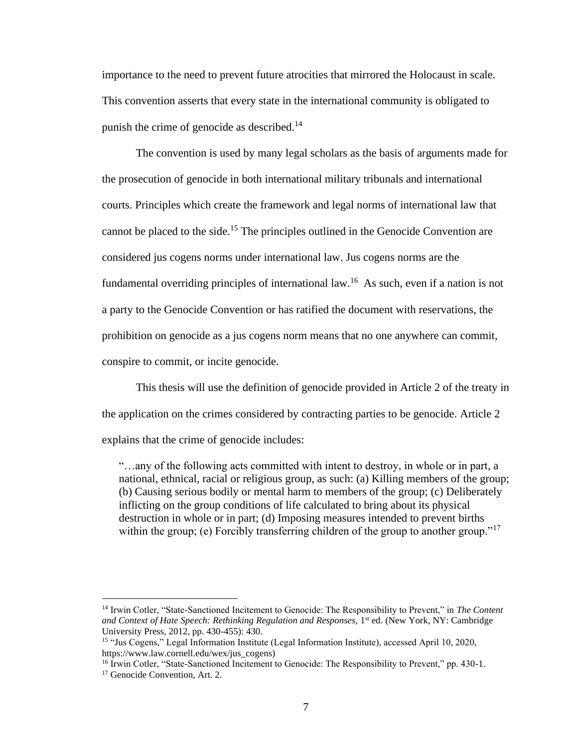importance to the need to prevent future atrocities that mirrored the Holocaust in scale. This convention asserts that every state in the international community is obligated to punish the crime of genocide as described.<sup>14</sup>

The convention is used by many legal scholars as the basis of arguments made for the prosecution of genocide in both international military tribunals and international courts. Principles which create the framework and legal norms of international law that cannot be placed to the side.<sup>15</sup> The principles outlined in the Genocide Convention are considered jus cogens norms under international law. Jus cogens norms are the fundamental overriding principles of international law.<sup>16</sup> As such, even if a nation is not a party to the Genocide Convention or has ratified the document with reservations, the prohibition on genocide as a jus cogens norm means that no one anywhere can commit, conspire to commit, or incite genocide.

This thesis will use the definition of genocide provided in Article 2 of the treaty in the application on the crimes considered by contracting parties to be genocide. Article 2 explains that the crime of genocide includes:

"…any of the following acts committed with intent to destroy, in whole or in part, a national, ethnical, racial or religious group, as such: (a) Killing members of the group; (b) Causing serious bodily or mental harm to members of the group; (c) Deliberately inflicting on the group conditions of life calculated to bring about its physical destruction in whole or in part; (d) Imposing measures intended to prevent births within the group; (e) Forcibly transferring children of the group to another group."<sup>17</sup>

<sup>14</sup> Irwin Cotler, "State-Sanctioned Incitement to Genocide: The Responsibility to Prevent," in *The Content*  and Context of Hate Speech: Rethinking Regulation and Responses, 1<sup>st</sup> ed. (New York, NY: Cambridge University Press, 2012, pp. 430-455): 430.

<sup>15</sup> "Jus Cogens," Legal Information Institute (Legal Information Institute), accessed April 10, 2020, https://www.law.cornell.edu/wex/jus\_cogens)

<sup>&</sup>lt;sup>16</sup> Irwin Cotler, "State-Sanctioned Incitement to Genocide: The Responsibility to Prevent," pp. 430-1. <sup>17</sup> Genocide Convention, Art. 2.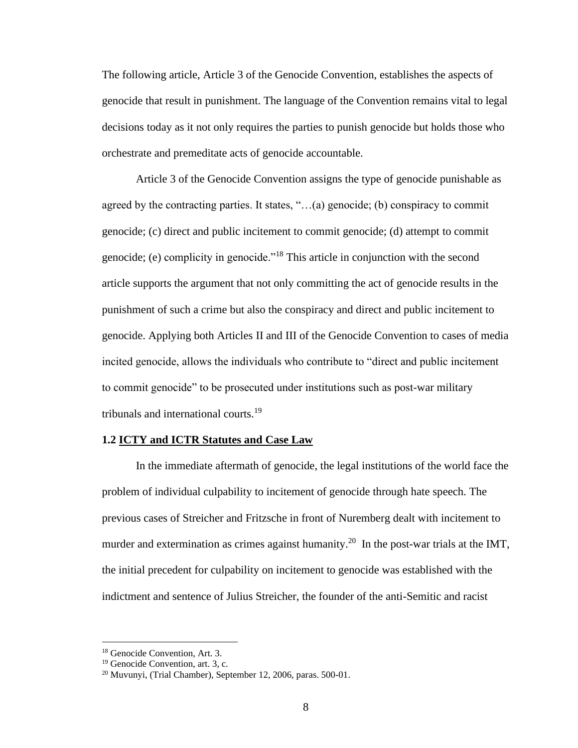The following article, Article 3 of the Genocide Convention, establishes the aspects of genocide that result in punishment. The language of the Convention remains vital to legal decisions today as it not only requires the parties to punish genocide but holds those who orchestrate and premeditate acts of genocide accountable.

Article 3 of the Genocide Convention assigns the type of genocide punishable as agreed by the contracting parties. It states, "…(a) genocide; (b) conspiracy to commit genocide; (c) direct and public incitement to commit genocide; (d) attempt to commit genocide; (e) complicity in genocide."<sup>18</sup> This article in conjunction with the second article supports the argument that not only committing the act of genocide results in the punishment of such a crime but also the conspiracy and direct and public incitement to genocide. Applying both Articles II and III of the Genocide Convention to cases of media incited genocide, allows the individuals who contribute to "direct and public incitement to commit genocide" to be prosecuted under institutions such as post-war military tribunals and international courts.<sup>19</sup>

### **1.2 ICTY and ICTR Statutes and Case Law**

In the immediate aftermath of genocide, the legal institutions of the world face the problem of individual culpability to incitement of genocide through hate speech. The previous cases of Streicher and Fritzsche in front of Nuremberg dealt with incitement to murder and extermination as crimes against humanity.<sup>20</sup> In the post-war trials at the IMT, the initial precedent for culpability on incitement to genocide was established with the indictment and sentence of Julius Streicher, the founder of the anti-Semitic and racist

<sup>18</sup> Genocide Convention, Art. 3.

<sup>&</sup>lt;sup>19</sup> Genocide Convention, art. 3, c.

 $20$  Muvunyi, (Trial Chamber), September 12, 2006, paras. 500-01.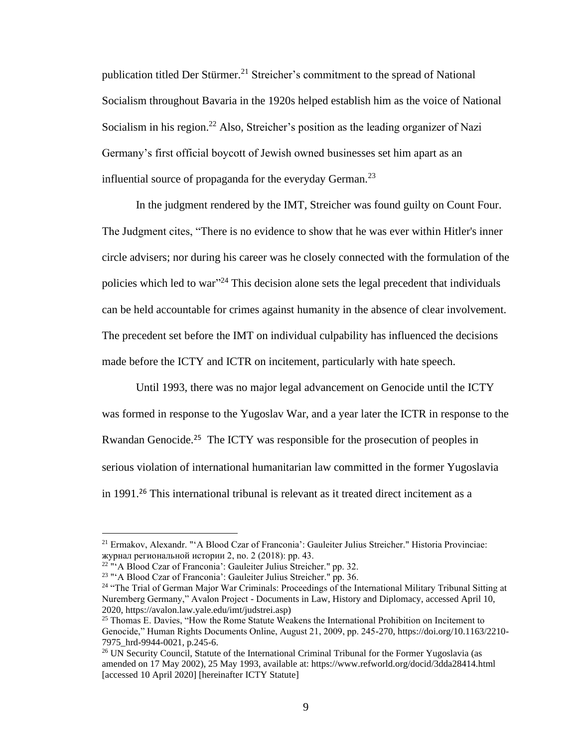publication titled Der Stürmer.<sup>21</sup> Streicher's commitment to the spread of National Socialism throughout Bavaria in the 1920s helped establish him as the voice of National Socialism in his region.<sup>22</sup> Also, Streicher's position as the leading organizer of Nazi Germany's first official boycott of Jewish owned businesses set him apart as an influential source of propaganda for the everyday German.<sup>23</sup>

In the judgment rendered by the IMT, Streicher was found guilty on Count Four. The Judgment cites, "There is no evidence to show that he was ever within Hitler's inner circle advisers; nor during his career was he closely connected with the formulation of the policies which led to war"<sup>24</sup> This decision alone sets the legal precedent that individuals can be held accountable for crimes against humanity in the absence of clear involvement. The precedent set before the IMT on individual culpability has influenced the decisions made before the ICTY and ICTR on incitement, particularly with hate speech.

Until 1993, there was no major legal advancement on Genocide until the ICTY was formed in response to the Yugoslav War, and a year later the ICTR in response to the Rwandan Genocide.<sup>25</sup> The ICTY was responsible for the prosecution of peoples in serious violation of international humanitarian law committed in the former Yugoslavia in 1991.<sup>26</sup> This international tribunal is relevant as it treated direct incitement as a

<sup>21</sup> Ermakov, Alexandr. "'A Blood Czar of Franconia': Gauleiter Julius Streicher." Historia Provinciae: журнал региональной истории 2, no. 2 (2018): pp. 43.

<sup>&</sup>lt;sup>22</sup> "'A Blood Czar of Franconia': Gauleiter Julius Streicher." pp. 32.

<sup>&</sup>lt;sup>23</sup> "'A Blood Czar of Franconia': Gauleiter Julius Streicher." pp. 36.

<sup>&</sup>lt;sup>24</sup> "The Trial of German Major War Criminals: Proceedings of the International Military Tribunal Sitting at Nuremberg Germany," Avalon Project - Documents in Law, History and Diplomacy, accessed April 10, 2020, https://avalon.law.yale.edu/imt/judstrei.asp)

<sup>&</sup>lt;sup>25</sup> Thomas E. Davies, "How the Rome Statute Weakens the International Prohibition on Incitement to Genocide," Human Rights Documents Online, August 21, 2009, pp. 245-270, https://doi.org/10.1163/2210- 7975\_hrd-9944-0021, p.245-6.

<sup>&</sup>lt;sup>26</sup> UN Security Council, Statute of the International Criminal Tribunal for the Former Yugoslavia (as amended on 17 May 2002), 25 May 1993, available at: https://www.refworld.org/docid/3dda28414.html [accessed 10 April 2020] [hereinafter ICTY Statute]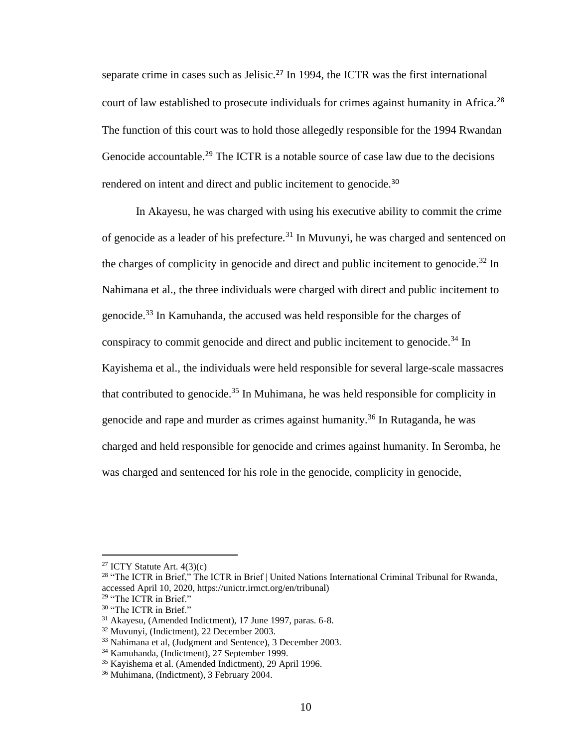separate crime in cases such as Jelisic.<sup>27</sup> In 1994, the ICTR was the first international court of law established to prosecute individuals for crimes against humanity in Africa.<sup>28</sup> The function of this court was to hold those allegedly responsible for the 1994 Rwandan Genocide accountable.<sup>29</sup> The ICTR is a notable source of case law due to the decisions rendered on intent and direct and public incitement to genocide.<sup>30</sup>

In Akayesu, he was charged with using his executive ability to commit the crime of genocide as a leader of his prefecture.<sup>31</sup> In Muvunyi, he was charged and sentenced on the charges of complicity in genocide and direct and public incitement to genocide.<sup>32</sup> In Nahimana et al., the three individuals were charged with direct and public incitement to genocide.<sup>33</sup> In Kamuhanda, the accused was held responsible for the charges of conspiracy to commit genocide and direct and public incitement to genocide.<sup>34</sup> In Kayishema et al., the individuals were held responsible for several large-scale massacres that contributed to genocide.<sup>35</sup> In Muhimana, he was held responsible for complicity in genocide and rape and murder as crimes against humanity.<sup>36</sup> In Rutaganda, he was charged and held responsible for genocide and crimes against humanity. In Seromba, he was charged and sentenced for his role in the genocide, complicity in genocide,

<sup>&</sup>lt;sup>27</sup> ICTY Statute Art.  $4(3)(c)$ 

<sup>&</sup>lt;sup>28</sup> "The ICTR in Brief," The ICTR in Brief | United Nations International Criminal Tribunal for Rwanda, accessed April 10, 2020, https://unictr.irmct.org/en/tribunal)

<sup>&</sup>lt;sup>29</sup> "The ICTR in Brief." <sup>30</sup> "The ICTR in Brief."

<sup>31</sup> Akayesu, (Amended Indictment), 17 June 1997, paras. 6-8.

<sup>32</sup> Muvunyi, (Indictment), 22 December 2003.

<sup>&</sup>lt;sup>33</sup> Nahimana et al, (Judgment and Sentence), 3 December 2003.

<sup>34</sup> Kamuhanda, (Indictment), 27 September 1999.

<sup>35</sup> Kayishema et al. (Amended Indictment), 29 April 1996.

<sup>36</sup> Muhimana, (Indictment), 3 February 2004.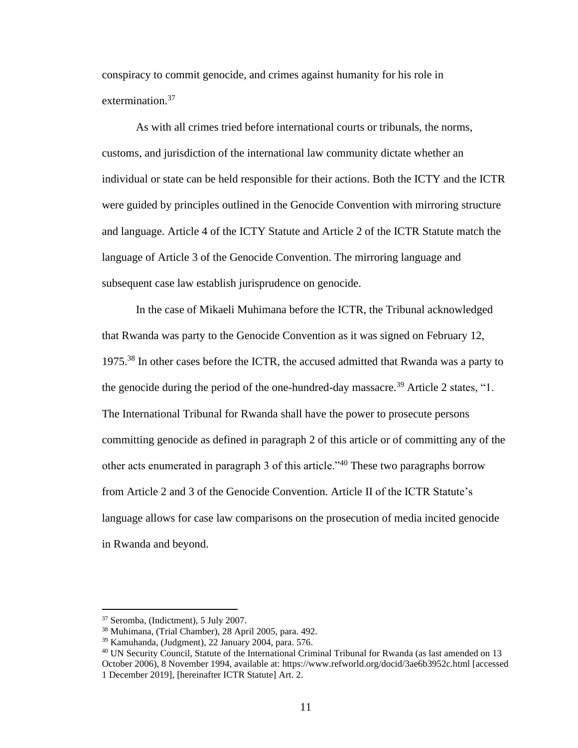conspiracy to commit genocide, and crimes against humanity for his role in extermination.<sup>37</sup>

As with all crimes tried before international courts or tribunals, the norms, customs, and jurisdiction of the international law community dictate whether an individual or state can be held responsible for their actions. Both the ICTY and the ICTR were guided by principles outlined in the Genocide Convention with mirroring structure and language. Article 4 of the ICTY Statute and Article 2 of the ICTR Statute match the language of Article 3 of the Genocide Convention. The mirroring language and subsequent case law establish jurisprudence on genocide.

In the case of Mikaeli Muhimana before the ICTR, the Tribunal acknowledged that Rwanda was party to the Genocide Convention as it was signed on February 12, 1975.<sup>38</sup> In other cases before the ICTR, the accused admitted that Rwanda was a party to the genocide during the period of the one-hundred-day massacre.<sup>39</sup> Article 2 states, "1. The International Tribunal for Rwanda shall have the power to prosecute persons committing genocide as defined in paragraph 2 of this article or of committing any of the other acts enumerated in paragraph 3 of this article."<sup>40</sup> These two paragraphs borrow from Article 2 and 3 of the Genocide Convention. Article II of the ICTR Statute's language allows for case law comparisons on the prosecution of media incited genocide in Rwanda and beyond.

<sup>37</sup> Seromba, (Indictment), 5 July 2007.

<sup>38</sup> Muhimana, (Trial Chamber), 28 April 2005, para. 492.

<sup>39</sup> Kamuhanda, (Judgment), 22 January 2004, para. 576.

<sup>&</sup>lt;sup>40</sup> UN Security Council, Statute of the International Criminal Tribunal for Rwanda (as last amended on 13 October 2006), 8 November 1994, available at: https://www.refworld.org/docid/3ae6b3952c.html [accessed 1 December 2019], [hereinafter ICTR Statute] Art. 2.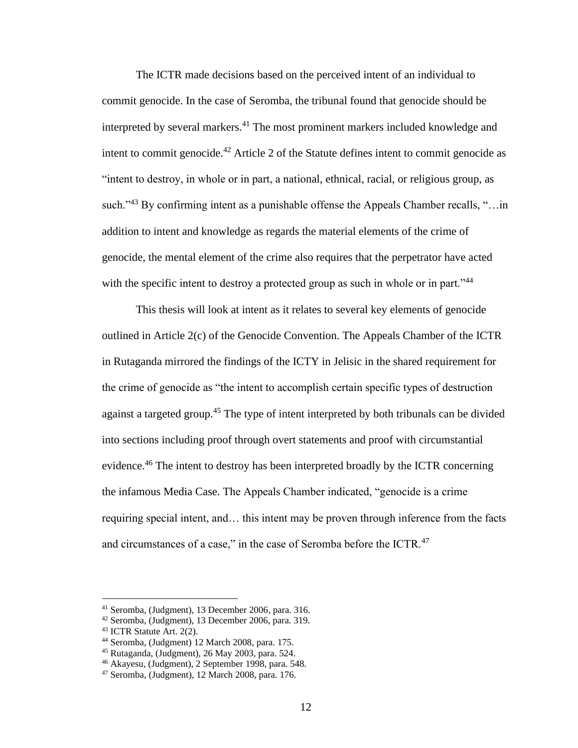The ICTR made decisions based on the perceived intent of an individual to commit genocide. In the case of Seromba, the tribunal found that genocide should be interpreted by several markers.<sup>41</sup> The most prominent markers included knowledge and intent to commit genocide.<sup>42</sup> Article 2 of the Statute defines intent to commit genocide as "intent to destroy, in whole or in part, a national, ethnical, racial, or religious group, as such."<sup>43</sup> By confirming intent as a punishable offense the Appeals Chamber recalls, "... in addition to intent and knowledge as regards the material elements of the crime of genocide, the mental element of the crime also requires that the perpetrator have acted with the specific intent to destroy a protected group as such in whole or in part."<sup>44</sup>

This thesis will look at intent as it relates to several key elements of genocide outlined in Article 2(c) of the Genocide Convention. The Appeals Chamber of the ICTR in Rutaganda mirrored the findings of the ICTY in Jelisic in the shared requirement for the crime of genocide as "the intent to accomplish certain specific types of destruction against a targeted group.<sup>45</sup> The type of intent interpreted by both tribunals can be divided into sections including proof through overt statements and proof with circumstantial evidence.<sup>46</sup> The intent to destroy has been interpreted broadly by the ICTR concerning the infamous Media Case. The Appeals Chamber indicated, "genocide is a crime requiring special intent, and… this intent may be proven through inference from the facts and circumstances of a case," in the case of Seromba before the ICTR.<sup>47</sup>

<sup>41</sup> Seromba, (Judgment), 13 December 2006, para. 316.

<sup>42</sup> Seromba, (Judgment), 13 December 2006, para. 319.

<sup>43</sup> ICTR Statute Art. 2(2).

<sup>44</sup> Seromba, (Judgment) 12 March 2008, para. 175.

<sup>45</sup> Rutaganda, (Judgment), 26 May 2003, para. 524.

<sup>46</sup> Akayesu, (Judgment), 2 September 1998, para. 548.

<sup>47</sup> Seromba, (Judgment), 12 March 2008, para. 176.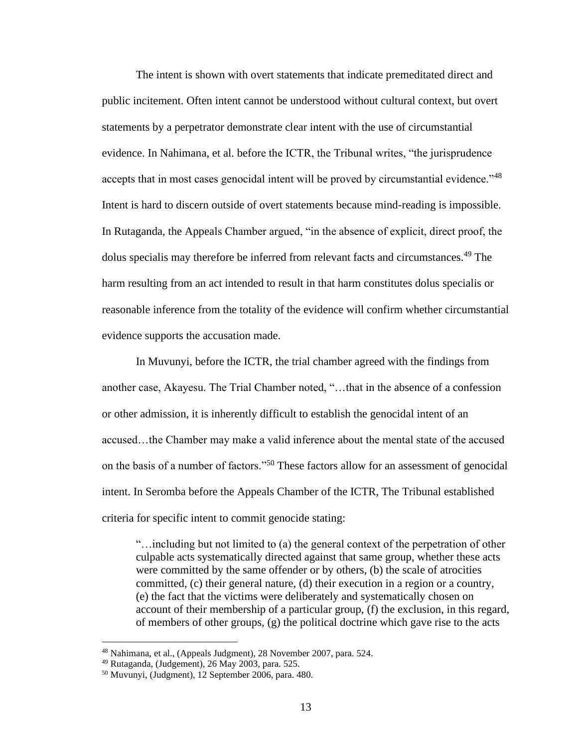The intent is shown with overt statements that indicate premeditated direct and public incitement. Often intent cannot be understood without cultural context, but overt statements by a perpetrator demonstrate clear intent with the use of circumstantial evidence. In Nahimana, et al. before the ICTR, the Tribunal writes, "the jurisprudence accepts that in most cases genocidal intent will be proved by circumstantial evidence."<sup>48</sup> Intent is hard to discern outside of overt statements because mind-reading is impossible. In Rutaganda, the Appeals Chamber argued, "in the absence of explicit, direct proof, the dolus specialis may therefore be inferred from relevant facts and circumstances.<sup>49</sup> The harm resulting from an act intended to result in that harm constitutes dolus specialis or reasonable inference from the totality of the evidence will confirm whether circumstantial evidence supports the accusation made.

In Muvunyi, before the ICTR, the trial chamber agreed with the findings from another case, Akayesu. The Trial Chamber noted, "…that in the absence of a confession or other admission, it is inherently difficult to establish the genocidal intent of an accused…the Chamber may make a valid inference about the mental state of the accused on the basis of a number of factors."<sup>50</sup> These factors allow for an assessment of genocidal intent. In Seromba before the Appeals Chamber of the ICTR, The Tribunal established criteria for specific intent to commit genocide stating:

"…including but not limited to (a) the general context of the perpetration of other culpable acts systematically directed against that same group, whether these acts were committed by the same offender or by others, (b) the scale of atrocities committed, (c) their general nature, (d) their execution in a region or a country, (e) the fact that the victims were deliberately and systematically chosen on account of their membership of a particular group, (f) the exclusion, in this regard, of members of other groups, (g) the political doctrine which gave rise to the acts

<sup>48</sup> Nahimana, et al., (Appeals Judgment), 28 November 2007, para. 524.

 $49$  Rutaganda, (Judgement), 26 May 2003, para. 525.

<sup>50</sup> Muvunyi, (Judgment), 12 September 2006, para. 480.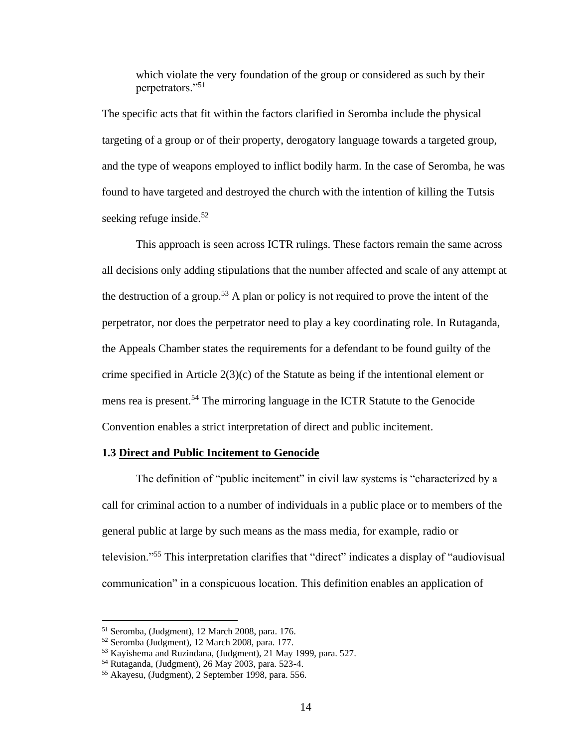which violate the very foundation of the group or considered as such by their perpetrators."<sup>51</sup>

The specific acts that fit within the factors clarified in Seromba include the physical targeting of a group or of their property, derogatory language towards a targeted group, and the type of weapons employed to inflict bodily harm. In the case of Seromba, he was found to have targeted and destroyed the church with the intention of killing the Tutsis seeking refuge inside. $52$ 

This approach is seen across ICTR rulings. These factors remain the same across all decisions only adding stipulations that the number affected and scale of any attempt at the destruction of a group.<sup>53</sup> A plan or policy is not required to prove the intent of the perpetrator, nor does the perpetrator need to play a key coordinating role. In Rutaganda, the Appeals Chamber states the requirements for a defendant to be found guilty of the crime specified in Article 2(3)(c) of the Statute as being if the intentional element or mens rea is present.<sup>54</sup> The mirroring language in the ICTR Statute to the Genocide Convention enables a strict interpretation of direct and public incitement.

### **1.3 Direct and Public Incitement to Genocide**

The definition of "public incitement" in civil law systems is "characterized by a call for criminal action to a number of individuals in a public place or to members of the general public at large by such means as the mass media, for example, radio or television."<sup>55</sup> This interpretation clarifies that "direct" indicates a display of "audiovisual communication" in a conspicuous location. This definition enables an application of

<sup>51</sup> Seromba, (Judgment), 12 March 2008, para. 176.

<sup>52</sup> Seromba (Judgment), 12 March 2008, para. 177.

<sup>53</sup> Kayishema and Ruzindana, (Judgment), 21 May 1999, para. 527.

<sup>54</sup> Rutaganda, (Judgment), 26 May 2003, para. 523-4.

<sup>55</sup> Akayesu, (Judgment), 2 September 1998, para. 556.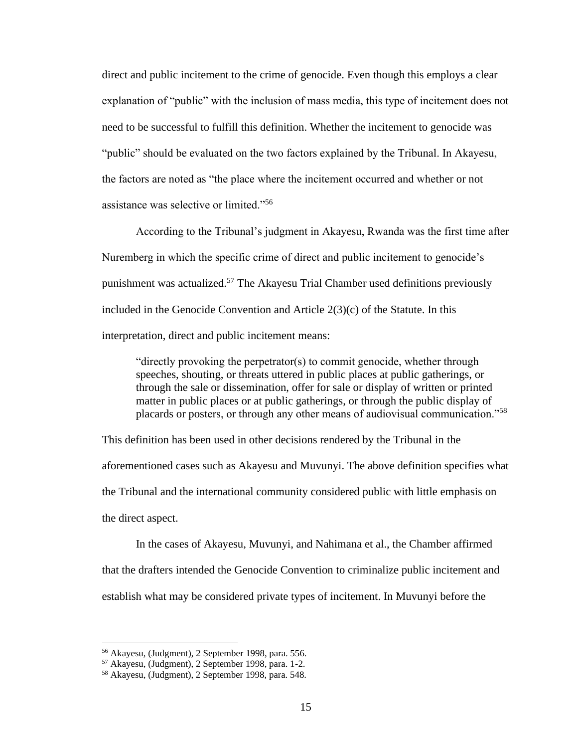direct and public incitement to the crime of genocide. Even though this employs a clear explanation of "public" with the inclusion of mass media, this type of incitement does not need to be successful to fulfill this definition. Whether the incitement to genocide was "public" should be evaluated on the two factors explained by the Tribunal. In Akayesu, the factors are noted as "the place where the incitement occurred and whether or not assistance was selective or limited."<sup>56</sup>

According to the Tribunal's judgment in Akayesu, Rwanda was the first time after Nuremberg in which the specific crime of direct and public incitement to genocide's punishment was actualized.<sup>57</sup> The Akayesu Trial Chamber used definitions previously included in the Genocide Convention and Article 2(3)(c) of the Statute. In this interpretation, direct and public incitement means:

"directly provoking the perpetrator(s) to commit genocide, whether through speeches, shouting, or threats uttered in public places at public gatherings, or through the sale or dissemination, offer for sale or display of written or printed matter in public places or at public gatherings, or through the public display of placards or posters, or through any other means of audiovisual communication."<sup>58</sup>

This definition has been used in other decisions rendered by the Tribunal in the aforementioned cases such as Akayesu and Muvunyi. The above definition specifies what the Tribunal and the international community considered public with little emphasis on the direct aspect.

In the cases of Akayesu, Muvunyi, and Nahimana et al., the Chamber affirmed that the drafters intended the Genocide Convention to criminalize public incitement and establish what may be considered private types of incitement. In Muvunyi before the

<sup>56</sup> Akayesu, (Judgment), 2 September 1998, para. 556.

<sup>57</sup> Akayesu, (Judgment), 2 September 1998, para. 1-2.

<sup>58</sup> Akayesu, (Judgment), 2 September 1998, para. 548.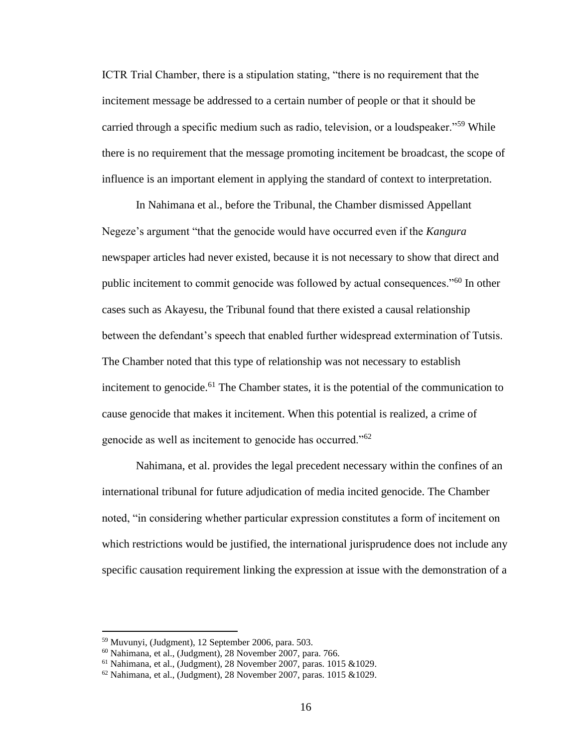ICTR Trial Chamber, there is a stipulation stating, "there is no requirement that the incitement message be addressed to a certain number of people or that it should be carried through a specific medium such as radio, television, or a loudspeaker."<sup>59</sup> While there is no requirement that the message promoting incitement be broadcast, the scope of influence is an important element in applying the standard of context to interpretation.

In Nahimana et al., before the Tribunal, the Chamber dismissed Appellant Negeze's argument "that the genocide would have occurred even if the *Kangura* newspaper articles had never existed, because it is not necessary to show that direct and public incitement to commit genocide was followed by actual consequences."<sup>60</sup> In other cases such as Akayesu, the Tribunal found that there existed a causal relationship between the defendant's speech that enabled further widespread extermination of Tutsis. The Chamber noted that this type of relationship was not necessary to establish incitement to genocide.<sup>61</sup> The Chamber states, it is the potential of the communication to cause genocide that makes it incitement. When this potential is realized, a crime of genocide as well as incitement to genocide has occurred."<sup>62</sup>

Nahimana, et al. provides the legal precedent necessary within the confines of an international tribunal for future adjudication of media incited genocide. The Chamber noted, "in considering whether particular expression constitutes a form of incitement on which restrictions would be justified, the international jurisprudence does not include any specific causation requirement linking the expression at issue with the demonstration of a

<sup>59</sup> Muvunyi, (Judgment), 12 September 2006, para. 503.

<sup>60</sup> Nahimana, et al., (Judgment), 28 November 2007, para. 766.

 $61$  Nahimana, et al., (Judgment), 28 November 2007, paras. 1015 &1029.

 $62$  Nahimana, et al., (Judgment), 28 November 2007, paras. 1015 & 1029.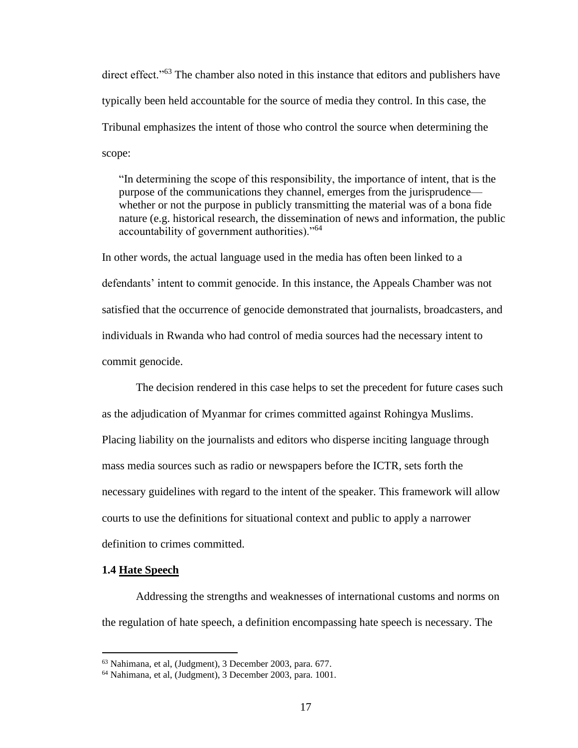direct effect."<sup>63</sup> The chamber also noted in this instance that editors and publishers have typically been held accountable for the source of media they control. In this case, the Tribunal emphasizes the intent of those who control the source when determining the scope:

"In determining the scope of this responsibility, the importance of intent, that is the purpose of the communications they channel, emerges from the jurisprudence whether or not the purpose in publicly transmitting the material was of a bona fide nature (e.g. historical research, the dissemination of news and information, the public accountability of government authorities)."<sup>64</sup>

In other words, the actual language used in the media has often been linked to a defendants' intent to commit genocide. In this instance, the Appeals Chamber was not satisfied that the occurrence of genocide demonstrated that journalists, broadcasters, and individuals in Rwanda who had control of media sources had the necessary intent to commit genocide.

The decision rendered in this case helps to set the precedent for future cases such as the adjudication of Myanmar for crimes committed against Rohingya Muslims. Placing liability on the journalists and editors who disperse inciting language through mass media sources such as radio or newspapers before the ICTR, sets forth the necessary guidelines with regard to the intent of the speaker. This framework will allow courts to use the definitions for situational context and public to apply a narrower definition to crimes committed.

#### **1.4 Hate Speech**

Addressing the strengths and weaknesses of international customs and norms on the regulation of hate speech, a definition encompassing hate speech is necessary. The

<sup>63</sup> Nahimana, et al, (Judgment), 3 December 2003, para. 677.

<sup>64</sup> Nahimana, et al, (Judgment), 3 December 2003, para. 1001.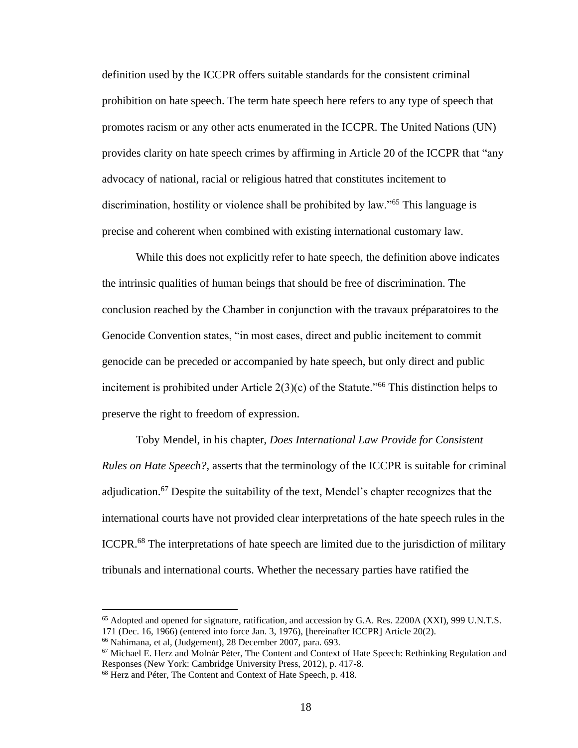definition used by the ICCPR offers suitable standards for the consistent criminal prohibition on hate speech. The term hate speech here refers to any type of speech that promotes racism or any other acts enumerated in the ICCPR. The United Nations (UN) provides clarity on hate speech crimes by affirming in Article 20 of the ICCPR that "any advocacy of national, racial or religious hatred that constitutes incitement to discrimination, hostility or violence shall be prohibited by law."<sup>65</sup> This language is precise and coherent when combined with existing international customary law.

While this does not explicitly refer to hate speech, the definition above indicates the intrinsic qualities of human beings that should be free of discrimination. The conclusion reached by the Chamber in conjunction with the travaux préparatoires to the Genocide Convention states, "in most cases, direct and public incitement to commit genocide can be preceded or accompanied by hate speech, but only direct and public incitement is prohibited under Article  $2(3)(c)$  of the Statute."<sup>66</sup> This distinction helps to preserve the right to freedom of expression.

Toby Mendel, in his chapter, *Does International Law Provide for Consistent Rules on Hate Speech?,* asserts that the terminology of the ICCPR is suitable for criminal adjudication.<sup>67</sup> Despite the suitability of the text, Mendel's chapter recognizes that the international courts have not provided clear interpretations of the hate speech rules in the ICCPR.<sup>68</sup> The interpretations of hate speech are limited due to the jurisdiction of military tribunals and international courts. Whether the necessary parties have ratified the

<sup>65</sup> Adopted and opened for signature, ratification, and accession by G.A. Res. 2200A (XXI), 999 U.N.T.S. 171 (Dec. 16, 1966) (entered into force Jan. 3, 1976), [hereinafter ICCPR] Article 20(2).

<sup>66</sup> Nahimana, et al, (Judgement), 28 December 2007, para. 693.

<sup>67</sup> Michael E. Herz and Molnár Péter, The Content and Context of Hate Speech: Rethinking Regulation and Responses (New York: Cambridge University Press, 2012), p. 417-8.

<sup>68</sup> Herz and Péter, The Content and Context of Hate Speech, p. 418.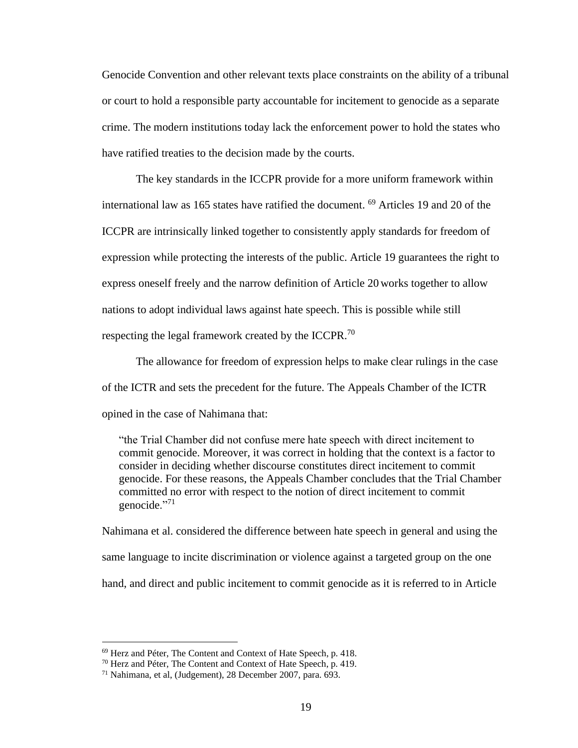Genocide Convention and other relevant texts place constraints on the ability of a tribunal or court to hold a responsible party accountable for incitement to genocide as a separate crime. The modern institutions today lack the enforcement power to hold the states who have ratified treaties to the decision made by the courts.

The key standards in the ICCPR provide for a more uniform framework within international law as 165 states have ratified the document. <sup>69</sup> Articles 19 and 20 of the ICCPR are intrinsically linked together to consistently apply standards for freedom of expression while protecting the interests of the public. Article 19 guarantees the right to express oneself freely and the narrow definition of Article 20 works together to allow nations to adopt individual laws against hate speech. This is possible while still respecting the legal framework created by the ICCPR.<sup>70</sup>

The allowance for freedom of expression helps to make clear rulings in the case of the ICTR and sets the precedent for the future. The Appeals Chamber of the ICTR opined in the case of Nahimana that:

"the Trial Chamber did not confuse mere hate speech with direct incitement to commit genocide. Moreover, it was correct in holding that the context is a factor to consider in deciding whether discourse constitutes direct incitement to commit genocide. For these reasons, the Appeals Chamber concludes that the Trial Chamber committed no error with respect to the notion of direct incitement to commit genocide."<sup>71</sup>

Nahimana et al. considered the difference between hate speech in general and using the same language to incite discrimination or violence against a targeted group on the one hand, and direct and public incitement to commit genocide as it is referred to in Article

<sup>69</sup> Herz and Péter, The Content and Context of Hate Speech, p. 418.

<sup>70</sup> Herz and Péter, The Content and Context of Hate Speech, p. 419.

<sup>71</sup> Nahimana, et al, (Judgement), 28 December 2007, para. 693.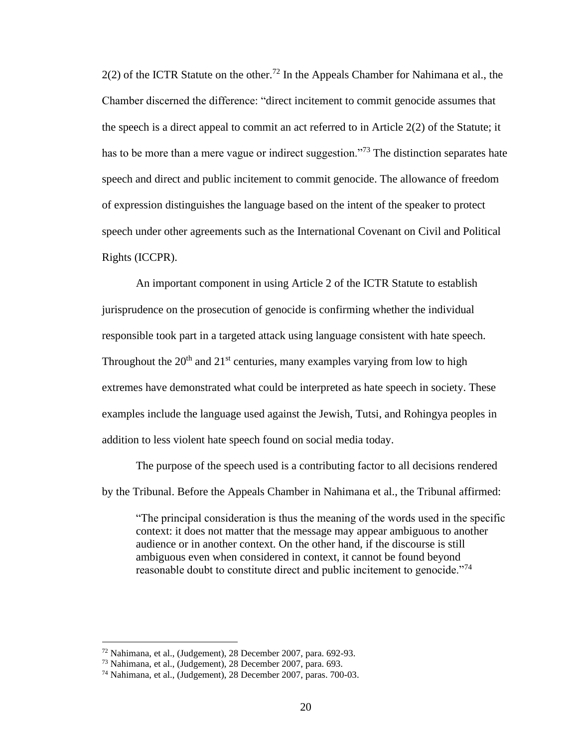$2(2)$  of the ICTR Statute on the other.<sup>72</sup> In the Appeals Chamber for Nahimana et al., the Chamber discerned the difference: "direct incitement to commit genocide assumes that the speech is a direct appeal to commit an act referred to in Article 2(2) of the Statute; it has to be more than a mere vague or indirect suggestion.<sup> $273$ </sup> The distinction separates hate speech and direct and public incitement to commit genocide. The allowance of freedom of expression distinguishes the language based on the intent of the speaker to protect speech under other agreements such as the International Covenant on Civil and Political Rights (ICCPR).

An important component in using Article 2 of the ICTR Statute to establish jurisprudence on the prosecution of genocide is confirming whether the individual responsible took part in a targeted attack using language consistent with hate speech. Throughout the  $20<sup>th</sup>$  and  $21<sup>st</sup>$  centuries, many examples varying from low to high extremes have demonstrated what could be interpreted as hate speech in society. These examples include the language used against the Jewish, Tutsi, and Rohingya peoples in addition to less violent hate speech found on social media today.

The purpose of the speech used is a contributing factor to all decisions rendered by the Tribunal. Before the Appeals Chamber in Nahimana et al., the Tribunal affirmed:

"The principal consideration is thus the meaning of the words used in the specific context: it does not matter that the message may appear ambiguous to another audience or in another context. On the other hand, if the discourse is still ambiguous even when considered in context, it cannot be found beyond reasonable doubt to constitute direct and public incitement to genocide."<sup>74</sup>

<sup>72</sup> Nahimana, et al., (Judgement), 28 December 2007, para. 692-93.

<sup>73</sup> Nahimana, et al., (Judgement), 28 December 2007, para. 693.

<sup>74</sup> Nahimana, et al., (Judgement), 28 December 2007, paras. 700-03.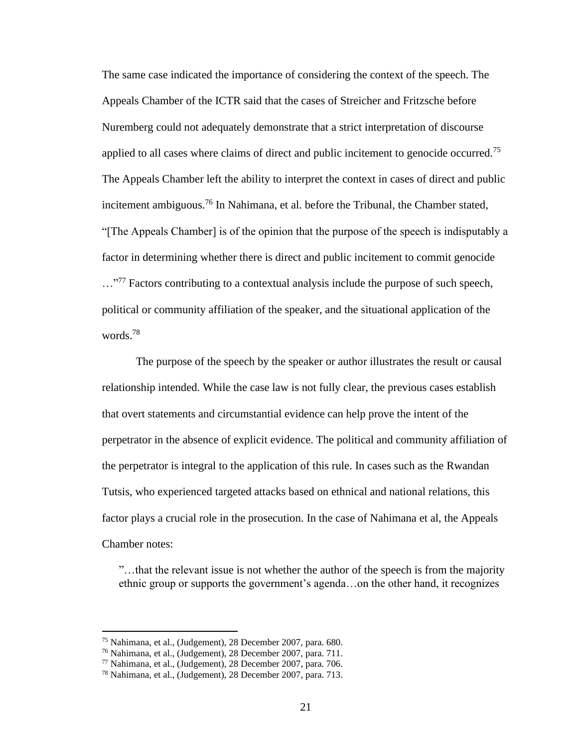The same case indicated the importance of considering the context of the speech. The Appeals Chamber of the ICTR said that the cases of Streicher and Fritzsche before Nuremberg could not adequately demonstrate that a strict interpretation of discourse applied to all cases where claims of direct and public incitement to genocide occurred.<sup>75</sup> The Appeals Chamber left the ability to interpret the context in cases of direct and public incitement ambiguous.<sup>76</sup> In Nahimana, et al. before the Tribunal, the Chamber stated, "[The Appeals Chamber] is of the opinion that the purpose of the speech is indisputably a factor in determining whether there is direct and public incitement to commit genocide ...<sup>"77</sup> Factors contributing to a contextual analysis include the purpose of such speech, political or community affiliation of the speaker, and the situational application of the words.<sup>78</sup>

The purpose of the speech by the speaker or author illustrates the result or causal relationship intended. While the case law is not fully clear, the previous cases establish that overt statements and circumstantial evidence can help prove the intent of the perpetrator in the absence of explicit evidence. The political and community affiliation of the perpetrator is integral to the application of this rule. In cases such as the Rwandan Tutsis, who experienced targeted attacks based on ethnical and national relations, this factor plays a crucial role in the prosecution. In the case of Nahimana et al, the Appeals Chamber notes:

"…that the relevant issue is not whether the author of the speech is from the majority ethnic group or supports the government's agenda…on the other hand, it recognizes

<sup>75</sup> Nahimana, et al., (Judgement), 28 December 2007, para. 680.

<sup>76</sup> Nahimana, et al., (Judgement), 28 December 2007, para. 711.

<sup>77</sup> Nahimana, et al., (Judgement), 28 December 2007, para. 706.

<sup>78</sup> Nahimana, et al., (Judgement), 28 December 2007, para. 713.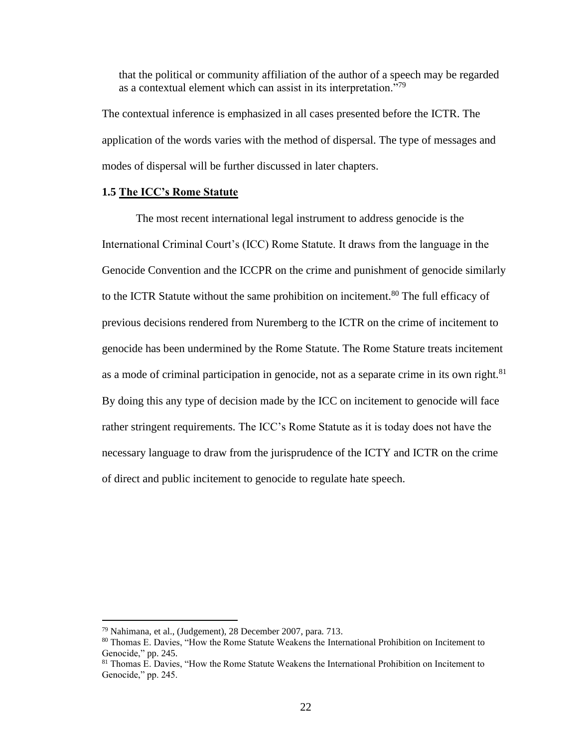that the political or community affiliation of the author of a speech may be regarded as a contextual element which can assist in its interpretation."<sup>79</sup>

The contextual inference is emphasized in all cases presented before the ICTR. The application of the words varies with the method of dispersal. The type of messages and modes of dispersal will be further discussed in later chapters.

# **1.5 The ICC's Rome Statute**

The most recent international legal instrument to address genocide is the International Criminal Court's (ICC) Rome Statute. It draws from the language in the Genocide Convention and the ICCPR on the crime and punishment of genocide similarly to the ICTR Statute without the same prohibition on incitement.<sup>80</sup> The full efficacy of previous decisions rendered from Nuremberg to the ICTR on the crime of incitement to genocide has been undermined by the Rome Statute. The Rome Stature treats incitement as a mode of criminal participation in genocide, not as a separate crime in its own right. $81$ By doing this any type of decision made by the ICC on incitement to genocide will face rather stringent requirements. The ICC's Rome Statute as it is today does not have the necessary language to draw from the jurisprudence of the ICTY and ICTR on the crime of direct and public incitement to genocide to regulate hate speech.

<sup>79</sup> Nahimana, et al., (Judgement), 28 December 2007, para. 713.

<sup>80</sup> Thomas E. Davies, "How the Rome Statute Weakens the International Prohibition on Incitement to Genocide," pp. 245.

<sup>&</sup>lt;sup>81</sup> Thomas E. Davies, "How the Rome Statute Weakens the International Prohibition on Incitement to Genocide," pp. 245.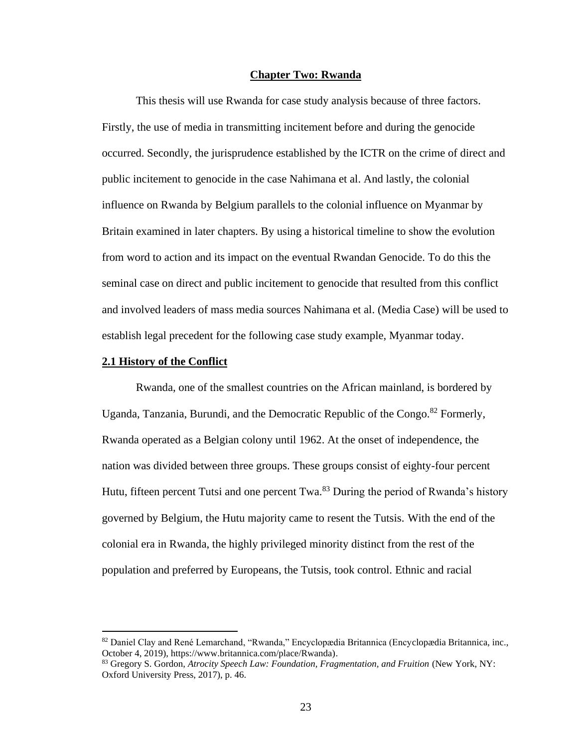### **Chapter Two: Rwanda**

This thesis will use Rwanda for case study analysis because of three factors. Firstly, the use of media in transmitting incitement before and during the genocide occurred. Secondly, the jurisprudence established by the ICTR on the crime of direct and public incitement to genocide in the case Nahimana et al. And lastly, the colonial influence on Rwanda by Belgium parallels to the colonial influence on Myanmar by Britain examined in later chapters. By using a historical timeline to show the evolution from word to action and its impact on the eventual Rwandan Genocide. To do this the seminal case on direct and public incitement to genocide that resulted from this conflict and involved leaders of mass media sources Nahimana et al. (Media Case) will be used to establish legal precedent for the following case study example, Myanmar today.

#### **2.1 History of the Conflict**

Rwanda, one of the smallest countries on the African mainland, is bordered by Uganda, Tanzania, Burundi, and the Democratic Republic of the Congo.<sup>82</sup> Formerly, Rwanda operated as a Belgian colony until 1962. At the onset of independence, the nation was divided between three groups. These groups consist of eighty-four percent Hutu, fifteen percent Tutsi and one percent  $Twa$ .<sup>83</sup> During the period of Rwanda's history governed by Belgium, the Hutu majority came to resent the Tutsis. With the end of the colonial era in Rwanda, the highly privileged minority distinct from the rest of the population and preferred by Europeans, the Tutsis, took control. Ethnic and racial

<sup>82</sup> Daniel Clay and René Lemarchand, "Rwanda," Encyclopædia Britannica (Encyclopædia Britannica, inc., October 4, 2019), https://www.britannica.com/place/Rwanda).

<sup>83</sup> Gregory S. Gordon, *Atrocity Speech Law: Foundation, Fragmentation, and Fruition* (New York, NY: Oxford University Press, 2017), p. 46.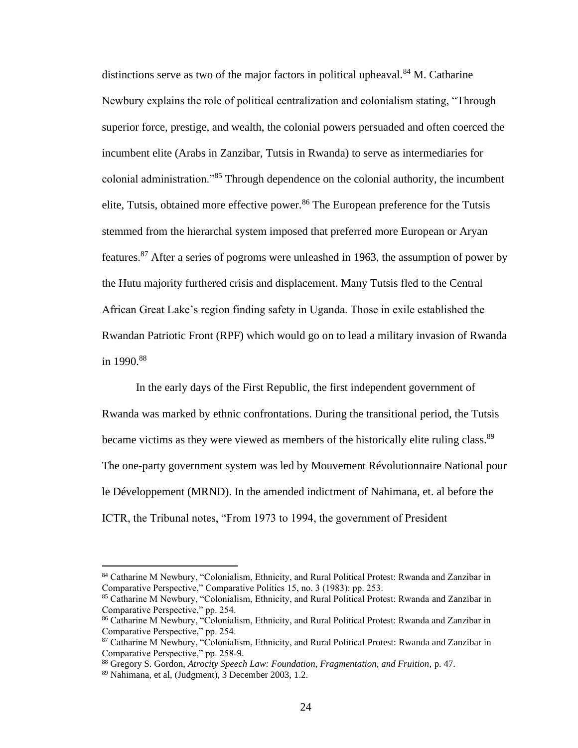distinctions serve as two of the major factors in political upheaval.<sup>84</sup> M. Catharine Newbury explains the role of political centralization and colonialism stating, "Through superior force, prestige, and wealth, the colonial powers persuaded and often coerced the incumbent elite (Arabs in Zanzibar, Tutsis in Rwanda) to serve as intermediaries for colonial administration."<sup>85</sup> Through dependence on the colonial authority, the incumbent elite, Tutsis, obtained more effective power.<sup>86</sup> The European preference for the Tutsis stemmed from the hierarchal system imposed that preferred more European or Aryan features.<sup>87</sup> After a series of pogroms were unleashed in 1963, the assumption of power by the Hutu majority furthered crisis and displacement. Many Tutsis fled to the Central African Great Lake's region finding safety in Uganda. Those in exile established the Rwandan Patriotic Front (RPF) which would go on to lead a military invasion of Rwanda in  $1990.^{88}$ 

In the early days of the First Republic, the first independent government of Rwanda was marked by ethnic confrontations. During the transitional period, the Tutsis became victims as they were viewed as members of the historically elite ruling class.<sup>89</sup> The one-party government system was led by Mouvement Révolutionnaire National pour le Développement (MRND). In the amended indictment of Nahimana, et. al before the ICTR, the Tribunal notes, "From 1973 to 1994, the government of President

<sup>&</sup>lt;sup>84</sup> Catharine M Newbury, "Colonialism, Ethnicity, and Rural Political Protest: Rwanda and Zanzibar in Comparative Perspective," Comparative Politics 15, no. 3 (1983): pp. 253.

<sup>85</sup> Catharine M Newbury, "Colonialism, Ethnicity, and Rural Political Protest: Rwanda and Zanzibar in Comparative Perspective," pp. 254.

<sup>86</sup> Catharine M Newbury, "Colonialism, Ethnicity, and Rural Political Protest: Rwanda and Zanzibar in Comparative Perspective," pp. 254.

<sup>&</sup>lt;sup>87</sup> Catharine M Newbury, "Colonialism, Ethnicity, and Rural Political Protest: Rwanda and Zanzibar in Comparative Perspective," pp. 258-9.

<sup>88</sup> Gregory S. Gordon, *Atrocity Speech Law: Foundation, Fragmentation, and Fruition,* p. 47.

<sup>89</sup> Nahimana, et al, (Judgment), 3 December 2003, 1.2.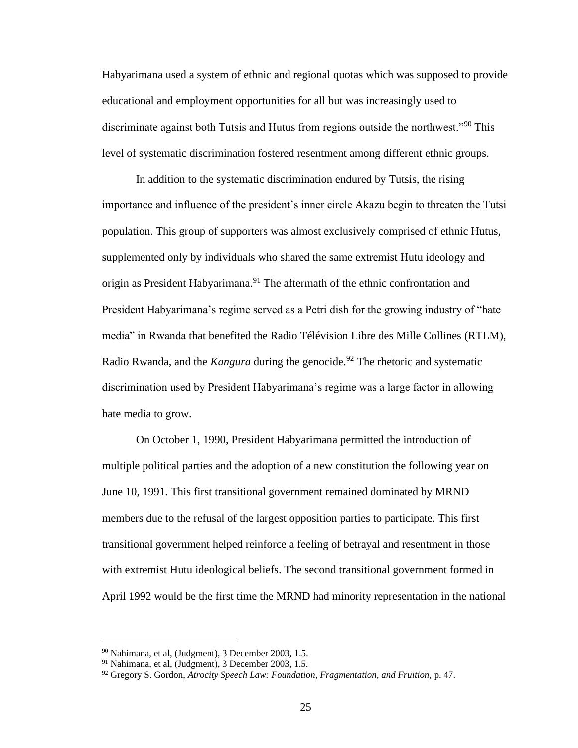Habyarimana used a system of ethnic and regional quotas which was supposed to provide educational and employment opportunities for all but was increasingly used to discriminate against both Tutsis and Hutus from regions outside the northwest."<sup>90</sup> This level of systematic discrimination fostered resentment among different ethnic groups.

In addition to the systematic discrimination endured by Tutsis, the rising importance and influence of the president's inner circle Akazu begin to threaten the Tutsi population. This group of supporters was almost exclusively comprised of ethnic Hutus, supplemented only by individuals who shared the same extremist Hutu ideology and origin as President Habyarimana.<sup>91</sup> The aftermath of the ethnic confrontation and President Habyarimana's regime served as a Petri dish for the growing industry of "hate media" in Rwanda that benefited the Radio Télévision Libre des Mille Collines (RTLM), Radio Rwanda, and the *Kangura* during the genocide. <sup>92</sup> The rhetoric and systematic discrimination used by President Habyarimana's regime was a large factor in allowing hate media to grow.

On October 1, 1990, President Habyarimana permitted the introduction of multiple political parties and the adoption of a new constitution the following year on June 10, 1991. This first transitional government remained dominated by MRND members due to the refusal of the largest opposition parties to participate. This first transitional government helped reinforce a feeling of betrayal and resentment in those with extremist Hutu ideological beliefs. The second transitional government formed in April 1992 would be the first time the MRND had minority representation in the national

<sup>90</sup> Nahimana, et al, (Judgment), 3 December 2003, 1.5.

<sup>91</sup> Nahimana, et al, (Judgment), 3 December 2003, 1.5.

<sup>92</sup> Gregory S. Gordon, *Atrocity Speech Law: Foundation, Fragmentation, and Fruition,* p. 47.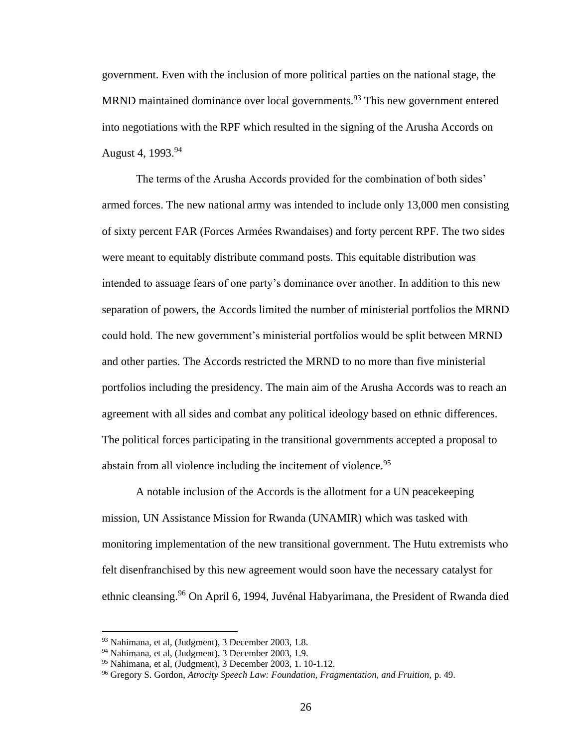government. Even with the inclusion of more political parties on the national stage, the MRND maintained dominance over local governments.<sup>93</sup> This new government entered into negotiations with the RPF which resulted in the signing of the Arusha Accords on August 4, 1993.<sup>94</sup>

The terms of the Arusha Accords provided for the combination of both sides' armed forces. The new national army was intended to include only 13,000 men consisting of sixty percent FAR (Forces Armées Rwandaises) and forty percent RPF. The two sides were meant to equitably distribute command posts. This equitable distribution was intended to assuage fears of one party's dominance over another. In addition to this new separation of powers, the Accords limited the number of ministerial portfolios the MRND could hold. The new government's ministerial portfolios would be split between MRND and other parties. The Accords restricted the MRND to no more than five ministerial portfolios including the presidency. The main aim of the Arusha Accords was to reach an agreement with all sides and combat any political ideology based on ethnic differences. The political forces participating in the transitional governments accepted a proposal to abstain from all violence including the incitement of violence.<sup>95</sup>

A notable inclusion of the Accords is the allotment for a UN peacekeeping mission, UN Assistance Mission for Rwanda (UNAMIR) which was tasked with monitoring implementation of the new transitional government. The Hutu extremists who felt disenfranchised by this new agreement would soon have the necessary catalyst for ethnic cleansing.<sup>96</sup> On April 6, 1994, Juvénal Habyarimana, the President of Rwanda died

<sup>93</sup> Nahimana, et al, (Judgment), 3 December 2003, 1.8.

<sup>94</sup> Nahimana, et al, (Judgment), 3 December 2003, 1.9.

 $95$  Nahimana, et al, (Judgment), 3 December 2003, 1. 10-1.12.

<sup>96</sup> Gregory S. Gordon, *Atrocity Speech Law: Foundation, Fragmentation, and Fruition,* p. 49.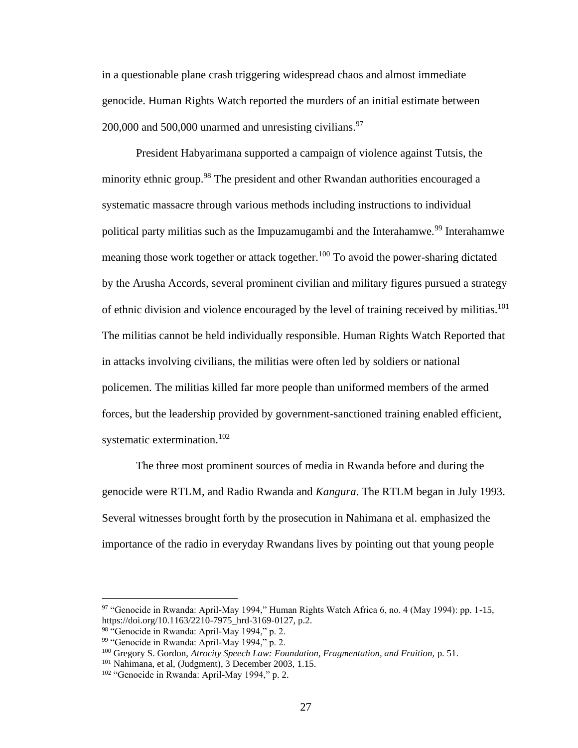in a questionable plane crash triggering widespread chaos and almost immediate genocide. Human Rights Watch reported the murders of an initial estimate between 200,000 and 500,000 unarmed and unresisting civilians. $97$ 

President Habyarimana supported a campaign of violence against Tutsis, the minority ethnic group.<sup>98</sup> The president and other Rwandan authorities encouraged a systematic massacre through various methods including instructions to individual political party militias such as the Impuzamugambi and the Interahamwe.<sup>99</sup> Interahamwe meaning those work together or attack together.<sup>100</sup> To avoid the power-sharing dictated by the Arusha Accords, several prominent civilian and military figures pursued a strategy of ethnic division and violence encouraged by the level of training received by militias.<sup>101</sup> The militias cannot be held individually responsible. Human Rights Watch Reported that in attacks involving civilians, the militias were often led by soldiers or national policemen. The militias killed far more people than uniformed members of the armed forces, but the leadership provided by government-sanctioned training enabled efficient, systematic extermination.<sup>102</sup>

The three most prominent sources of media in Rwanda before and during the genocide were RTLM, and Radio Rwanda and *Kangura*. The RTLM began in July 1993. Several witnesses brought forth by the prosecution in Nahimana et al. emphasized the importance of the radio in everyday Rwandans lives by pointing out that young people

<sup>97</sup> "Genocide in Rwanda: April-May 1994," Human Rights Watch Africa 6, no. 4 (May 1994): pp. 1-15, https://doi.org/10.1163/2210-7975\_hrd-3169-0127, p.2.

<sup>98</sup> "Genocide in Rwanda: April-May 1994," p. 2.

<sup>99</sup> "Genocide in Rwanda: April-May 1994," p. 2.

<sup>&</sup>lt;sup>100</sup> Gregory S. Gordon, *Atrocity Speech Law: Foundation, Fragmentation, and Fruition, p.* 51.

<sup>&</sup>lt;sup>101</sup> Nahimana, et al, (Judgment), 3 December 2003, 1.15.

<sup>102</sup> "Genocide in Rwanda: April-May 1994," p. 2.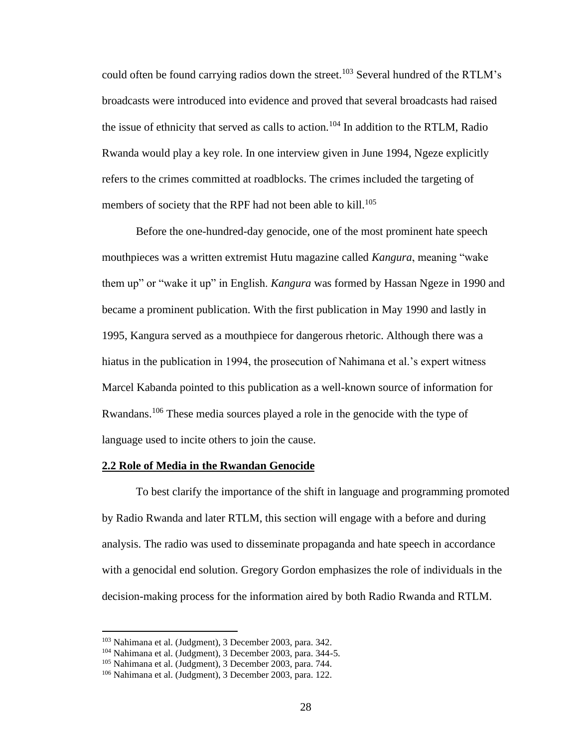could often be found carrying radios down the street.<sup>103</sup> Several hundred of the RTLM's broadcasts were introduced into evidence and proved that several broadcasts had raised the issue of ethnicity that served as calls to action.<sup>104</sup> In addition to the RTLM, Radio Rwanda would play a key role. In one interview given in June 1994, Ngeze explicitly refers to the crimes committed at roadblocks. The crimes included the targeting of members of society that the RPF had not been able to kill.<sup>105</sup>

Before the one-hundred-day genocide, one of the most prominent hate speech mouthpieces was a written extremist Hutu magazine called *Kangura*, meaning "wake them up" or "wake it up" in English. *Kangura* was formed by Hassan Ngeze in 1990 and became a prominent publication. With the first publication in May 1990 and lastly in 1995, Kangura served as a mouthpiece for dangerous rhetoric. Although there was a hiatus in the publication in 1994, the prosecution of Nahimana et al.'s expert witness Marcel Kabanda pointed to this publication as a well-known source of information for Rwandans.<sup>106</sup> These media sources played a role in the genocide with the type of language used to incite others to join the cause.

### **2.2 Role of Media in the Rwandan Genocide**

To best clarify the importance of the shift in language and programming promoted by Radio Rwanda and later RTLM, this section will engage with a before and during analysis. The radio was used to disseminate propaganda and hate speech in accordance with a genocidal end solution. Gregory Gordon emphasizes the role of individuals in the decision-making process for the information aired by both Radio Rwanda and RTLM.

<sup>103</sup> Nahimana et al. (Judgment), 3 December 2003, para. 342.

<sup>104</sup> Nahimana et al. (Judgment), 3 December 2003, para. 344-5.

<sup>&</sup>lt;sup>105</sup> Nahimana et al. (Judgment), 3 December 2003, para. 744.

<sup>106</sup> Nahimana et al. (Judgment), 3 December 2003, para. 122.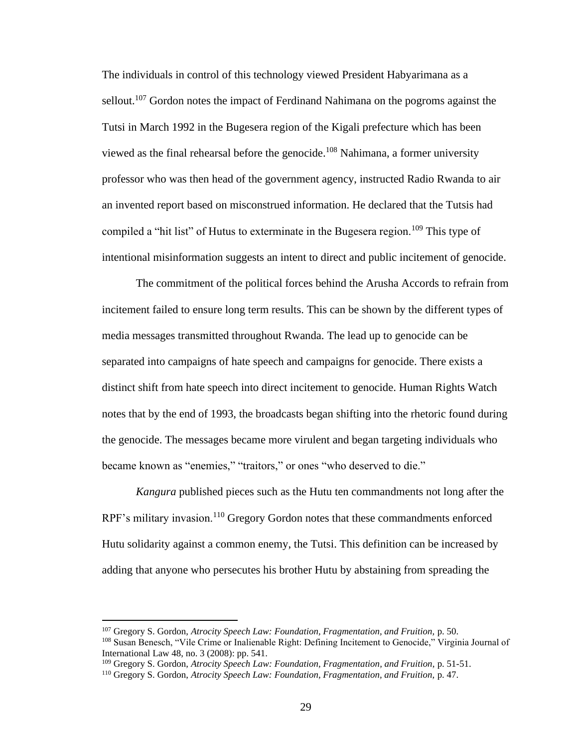The individuals in control of this technology viewed President Habyarimana as a sellout.<sup>107</sup> Gordon notes the impact of Ferdinand Nahimana on the pogroms against the Tutsi in March 1992 in the Bugesera region of the Kigali prefecture which has been viewed as the final rehearsal before the genocide.<sup>108</sup> Nahimana, a former university professor who was then head of the government agency, instructed Radio Rwanda to air an invented report based on misconstrued information. He declared that the Tutsis had compiled a "hit list" of Hutus to exterminate in the Bugesera region.<sup>109</sup> This type of intentional misinformation suggests an intent to direct and public incitement of genocide.

The commitment of the political forces behind the Arusha Accords to refrain from incitement failed to ensure long term results. This can be shown by the different types of media messages transmitted throughout Rwanda. The lead up to genocide can be separated into campaigns of hate speech and campaigns for genocide. There exists a distinct shift from hate speech into direct incitement to genocide. Human Rights Watch notes that by the end of 1993, the broadcasts began shifting into the rhetoric found during the genocide. The messages became more virulent and began targeting individuals who became known as "enemies," "traitors," or ones "who deserved to die."

*Kangura* published pieces such as the Hutu ten commandments not long after the RPF's military invasion.<sup>110</sup> Gregory Gordon notes that these commandments enforced Hutu solidarity against a common enemy, the Tutsi. This definition can be increased by adding that anyone who persecutes his brother Hutu by abstaining from spreading the

<sup>107</sup> Gregory S. Gordon, *Atrocity Speech Law: Foundation, Fragmentation, and Fruition,* p. 50.

<sup>108</sup> Susan Benesch, "Vile Crime or Inalienable Right: Defining Incitement to Genocide," Virginia Journal of International Law 48, no. 3 (2008): pp. 541.

<sup>109</sup> Gregory S. Gordon, *Atrocity Speech Law: Foundation, Fragmentation, and Fruition,* p. 51-51.

<sup>110</sup> Gregory S. Gordon, *Atrocity Speech Law: Foundation, Fragmentation, and Fruition,* p. 47.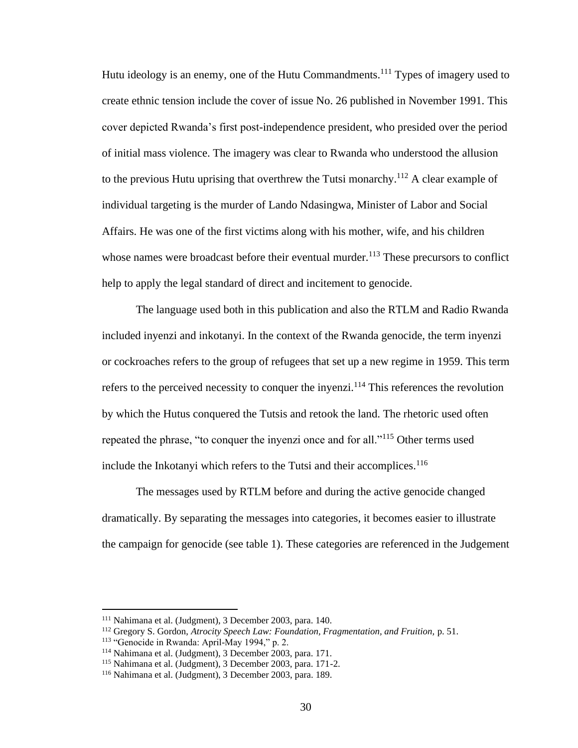Hutu ideology is an enemy, one of the Hutu Commandments.<sup>111</sup> Types of imagery used to create ethnic tension include the cover of issue No. 26 published in November 1991*.* This cover depicted Rwanda's first post-independence president, who presided over the period of initial mass violence. The imagery was clear to Rwanda who understood the allusion to the previous Hutu uprising that overthrew the Tutsi monarchy.<sup>112</sup> A clear example of individual targeting is the murder of Lando Ndasingwa, Minister of Labor and Social Affairs. He was one of the first victims along with his mother, wife, and his children whose names were broadcast before their eventual murder.<sup>113</sup> These precursors to conflict help to apply the legal standard of direct and incitement to genocide.

The language used both in this publication and also the RTLM and Radio Rwanda included inyenzi and inkotanyi. In the context of the Rwanda genocide, the term inyenzi or cockroaches refers to the group of refugees that set up a new regime in 1959. This term refers to the perceived necessity to conquer the invenzi.<sup>114</sup> This references the revolution by which the Hutus conquered the Tutsis and retook the land. The rhetoric used often repeated the phrase, "to conquer the inyenzi once and for all."<sup>115</sup> Other terms used include the Inkotanyi which refers to the Tutsi and their accomplices.<sup>116</sup>

The messages used by RTLM before and during the active genocide changed dramatically. By separating the messages into categories, it becomes easier to illustrate the campaign for genocide (see table 1). These categories are referenced in the Judgement

<sup>111</sup> Nahimana et al. (Judgment), 3 December 2003, para. 140.

<sup>112</sup> Gregory S. Gordon, *Atrocity Speech Law: Foundation, Fragmentation, and Fruition,* p. 51.

<sup>&</sup>lt;sup>113</sup> "Genocide in Rwanda: April-May 1994," p. 2.

<sup>114</sup> Nahimana et al. (Judgment), 3 December 2003, para. 171.

<sup>115</sup> Nahimana et al. (Judgment), 3 December 2003, para. 171-2.

<sup>116</sup> Nahimana et al. (Judgment), 3 December 2003, para. 189.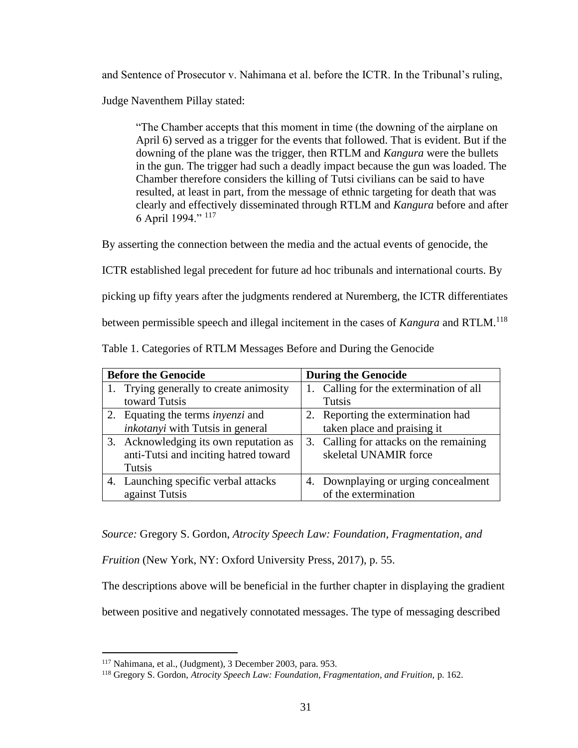and Sentence of Prosecutor v. Nahimana et al. before the ICTR. In the Tribunal's ruling,

Judge Naventhem Pillay stated:

"The Chamber accepts that this moment in time (the downing of the airplane on April 6) served as a trigger for the events that followed. That is evident. But if the downing of the plane was the trigger, then RTLM and *Kangura* were the bullets in the gun. The trigger had such a deadly impact because the gun was loaded. The Chamber therefore considers the killing of Tutsi civilians can be said to have resulted, at least in part, from the message of ethnic targeting for death that was clearly and effectively disseminated through RTLM and *Kangura* before and after 6 April 1994." <sup>117</sup>

By asserting the connection between the media and the actual events of genocide, the

ICTR established legal precedent for future ad hoc tribunals and international courts. By

picking up fifty years after the judgments rendered at Nuremberg, the ICTR differentiates

between permissible speech and illegal incitement in the cases of *Kangura* and RTLM.<sup>118</sup>

| <b>Before the Genocide</b> |                                          | <b>During the Genocide</b> |                                         |
|----------------------------|------------------------------------------|----------------------------|-----------------------------------------|
|                            | 1. Trying generally to create animosity  |                            | 1. Calling for the extermination of all |
|                            | toward Tutsis                            |                            | Tutsis                                  |
|                            | 2. Equating the terms <i>invenzi</i> and |                            | 2. Reporting the extermination had      |
|                            | inkotanyi with Tutsis in general         |                            | taken place and praising it             |
|                            | 3. Acknowledging its own reputation as   |                            | 3. Calling for attacks on the remaining |
|                            | anti-Tutsi and inciting hatred toward    |                            | skeletal UNAMIR force                   |
|                            | Tutsis                                   |                            |                                         |
|                            | 4. Launching specific verbal attacks     |                            | 4. Downplaying or urging concealment    |
|                            | against Tutsis                           |                            | of the extermination                    |

Table 1. Categories of RTLM Messages Before and During the Genocide

*Source:* Gregory S. Gordon, *Atrocity Speech Law: Foundation, Fragmentation, and* 

*Fruition* (New York, NY: Oxford University Press, 2017), p. 55.

The descriptions above will be beneficial in the further chapter in displaying the gradient

between positive and negatively connotated messages. The type of messaging described

<sup>117</sup> Nahimana, et al., (Judgment), 3 December 2003, para. 953.

<sup>118</sup> Gregory S. Gordon, *Atrocity Speech Law: Foundation, Fragmentation, and Fruition,* p. 162.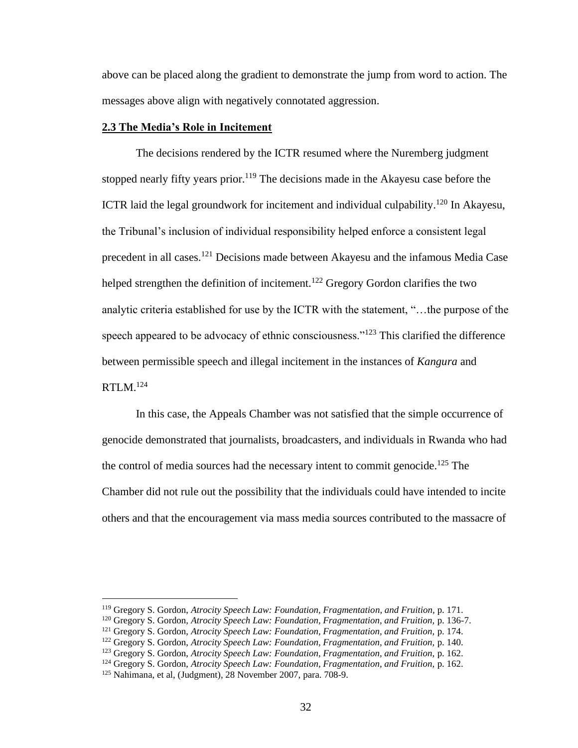above can be placed along the gradient to demonstrate the jump from word to action. The messages above align with negatively connotated aggression.

# **2.3 The Media's Role in Incitement**

The decisions rendered by the ICTR resumed where the Nuremberg judgment stopped nearly fifty years prior.<sup>119</sup> The decisions made in the Akayesu case before the ICTR laid the legal groundwork for incitement and individual culpability.<sup>120</sup> In Akayesu, the Tribunal's inclusion of individual responsibility helped enforce a consistent legal precedent in all cases.<sup>121</sup> Decisions made between Akayesu and the infamous Media Case helped strengthen the definition of incitement.<sup>122</sup> Gregory Gordon clarifies the two analytic criteria established for use by the ICTR with the statement, "…the purpose of the speech appeared to be advocacy of ethnic consciousness."<sup>123</sup> This clarified the difference between permissible speech and illegal incitement in the instances of *Kangura* and RTLM.<sup>124</sup>

In this case, the Appeals Chamber was not satisfied that the simple occurrence of genocide demonstrated that journalists, broadcasters, and individuals in Rwanda who had the control of media sources had the necessary intent to commit genocide.<sup>125</sup> The Chamber did not rule out the possibility that the individuals could have intended to incite others and that the encouragement via mass media sources contributed to the massacre of

<sup>119</sup> Gregory S. Gordon, *Atrocity Speech Law: Foundation, Fragmentation, and Fruition,* p. 171.

<sup>&</sup>lt;sup>120</sup> Gregory S. Gordon, Atrocity Speech Law: Foundation, Fragmentation, and Fruition, p. 136-7.

<sup>121</sup> Gregory S. Gordon, *Atrocity Speech Law: Foundation, Fragmentation, and Fruition,* p. 174.

<sup>122</sup> Gregory S. Gordon, *Atrocity Speech Law: Foundation, Fragmentation, and Fruition,* p. 140.

<sup>123</sup> Gregory S. Gordon, *Atrocity Speech Law: Foundation, Fragmentation, and Fruition,* p. 162.

<sup>124</sup> Gregory S. Gordon, *Atrocity Speech Law: Foundation, Fragmentation, and Fruition,* p. 162.

<sup>125</sup> Nahimana, et al, (Judgment), 28 November 2007, para. 708-9.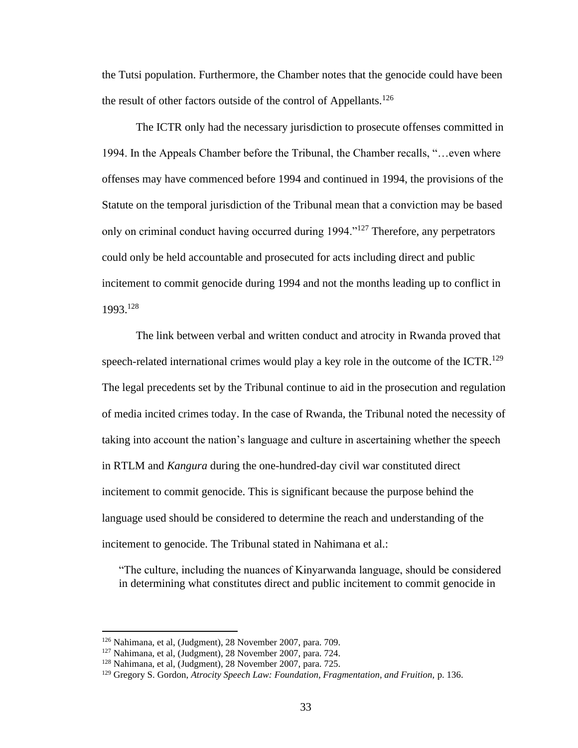the Tutsi population. Furthermore, the Chamber notes that the genocide could have been the result of other factors outside of the control of Appellants.<sup>126</sup>

The ICTR only had the necessary jurisdiction to prosecute offenses committed in 1994. In the Appeals Chamber before the Tribunal, the Chamber recalls, "…even where offenses may have commenced before 1994 and continued in 1994, the provisions of the Statute on the temporal jurisdiction of the Tribunal mean that a conviction may be based only on criminal conduct having occurred during 1994."<sup>127</sup> Therefore, any perpetrators could only be held accountable and prosecuted for acts including direct and public incitement to commit genocide during 1994 and not the months leading up to conflict in 1993.<sup>128</sup>

The link between verbal and written conduct and atrocity in Rwanda proved that speech-related international crimes would play a key role in the outcome of the ICTR.<sup>129</sup> The legal precedents set by the Tribunal continue to aid in the prosecution and regulation of media incited crimes today. In the case of Rwanda, the Tribunal noted the necessity of taking into account the nation's language and culture in ascertaining whether the speech in RTLM and *Kangura* during the one-hundred-day civil war constituted direct incitement to commit genocide. This is significant because the purpose behind the language used should be considered to determine the reach and understanding of the incitement to genocide. The Tribunal stated in Nahimana et al.:

"The culture, including the nuances of Kinyarwanda language, should be considered in determining what constitutes direct and public incitement to commit genocide in

<sup>126</sup> Nahimana, et al, (Judgment), 28 November 2007, para. 709.

<sup>127</sup> Nahimana, et al, (Judgment), 28 November 2007, para. 724.

<sup>128</sup> Nahimana, et al, (Judgment), 28 November 2007, para. 725.

<sup>129</sup> Gregory S. Gordon, *Atrocity Speech Law: Foundation, Fragmentation, and Fruition,* p. 136.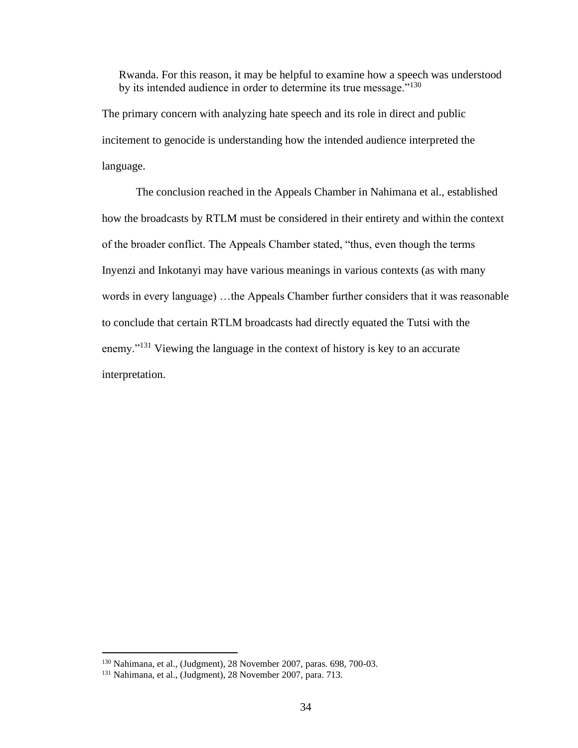Rwanda. For this reason, it may be helpful to examine how a speech was understood by its intended audience in order to determine its true message."<sup>130</sup>

The primary concern with analyzing hate speech and its role in direct and public incitement to genocide is understanding how the intended audience interpreted the language.

The conclusion reached in the Appeals Chamber in Nahimana et al., established how the broadcasts by RTLM must be considered in their entirety and within the context of the broader conflict. The Appeals Chamber stated, "thus, even though the terms Inyenzi and Inkotanyi may have various meanings in various contexts (as with many words in every language) …the Appeals Chamber further considers that it was reasonable to conclude that certain RTLM broadcasts had directly equated the Tutsi with the enemy."<sup>131</sup> Viewing the language in the context of history is key to an accurate interpretation.

<sup>130</sup> Nahimana, et al., (Judgment), 28 November 2007, paras. 698, 700-03.

<sup>131</sup> Nahimana, et al., (Judgment), 28 November 2007, para. 713.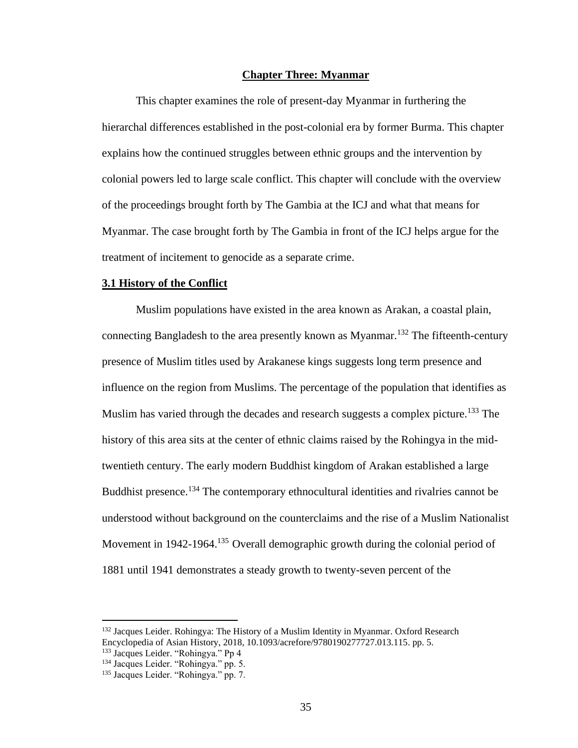## **Chapter Three: Myanmar**

This chapter examines the role of present-day Myanmar in furthering the hierarchal differences established in the post-colonial era by former Burma. This chapter explains how the continued struggles between ethnic groups and the intervention by colonial powers led to large scale conflict. This chapter will conclude with the overview of the proceedings brought forth by The Gambia at the ICJ and what that means for Myanmar. The case brought forth by The Gambia in front of the ICJ helps argue for the treatment of incitement to genocide as a separate crime.

### **3.1 History of the Conflict**

Muslim populations have existed in the area known as Arakan, a coastal plain, connecting Bangladesh to the area presently known as Myanmar.<sup>132</sup> The fifteenth-century presence of Muslim titles used by Arakanese kings suggests long term presence and influence on the region from Muslims. The percentage of the population that identifies as Muslim has varied through the decades and research suggests a complex picture.<sup>133</sup> The history of this area sits at the center of ethnic claims raised by the Rohingya in the midtwentieth century. The early modern Buddhist kingdom of Arakan established a large Buddhist presence.<sup>134</sup> The contemporary ethnocultural identities and rivalries cannot be understood without background on the counterclaims and the rise of a Muslim Nationalist Movement in 1942-1964.<sup>135</sup> Overall demographic growth during the colonial period of 1881 until 1941 demonstrates a steady growth to twenty-seven percent of the

<sup>&</sup>lt;sup>132</sup> Jacques Leider. Rohingya: The History of a Muslim Identity in Myanmar. Oxford Research Encyclopedia of Asian History, 2018, 10.1093/acrefore/9780190277727.013.115. pp. 5.

<sup>133</sup> Jacques Leider. "Rohingya." Pp 4

<sup>&</sup>lt;sup>134</sup> Jacques Leider. "Rohingya." pp. 5.

<sup>135</sup> Jacques Leider. "Rohingya." pp. 7.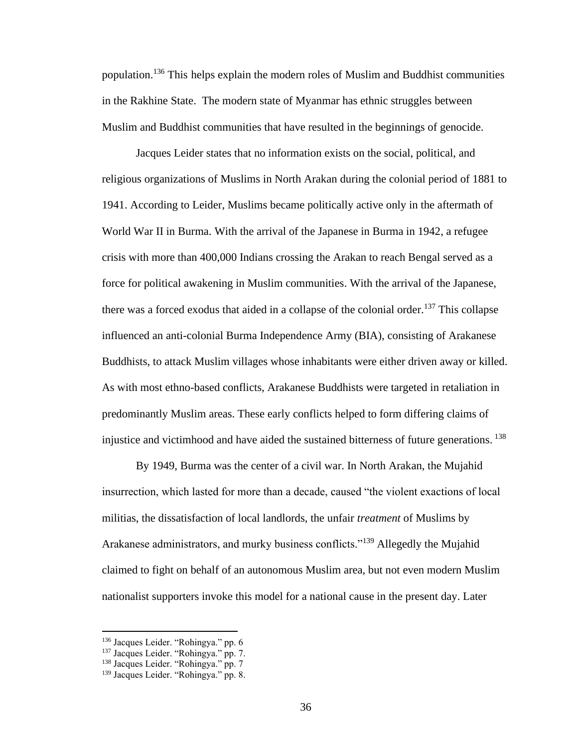population.<sup>136</sup> This helps explain the modern roles of Muslim and Buddhist communities in the Rakhine State. The modern state of Myanmar has ethnic struggles between Muslim and Buddhist communities that have resulted in the beginnings of genocide.

Jacques Leider states that no information exists on the social, political, and religious organizations of Muslims in North Arakan during the colonial period of 1881 to 1941. According to Leider, Muslims became politically active only in the aftermath of World War II in Burma. With the arrival of the Japanese in Burma in 1942, a refugee crisis with more than 400,000 Indians crossing the Arakan to reach Bengal served as a force for political awakening in Muslim communities. With the arrival of the Japanese, there was a forced exodus that aided in a collapse of the colonial order.<sup>137</sup> This collapse influenced an anti-colonial Burma Independence Army (BIA), consisting of Arakanese Buddhists, to attack Muslim villages whose inhabitants were either driven away or killed. As with most ethno-based conflicts, Arakanese Buddhists were targeted in retaliation in predominantly Muslim areas. These early conflicts helped to form differing claims of injustice and victimhood and have aided the sustained bitterness of future generations. 138

By 1949, Burma was the center of a civil war. In North Arakan, the Mujahid insurrection, which lasted for more than a decade, caused "the violent exactions of local militias, the dissatisfaction of local landlords, the unfair *treatment* of Muslims by Arakanese administrators, and murky business conflicts."<sup>139</sup> Allegedly the Mujahid claimed to fight on behalf of an autonomous Muslim area, but not even modern Muslim nationalist supporters invoke this model for a national cause in the present day. Later

<sup>136</sup> Jacques Leider. "Rohingya." pp. 6

<sup>137</sup> Jacques Leider. "Rohingya." pp. 7.

<sup>&</sup>lt;sup>138</sup> Jacques Leider. "Rohingya." pp. 7

<sup>139</sup> Jacques Leider. "Rohingya." pp. 8.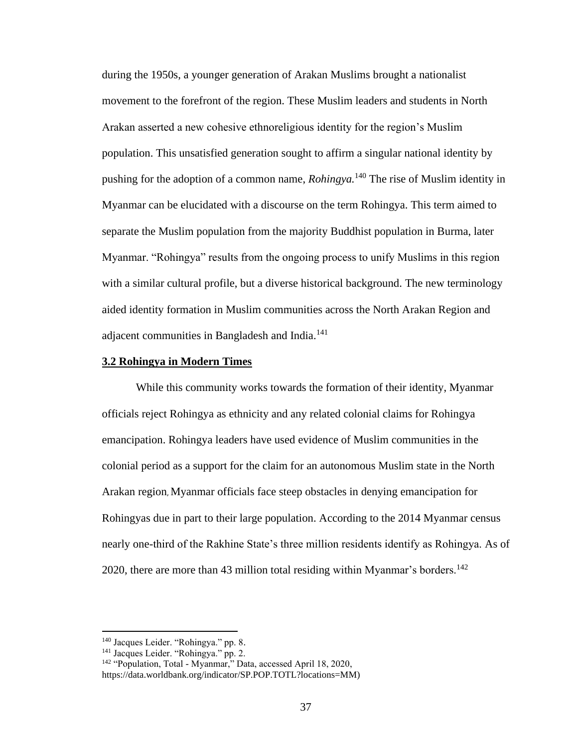during the 1950s, a younger generation of Arakan Muslims brought a nationalist movement to the forefront of the region. These Muslim leaders and students in North Arakan asserted a new cohesive ethnoreligious identity for the region's Muslim population. This unsatisfied generation sought to affirm a singular national identity by pushing for the adoption of a common name, *Rohingya.*<sup>140</sup> The rise of Muslim identity in Myanmar can be elucidated with a discourse on the term Rohingya. This term aimed to separate the Muslim population from the majority Buddhist population in Burma, later Myanmar. "Rohingya" results from the ongoing process to unify Muslims in this region with a similar cultural profile, but a diverse historical background. The new terminology aided identity formation in Muslim communities across the North Arakan Region and adjacent communities in Bangladesh and India.<sup>141</sup>

### **3.2 Rohingya in Modern Times**

While this community works towards the formation of their identity, Myanmar officials reject Rohingya as ethnicity and any related colonial claims for Rohingya emancipation. Rohingya leaders have used evidence of Muslim communities in the colonial period as a support for the claim for an autonomous Muslim state in the North Arakan region, Myanmar officials face steep obstacles in denying emancipation for Rohingyas due in part to their large population. According to the 2014 Myanmar census nearly one-third of the Rakhine State's three million residents identify as Rohingya. As of 2020, there are more than 43 million total residing within Myanmar's borders.<sup>142</sup>

<sup>140</sup> Jacques Leider. "Rohingya." pp. 8.

<sup>&</sup>lt;sup>141</sup> Jacques Leider. "Rohingya." pp. 2.

<sup>&</sup>lt;sup>142</sup> "Population, Total - Myanmar," Data, accessed April 18, 2020,

https://data.worldbank.org/indicator/SP.POP.TOTL?locations=MM)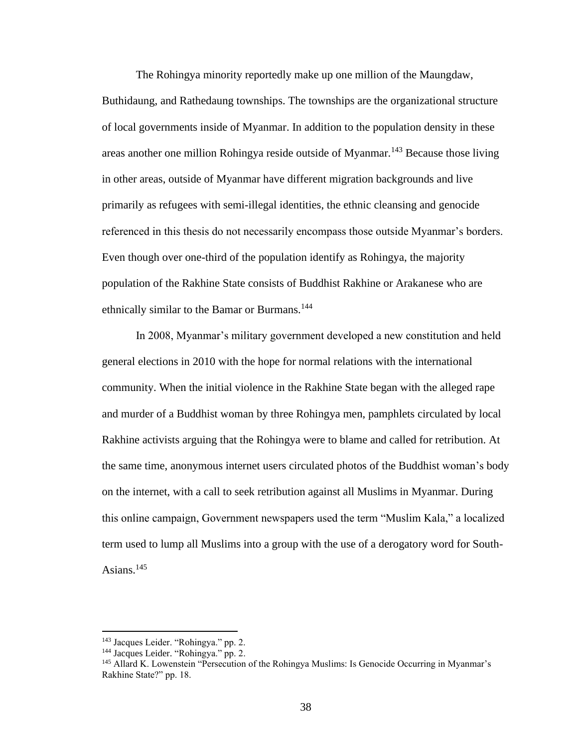The Rohingya minority reportedly make up one million of the Maungdaw,

Buthidaung, and Rathedaung townships. The townships are the organizational structure of local governments inside of Myanmar. In addition to the population density in these areas another one million Rohingya reside outside of Myanmar.<sup>143</sup> Because those living in other areas, outside of Myanmar have different migration backgrounds and live primarily as refugees with semi-illegal identities, the ethnic cleansing and genocide referenced in this thesis do not necessarily encompass those outside Myanmar's borders. Even though over one-third of the population identify as Rohingya, the majority population of the Rakhine State consists of Buddhist Rakhine or Arakanese who are ethnically similar to the Bamar or Burmans.<sup>144</sup>

In 2008, Myanmar's military government developed a new constitution and held general elections in 2010 with the hope for normal relations with the international community. When the initial violence in the Rakhine State began with the alleged rape and murder of a Buddhist woman by three Rohingya men, pamphlets circulated by local Rakhine activists arguing that the Rohingya were to blame and called for retribution. At the same time, anonymous internet users circulated photos of the Buddhist woman's body on the internet, with a call to seek retribution against all Muslims in Myanmar. During this online campaign, Government newspapers used the term "Muslim Kala," a localized term used to lump all Muslims into a group with the use of a derogatory word for South-Asians. $145$ 

<sup>143</sup> Jacques Leider. "Rohingya." pp. 2.

<sup>&</sup>lt;sup>144</sup> Jacques Leider. "Rohingya." pp. 2.

<sup>145</sup> Allard K. Lowenstein "Persecution of the Rohingya Muslims: Is Genocide Occurring in Myanmar's Rakhine State?" pp. 18.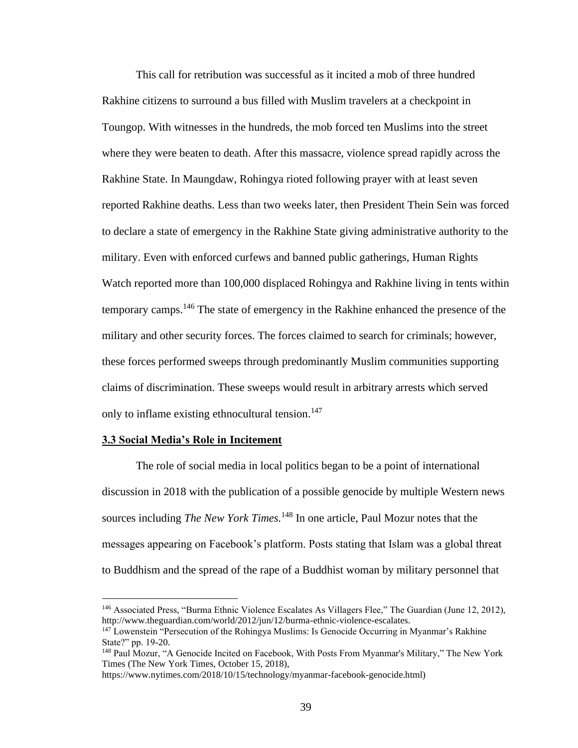This call for retribution was successful as it incited a mob of three hundred Rakhine citizens to surround a bus filled with Muslim travelers at a checkpoint in Toungop. With witnesses in the hundreds, the mob forced ten Muslims into the street where they were beaten to death. After this massacre, violence spread rapidly across the Rakhine State. In Maungdaw, Rohingya rioted following prayer with at least seven reported Rakhine deaths. Less than two weeks later, then President Thein Sein was forced to declare a state of emergency in the Rakhine State giving administrative authority to the military. Even with enforced curfews and banned public gatherings, Human Rights Watch reported more than 100,000 displaced Rohingya and Rakhine living in tents within temporary camps.<sup>146</sup> The state of emergency in the Rakhine enhanced the presence of the military and other security forces. The forces claimed to search for criminals; however, these forces performed sweeps through predominantly Muslim communities supporting claims of discrimination. These sweeps would result in arbitrary arrests which served only to inflame existing ethnocultural tension.<sup>147</sup>

# **3.3 Social Media's Role in Incitement**

The role of social media in local politics began to be a point of international discussion in 2018 with the publication of a possible genocide by multiple Western news sources including *The New York Times.* <sup>148</sup> In one article, Paul Mozur notes that the messages appearing on Facebook's platform. Posts stating that Islam was a global threat to Buddhism and the spread of the rape of a Buddhist woman by military personnel that

<sup>146</sup> Associated Press, "Burma Ethnic Violence Escalates As Villagers Flee," The Guardian (June 12, 2012), http://www.theguardian.com/world/2012/jun/12/burma-ethnic-violence-escalates.

<sup>&</sup>lt;sup>147</sup> Lowenstein "Persecution of the Rohingya Muslims: Is Genocide Occurring in Myanmar's Rakhine State?" pp. 19-20.

<sup>&</sup>lt;sup>148</sup> Paul Mozur, "A Genocide Incited on Facebook, With Posts From Myanmar's Military," The New York Times (The New York Times, October 15, 2018),

https://www.nytimes.com/2018/10/15/technology/myanmar-facebook-genocide.html)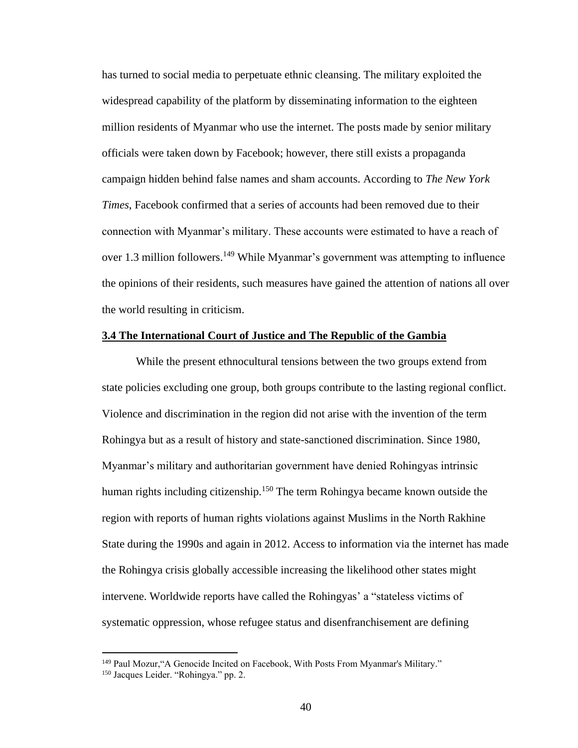has turned to social media to perpetuate ethnic cleansing. The military exploited the widespread capability of the platform by disseminating information to the eighteen million residents of Myanmar who use the internet. The posts made by senior military officials were taken down by Facebook; however, there still exists a propaganda campaign hidden behind false names and sham accounts. According to *The New York Times*, Facebook confirmed that a series of accounts had been removed due to their connection with Myanmar's military. These accounts were estimated to have a reach of over 1.3 million followers.<sup>149</sup> While Myanmar's government was attempting to influence the opinions of their residents, such measures have gained the attention of nations all over the world resulting in criticism.

## **3.4 The International Court of Justice and The Republic of the Gambia**

While the present ethnocultural tensions between the two groups extend from state policies excluding one group, both groups contribute to the lasting regional conflict. Violence and discrimination in the region did not arise with the invention of the term Rohingya but as a result of history and state-sanctioned discrimination. Since 1980, Myanmar's military and authoritarian government have denied Rohingyas intrinsic human rights including citizenship.<sup>150</sup> The term Rohingya became known outside the region with reports of human rights violations against Muslims in the North Rakhine State during the 1990s and again in 2012. Access to information via the internet has made the Rohingya crisis globally accessible increasing the likelihood other states might intervene. Worldwide reports have called the Rohingyas' a "stateless victims of systematic oppression, whose refugee status and disenfranchisement are defining

<sup>&</sup>lt;sup>149</sup> Paul Mozur, "A Genocide Incited on Facebook, With Posts From Myanmar's Military."

<sup>150</sup> Jacques Leider. "Rohingya." pp. 2.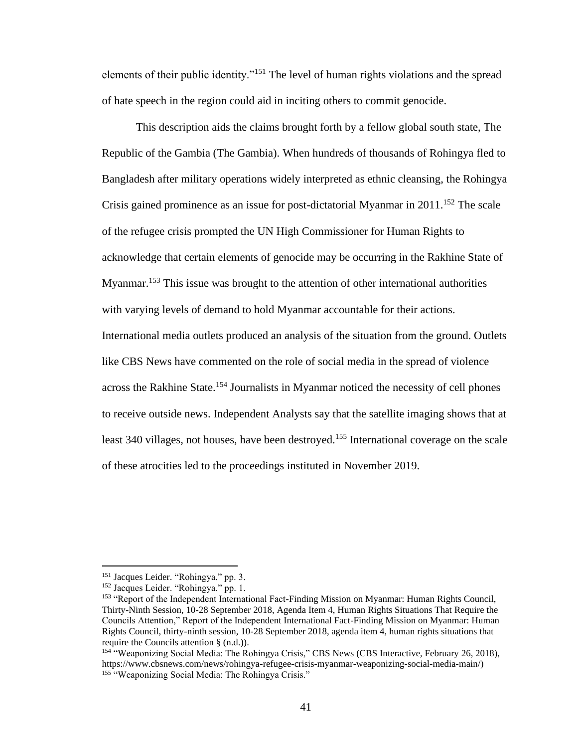elements of their public identity."<sup>151</sup> The level of human rights violations and the spread of hate speech in the region could aid in inciting others to commit genocide.

This description aids the claims brought forth by a fellow global south state, The Republic of the Gambia (The Gambia). When hundreds of thousands of Rohingya fled to Bangladesh after military operations widely interpreted as ethnic cleansing, the Rohingya Crisis gained prominence as an issue for post-dictatorial Myanmar in  $2011$ <sup>152</sup>. The scale of the refugee crisis prompted the UN High Commissioner for Human Rights to acknowledge that certain elements of genocide may be occurring in the Rakhine State of Myanmar.<sup>153</sup> This issue was brought to the attention of other international authorities with varying levels of demand to hold Myanmar accountable for their actions. International media outlets produced an analysis of the situation from the ground. Outlets like CBS News have commented on the role of social media in the spread of violence across the Rakhine State.<sup>154</sup> Journalists in Myanmar noticed the necessity of cell phones to receive outside news. Independent Analysts say that the satellite imaging shows that at least 340 villages, not houses, have been destroyed.<sup>155</sup> International coverage on the scale of these atrocities led to the proceedings instituted in November 2019.

<sup>151</sup> Jacques Leider. "Rohingya." pp. 3.

<sup>&</sup>lt;sup>152</sup> Jacques Leider. "Rohingya." pp. 1.

<sup>&</sup>lt;sup>153</sup> "Report of the Independent International Fact-Finding Mission on Myanmar: Human Rights Council, Thirty-Ninth Session, 10-28 September 2018, Agenda Item 4, Human Rights Situations That Require the Councils Attention," Report of the Independent International Fact-Finding Mission on Myanmar: Human Rights Council, thirty-ninth session, 10-28 September 2018, agenda item 4, human rights situations that require the Councils attention § (n.d.)).

<sup>&</sup>lt;sup>154</sup> "Weaponizing Social Media: The Rohingya Crisis," CBS News (CBS Interactive, February 26, 2018), https://www.cbsnews.com/news/rohingya-refugee-crisis-myanmar-weaponizing-social-media-main/) <sup>155</sup> "Weaponizing Social Media: The Rohingya Crisis."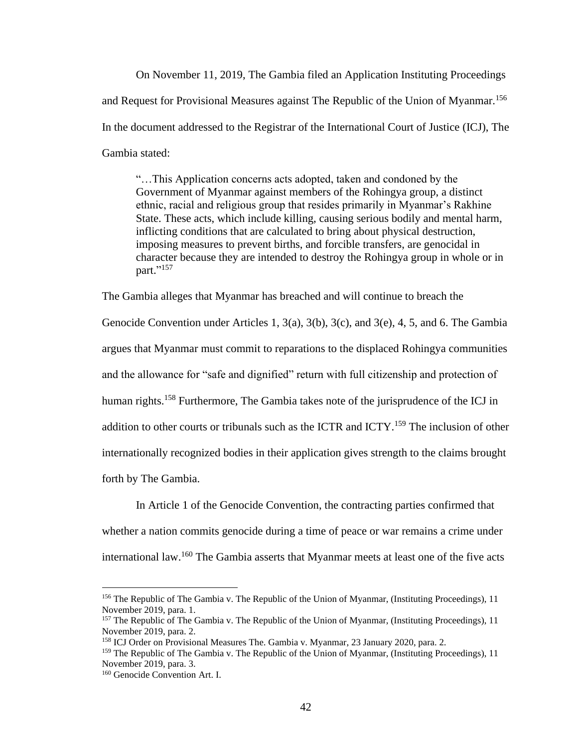On November 11, 2019, The Gambia filed an Application Instituting Proceedings and Request for Provisional Measures against The Republic of the Union of Myanmar.<sup>156</sup> In the document addressed to the Registrar of the International Court of Justice (ICJ), The Gambia stated:

"…This Application concerns acts adopted, taken and condoned by the Government of Myanmar against members of the Rohingya group, a distinct ethnic, racial and religious group that resides primarily in Myanmar's Rakhine State. These acts, which include killing, causing serious bodily and mental harm, inflicting conditions that are calculated to bring about physical destruction, imposing measures to prevent births, and forcible transfers, are genocidal in character because they are intended to destroy the Rohingya group in whole or in part." 157

The Gambia alleges that Myanmar has breached and will continue to breach the

Genocide Convention under Articles 1,  $3(a)$ ,  $3(b)$ ,  $3(c)$ , and  $3(e)$ , 4, 5, and 6. The Gambia argues that Myanmar must commit to reparations to the displaced Rohingya communities and the allowance for "safe and dignified" return with full citizenship and protection of human rights.<sup>158</sup> Furthermore, The Gambia takes note of the jurisprudence of the ICJ in addition to other courts or tribunals such as the ICTR and ICTY.<sup>159</sup> The inclusion of other internationally recognized bodies in their application gives strength to the claims brought forth by The Gambia.

In Article 1 of the Genocide Convention, the contracting parties confirmed that whether a nation commits genocide during a time of peace or war remains a crime under international law.<sup>160</sup> The Gambia asserts that Myanmar meets at least one of the five acts

<sup>156</sup> The Republic of The Gambia v. The Republic of the Union of Myanmar, (Instituting Proceedings), 11 November 2019, para. 1.

<sup>&</sup>lt;sup>157</sup> The Republic of The Gambia v. The Republic of the Union of Myanmar, (Instituting Proceedings), 11 November 2019, para. 2.

<sup>158</sup> ICJ Order on Provisional Measures The. Gambia v. Myanmar, 23 January 2020, para. 2.

<sup>&</sup>lt;sup>159</sup> The Republic of The Gambia v. The Republic of the Union of Myanmar, (Instituting Proceedings), 11 November 2019, para. 3.

<sup>160</sup> Genocide Convention Art. I.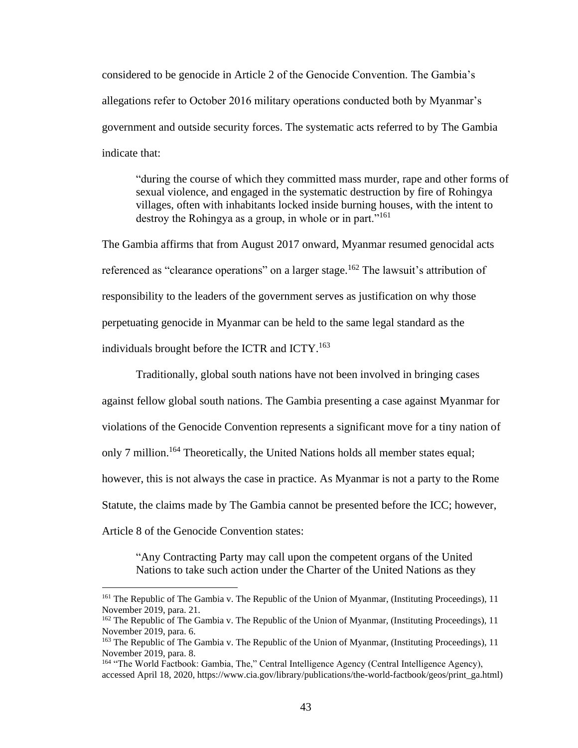considered to be genocide in Article 2 of the Genocide Convention. The Gambia's allegations refer to October 2016 military operations conducted both by Myanmar's government and outside security forces. The systematic acts referred to by The Gambia indicate that:

"during the course of which they committed mass murder, rape and other forms of sexual violence, and engaged in the systematic destruction by fire of Rohingya villages, often with inhabitants locked inside burning houses, with the intent to destroy the Rohingya as a group, in whole or in part."<sup>161</sup>

The Gambia affirms that from August 2017 onward, Myanmar resumed genocidal acts referenced as "clearance operations" on a larger stage.<sup>162</sup> The lawsuit's attribution of responsibility to the leaders of the government serves as justification on why those perpetuating genocide in Myanmar can be held to the same legal standard as the individuals brought before the ICTR and ICTY.<sup>163</sup>

Traditionally, global south nations have not been involved in bringing cases against fellow global south nations. The Gambia presenting a case against Myanmar for violations of the Genocide Convention represents a significant move for a tiny nation of only 7 million.<sup>164</sup> Theoretically, the United Nations holds all member states equal; however, this is not always the case in practice. As Myanmar is not a party to the Rome Statute, the claims made by The Gambia cannot be presented before the ICC; however, Article 8 of the Genocide Convention states:

"Any Contracting Party may call upon the competent organs of the United Nations to take such action under the Charter of the United Nations as they

<sup>&</sup>lt;sup>161</sup> The Republic of The Gambia v. The Republic of the Union of Myanmar, (Instituting Proceedings), 11 November 2019, para. 21.

<sup>&</sup>lt;sup>162</sup> The Republic of The Gambia v. The Republic of the Union of Myanmar, (Instituting Proceedings), 11 November 2019, para. 6.

<sup>&</sup>lt;sup>163</sup> The Republic of The Gambia v. The Republic of the Union of Myanmar, (Instituting Proceedings), 11 November 2019, para. 8.

<sup>164 &</sup>quot;The World Factbook: Gambia, The," Central Intelligence Agency (Central Intelligence Agency), accessed April 18, 2020, https://www.cia.gov/library/publications/the-world-factbook/geos/print\_ga.html)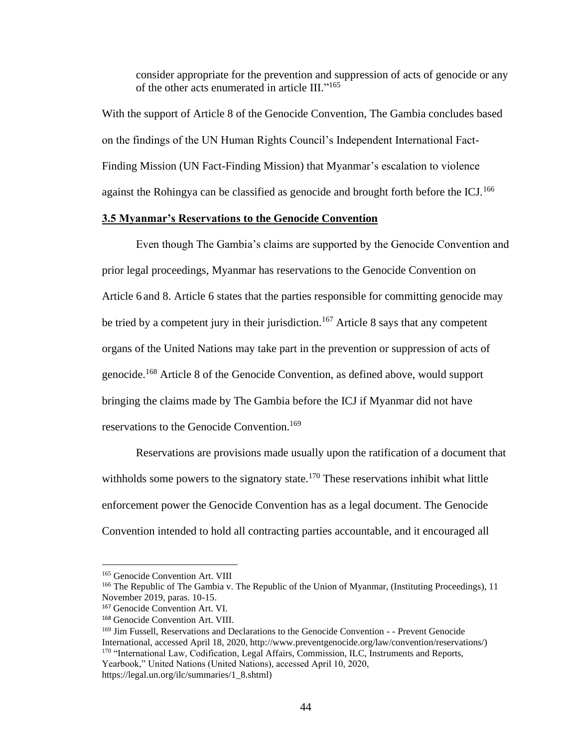consider appropriate for the prevention and suppression of acts of genocide or any of the other acts enumerated in article III."<sup>165</sup>

With the support of Article 8 of the Genocide Convention, The Gambia concludes based on the findings of the UN Human Rights Council's Independent International Fact-Finding Mission (UN Fact-Finding Mission) that Myanmar's escalation to violence against the Rohingya can be classified as genocide and brought forth before the ICJ.<sup>166</sup>

# **3.5 Myanmar's Reservations to the Genocide Convention**

Even though The Gambia's claims are supported by the Genocide Convention and prior legal proceedings, Myanmar has reservations to the Genocide Convention on Article 6 and 8. Article 6 states that the parties responsible for committing genocide may be tried by a competent jury in their jurisdiction.<sup>167</sup> Article 8 says that any competent organs of the United Nations may take part in the prevention or suppression of acts of genocide.<sup>168</sup> Article 8 of the Genocide Convention, as defined above, would support bringing the claims made by The Gambia before the ICJ if Myanmar did not have reservations to the Genocide Convention.<sup>169</sup>

Reservations are provisions made usually upon the ratification of a document that withholds some powers to the signatory state.<sup>170</sup> These reservations inhibit what little enforcement power the Genocide Convention has as a legal document. The Genocide Convention intended to hold all contracting parties accountable, and it encouraged all

<sup>169</sup> Jim Fussell, Reservations and Declarations to the Genocide Convention - - Prevent Genocide International, accessed April 18, 2020, http://www.preventgenocide.org/law/convention/reservations/) 170 "International Law, Codification, Legal Affairs, Commission, ILC, Instruments and Reports, Yearbook," United Nations (United Nations), accessed April 10, 2020,

https://legal.un.org/ilc/summaries/1\_8.shtml)

<sup>&</sup>lt;sup>165</sup> Genocide Convention Art. VIII

<sup>&</sup>lt;sup>166</sup> The Republic of The Gambia v. The Republic of the Union of Myanmar, (Instituting Proceedings), 11 November 2019, paras. 10-15.

<sup>167</sup> Genocide Convention Art. VI.

<sup>168</sup> Genocide Convention Art. VIII.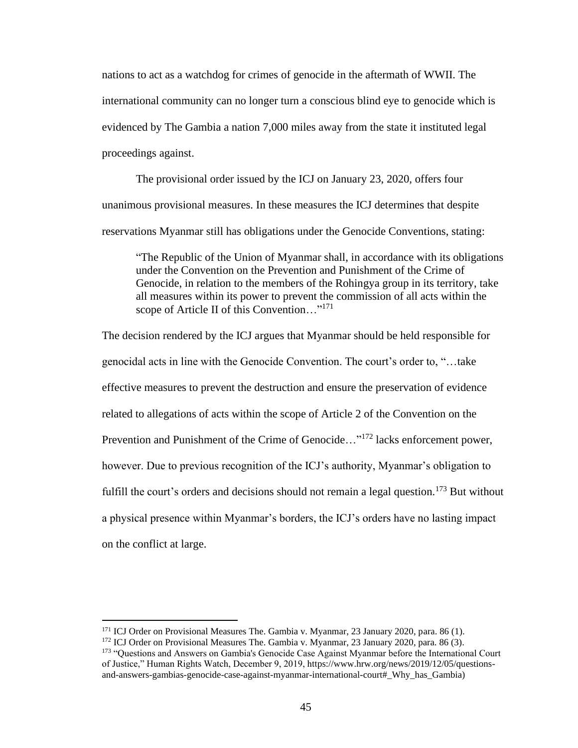nations to act as a watchdog for crimes of genocide in the aftermath of WWII. The international community can no longer turn a conscious blind eye to genocide which is evidenced by The Gambia a nation 7,000 miles away from the state it instituted legal proceedings against.

The provisional order issued by the ICJ on January 23, 2020, offers four unanimous provisional measures. In these measures the ICJ determines that despite reservations Myanmar still has obligations under the Genocide Conventions, stating:

"The Republic of the Union of Myanmar shall, in accordance with its obligations under the Convention on the Prevention and Punishment of the Crime of Genocide, in relation to the members of the Rohingya group in its territory, take all measures within its power to prevent the commission of all acts within the scope of Article II of this Convention..."<sup>171</sup>

The decision rendered by the ICJ argues that Myanmar should be held responsible for genocidal acts in line with the Genocide Convention. The court's order to, "…take effective measures to prevent the destruction and ensure the preservation of evidence related to allegations of acts within the scope of Article 2 of the Convention on the Prevention and Punishment of the Crime of Genocide..."<sup>172</sup> lacks enforcement power, however. Due to previous recognition of the ICJ's authority, Myanmar's obligation to fulfill the court's orders and decisions should not remain a legal question.<sup>173</sup> But without a physical presence within Myanmar's borders, the ICJ's orders have no lasting impact on the conflict at large.

<sup>&</sup>lt;sup>171</sup> ICJ Order on Provisional Measures The. Gambia v. Myanmar, 23 January 2020, para. 86 (1).

<sup>&</sup>lt;sup>172</sup> ICJ Order on Provisional Measures The. Gambia v. Myanmar, 23 January 2020, para. 86 (3).

<sup>&</sup>lt;sup>173</sup> "Questions and Answers on Gambia's Genocide Case Against Myanmar before the International Court of Justice," Human Rights Watch, December 9, 2019, https://www.hrw.org/news/2019/12/05/questionsand-answers-gambias-genocide-case-against-myanmar-international-court#\_Why\_has\_Gambia)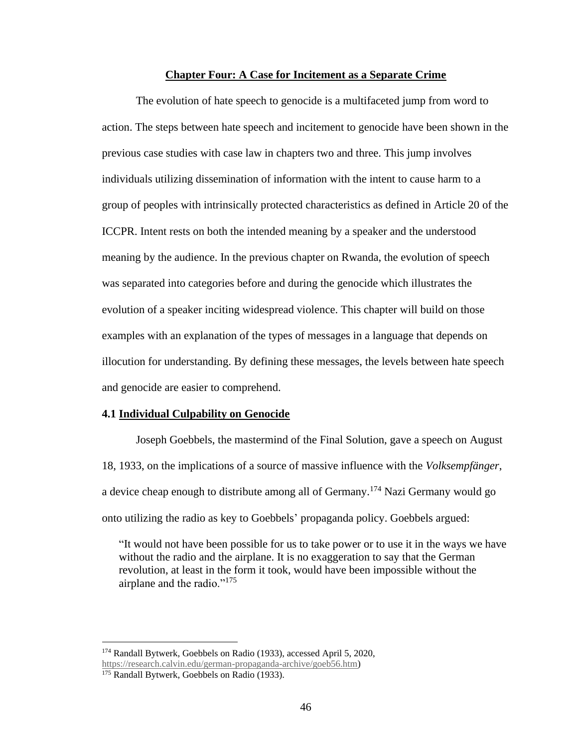## **Chapter Four: A Case for Incitement as a Separate Crime**

The evolution of hate speech to genocide is a multifaceted jump from word to action. The steps between hate speech and incitement to genocide have been shown in the previous case studies with case law in chapters two and three. This jump involves individuals utilizing dissemination of information with the intent to cause harm to a group of peoples with intrinsically protected characteristics as defined in Article 20 of the ICCPR. Intent rests on both the intended meaning by a speaker and the understood meaning by the audience. In the previous chapter on Rwanda, the evolution of speech was separated into categories before and during the genocide which illustrates the evolution of a speaker inciting widespread violence. This chapter will build on those examples with an explanation of the types of messages in a language that depends on illocution for understanding. By defining these messages, the levels between hate speech and genocide are easier to comprehend.

#### **4.1 Individual Culpability on Genocide**

Joseph Goebbels, the mastermind of the Final Solution, gave a speech on August 18, 1933, on the implications of a source of massive influence with the *Volksempfänger*, a device cheap enough to distribute among all of Germany.<sup>174</sup> Nazi Germany would go onto utilizing the radio as key to Goebbels' propaganda policy. Goebbels argued:

"It would not have been possible for us to take power or to use it in the ways we have without the radio and the airplane. It is no exaggeration to say that the German revolution, at least in the form it took, would have been impossible without the airplane and the radio."<sup>175</sup>

<sup>174</sup> Randall Bytwerk, Goebbels on Radio (1933), accessed April 5, 2020, [https://research.calvin.edu/german-propaganda-archive/goeb56.htm\)](https://research.calvin.edu/german-propaganda-archive/goeb56.htm)

<sup>&</sup>lt;sup>175</sup> Randall Bytwerk, Goebbels on Radio (1933).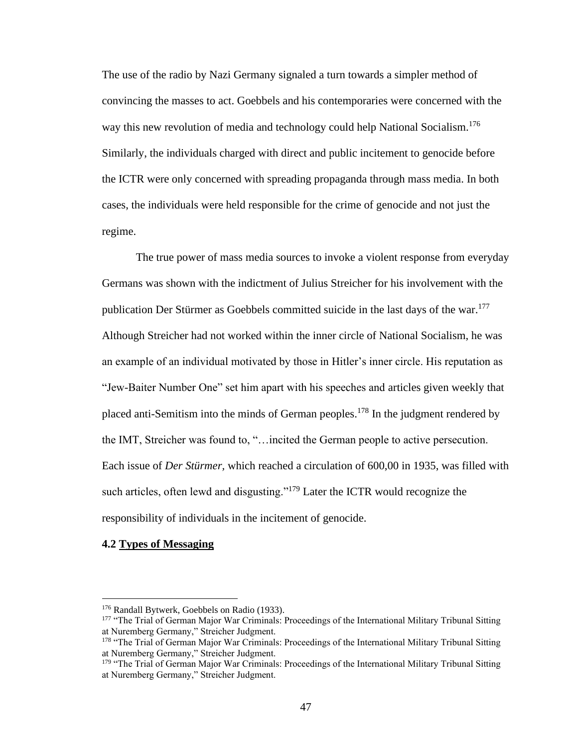The use of the radio by Nazi Germany signaled a turn towards a simpler method of convincing the masses to act. Goebbels and his contemporaries were concerned with the way this new revolution of media and technology could help National Socialism.<sup>176</sup> Similarly, the individuals charged with direct and public incitement to genocide before the ICTR were only concerned with spreading propaganda through mass media. In both cases, the individuals were held responsible for the crime of genocide and not just the regime.

The true power of mass media sources to invoke a violent response from everyday Germans was shown with the indictment of Julius Streicher for his involvement with the publication Der Stürmer as Goebbels committed suicide in the last days of the war.<sup>177</sup> Although Streicher had not worked within the inner circle of National Socialism, he was an example of an individual motivated by those in Hitler's inner circle. His reputation as "Jew-Baiter Number One" set him apart with his speeches and articles given weekly that placed anti-Semitism into the minds of German peoples.<sup>178</sup> In the judgment rendered by the IMT, Streicher was found to, "…incited the German people to active persecution. Each issue of *Der Stürmer,* which reached a circulation of 600,00 in 1935, was filled with such articles, often lewd and disgusting."<sup>179</sup> Later the ICTR would recognize the responsibility of individuals in the incitement of genocide.

## **4.2 Types of Messaging**

<sup>&</sup>lt;sup>176</sup> Randall Bytwerk, Goebbels on Radio (1933).

<sup>&</sup>lt;sup>177</sup> "The Trial of German Major War Criminals: Proceedings of the International Military Tribunal Sitting at Nuremberg Germany," Streicher Judgment.

<sup>&</sup>lt;sup>178</sup> "The Trial of German Major War Criminals: Proceedings of the International Military Tribunal Sitting at Nuremberg Germany," Streicher Judgment.

<sup>&</sup>lt;sup>179</sup> "The Trial of German Major War Criminals: Proceedings of the International Military Tribunal Sitting at Nuremberg Germany," Streicher Judgment.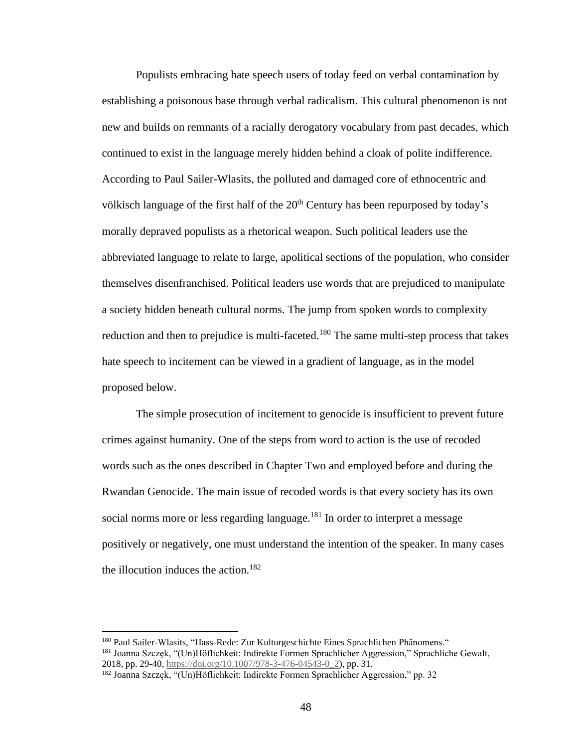Populists embracing hate speech users of today feed on verbal contamination by establishing a poisonous base through verbal radicalism. This cultural phenomenon is not new and builds on remnants of a racially derogatory vocabulary from past decades, which continued to exist in the language merely hidden behind a cloak of polite indifference. According to Paul Sailer-Wlasits, the polluted and damaged core of ethnocentric and völkisch language of the first half of the  $20<sup>th</sup>$  Century has been repurposed by today's morally depraved populists as a rhetorical weapon. Such political leaders use the abbreviated language to relate to large, apolitical sections of the population, who consider themselves disenfranchised. Political leaders use words that are prejudiced to manipulate a society hidden beneath cultural norms. The jump from spoken words to complexity reduction and then to prejudice is multi-faceted.<sup>180</sup> The same multi-step process that takes hate speech to incitement can be viewed in a gradient of language, as in the model proposed below.

The simple prosecution of incitement to genocide is insufficient to prevent future crimes against humanity. One of the steps from word to action is the use of recoded words such as the ones described in Chapter Two and employed before and during the Rwandan Genocide. The main issue of recoded words is that every society has its own social norms more or less regarding language.<sup>181</sup> In order to interpret a message positively or negatively, one must understand the intention of the speaker. In many cases the illocution induces the action. $182$ 

<sup>180</sup> Paul Sailer-Wlasits, "Hass-Rede: Zur Kulturgeschichte Eines Sprachlichen Phänomens." <sup>181</sup> Joanna Szczęk, "(Un)Höflichkeit: Indirekte Formen Sprachlicher Aggression," Sprachliche Gewalt, 2018, pp. 29-40, [https://doi.org/10.1007/978-3-476-04543-0\\_2\)](https://doi.org/10.1007/978-3-476-04543-0_2), pp. 31.

<sup>182</sup> Joanna Szczęk, "(Un)Höflichkeit: Indirekte Formen Sprachlicher Aggression," pp. 32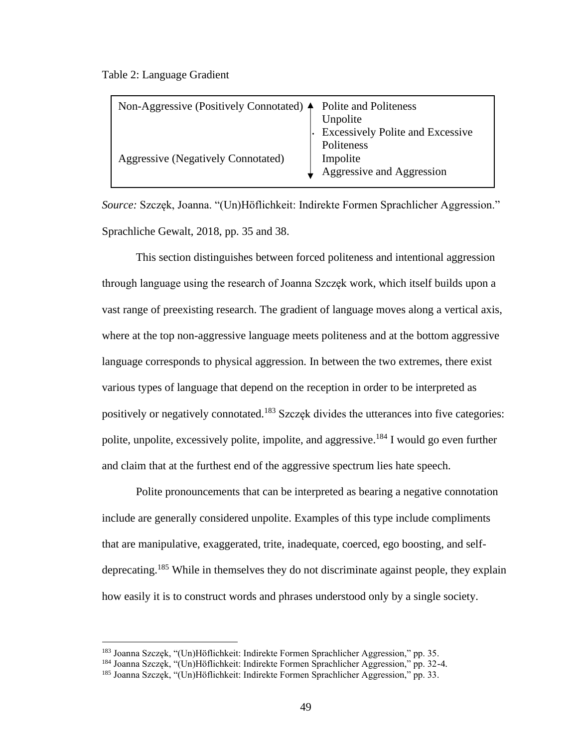Table 2: Language Gradient

| Non-Aggressive (Positively Connotated) $\triangle$ | Polite and Politeness<br>Unpolite                                                              |
|----------------------------------------------------|------------------------------------------------------------------------------------------------|
| Aggressive (Negatively Connotated)                 | <b>Excessively Polite and Excessive</b><br>Politeness<br>Impolite<br>Aggressive and Aggression |

*Source:* Szczęk, Joanna. "(Un)Höflichkeit: Indirekte Formen Sprachlicher Aggression." Sprachliche Gewalt, 2018, pp. 35 and 38.

This section distinguishes between forced politeness and intentional aggression through language using the research of Joanna Szczęk work, which itself builds upon a vast range of preexisting research. The gradient of language moves along a vertical axis, where at the top non-aggressive language meets politeness and at the bottom aggressive language corresponds to physical aggression. In between the two extremes, there exist various types of language that depend on the reception in order to be interpreted as positively or negatively connotated.<sup>183</sup> Szczęk divides the utterances into five categories: polite, unpolite, excessively polite, impolite, and aggressive.<sup>184</sup> I would go even further and claim that at the furthest end of the aggressive spectrum lies hate speech.

Polite pronouncements that can be interpreted as bearing a negative connotation include are generally considered unpolite. Examples of this type include compliments that are manipulative, exaggerated, trite, inadequate, coerced, ego boosting, and selfdeprecating. <sup>185</sup> While in themselves they do not discriminate against people, they explain how easily it is to construct words and phrases understood only by a single society.

<sup>183</sup> Joanna Szczęk, "(Un)Höflichkeit: Indirekte Formen Sprachlicher Aggression," pp. 35.

<sup>184</sup> Joanna Szczęk, "(Un)Höflichkeit: Indirekte Formen Sprachlicher Aggression," pp. 32-4.

<sup>185</sup> Joanna Szczęk, "(Un)Höflichkeit: Indirekte Formen Sprachlicher Aggression," pp. 33.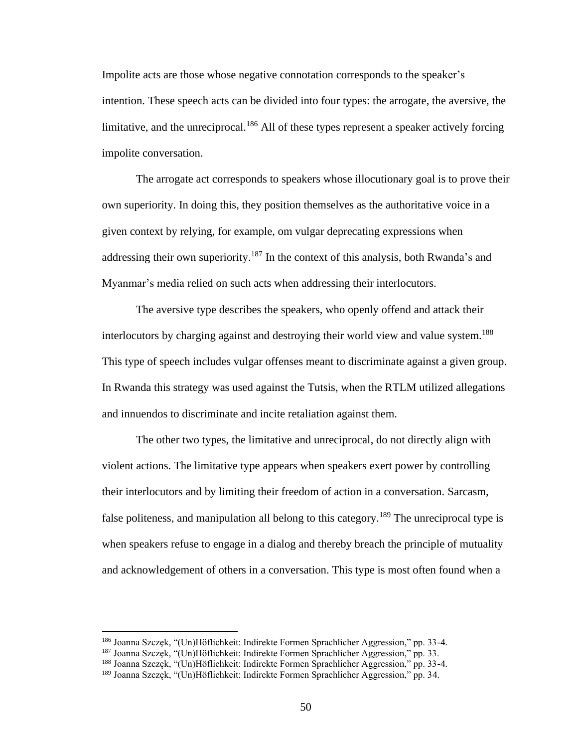Impolite acts are those whose negative connotation corresponds to the speaker's intention. These speech acts can be divided into four types: the arrogate, the aversive, the limitative, and the unreciprocal.<sup>186</sup> All of these types represent a speaker actively forcing impolite conversation.

The arrogate act corresponds to speakers whose illocutionary goal is to prove their own superiority. In doing this, they position themselves as the authoritative voice in a given context by relying, for example, om vulgar deprecating expressions when addressing their own superiority.<sup>187</sup> In the context of this analysis, both Rwanda's and Myanmar's media relied on such acts when addressing their interlocutors.

The aversive type describes the speakers, who openly offend and attack their interlocutors by charging against and destroying their world view and value system.<sup>188</sup> This type of speech includes vulgar offenses meant to discriminate against a given group. In Rwanda this strategy was used against the Tutsis, when the RTLM utilized allegations and innuendos to discriminate and incite retaliation against them.

The other two types, the limitative and unreciprocal, do not directly align with violent actions. The limitative type appears when speakers exert power by controlling their interlocutors and by limiting their freedom of action in a conversation. Sarcasm, false politeness, and manipulation all belong to this category.<sup>189</sup> The unreciprocal type is when speakers refuse to engage in a dialog and thereby breach the principle of mutuality and acknowledgement of others in a conversation. This type is most often found when a

<sup>186</sup> Joanna Szczęk, "(Un)Höflichkeit: Indirekte Formen Sprachlicher Aggression," pp. 33-4.

<sup>187</sup> Joanna Szczęk, "(Un)Höflichkeit: Indirekte Formen Sprachlicher Aggression," pp. 33.

<sup>188</sup> Joanna Szczęk, "(Un)Höflichkeit: Indirekte Formen Sprachlicher Aggression," pp. 33-4.

<sup>189</sup> Joanna Szczęk, "(Un)Höflichkeit: Indirekte Formen Sprachlicher Aggression," pp. 34.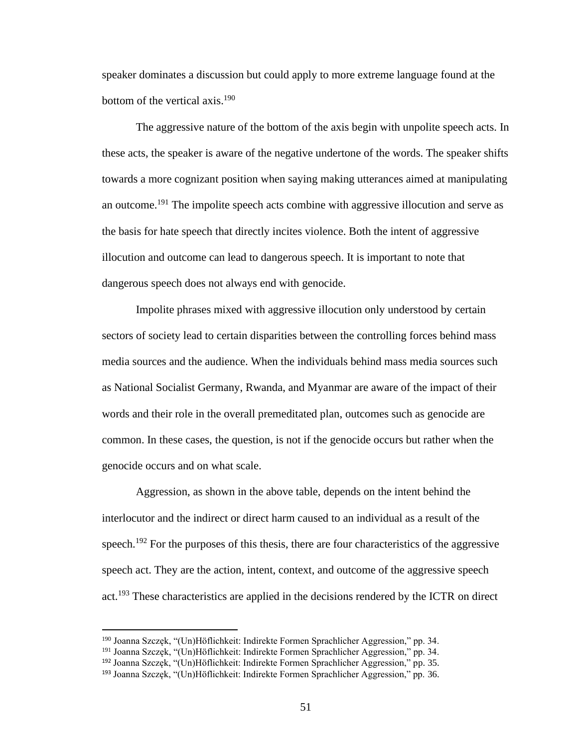speaker dominates a discussion but could apply to more extreme language found at the bottom of the vertical axis. 190

The aggressive nature of the bottom of the axis begin with unpolite speech acts. In these acts, the speaker is aware of the negative undertone of the words. The speaker shifts towards a more cognizant position when saying making utterances aimed at manipulating an outcome.<sup>191</sup> The impolite speech acts combine with aggressive illocution and serve as the basis for hate speech that directly incites violence. Both the intent of aggressive illocution and outcome can lead to dangerous speech. It is important to note that dangerous speech does not always end with genocide.

Impolite phrases mixed with aggressive illocution only understood by certain sectors of society lead to certain disparities between the controlling forces behind mass media sources and the audience. When the individuals behind mass media sources such as National Socialist Germany, Rwanda, and Myanmar are aware of the impact of their words and their role in the overall premeditated plan, outcomes such as genocide are common. In these cases, the question, is not if the genocide occurs but rather when the genocide occurs and on what scale.

Aggression, as shown in the above table, depends on the intent behind the interlocutor and the indirect or direct harm caused to an individual as a result of the speech.<sup>192</sup> For the purposes of this thesis, there are four characteristics of the aggressive speech act. They are the action, intent, context, and outcome of the aggressive speech act.<sup>193</sup> These characteristics are applied in the decisions rendered by the ICTR on direct

<sup>190</sup> Joanna Szczęk, "(Un)Höflichkeit: Indirekte Formen Sprachlicher Aggression," pp. 34.

<sup>191</sup> Joanna Szczęk, "(Un)Höflichkeit: Indirekte Formen Sprachlicher Aggression," pp. 34.

<sup>192</sup> Joanna Szczęk, "(Un)Höflichkeit: Indirekte Formen Sprachlicher Aggression," pp. 35.

<sup>193</sup> Joanna Szczęk, "(Un)Höflichkeit: Indirekte Formen Sprachlicher Aggression," pp. 36.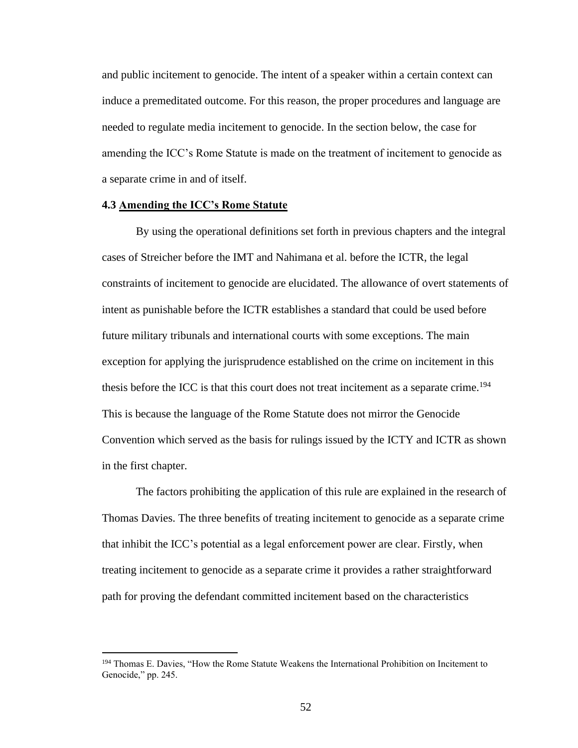and public incitement to genocide. The intent of a speaker within a certain context can induce a premeditated outcome. For this reason, the proper procedures and language are needed to regulate media incitement to genocide. In the section below, the case for amending the ICC's Rome Statute is made on the treatment of incitement to genocide as a separate crime in and of itself.

## **4.3 Amending the ICC's Rome Statute**

By using the operational definitions set forth in previous chapters and the integral cases of Streicher before the IMT and Nahimana et al. before the ICTR, the legal constraints of incitement to genocide are elucidated. The allowance of overt statements of intent as punishable before the ICTR establishes a standard that could be used before future military tribunals and international courts with some exceptions. The main exception for applying the jurisprudence established on the crime on incitement in this thesis before the ICC is that this court does not treat incitement as a separate crime.<sup>194</sup> This is because the language of the Rome Statute does not mirror the Genocide Convention which served as the basis for rulings issued by the ICTY and ICTR as shown in the first chapter.

The factors prohibiting the application of this rule are explained in the research of Thomas Davies. The three benefits of treating incitement to genocide as a separate crime that inhibit the ICC's potential as a legal enforcement power are clear. Firstly, when treating incitement to genocide as a separate crime it provides a rather straightforward path for proving the defendant committed incitement based on the characteristics

<sup>&</sup>lt;sup>194</sup> Thomas E. Davies, "How the Rome Statute Weakens the International Prohibition on Incitement to Genocide," pp. 245.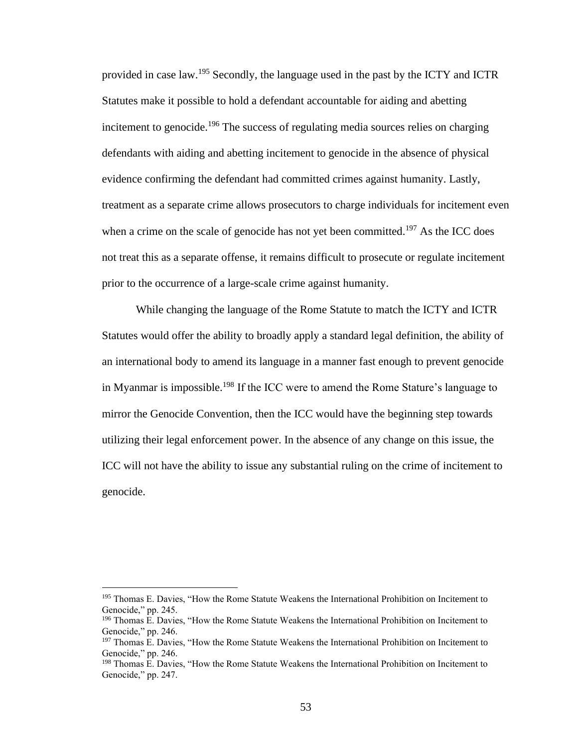provided in case law.<sup>195</sup> Secondly, the language used in the past by the ICTY and ICTR Statutes make it possible to hold a defendant accountable for aiding and abetting incitement to genocide.<sup>196</sup> The success of regulating media sources relies on charging defendants with aiding and abetting incitement to genocide in the absence of physical evidence confirming the defendant had committed crimes against humanity. Lastly, treatment as a separate crime allows prosecutors to charge individuals for incitement even when a crime on the scale of genocide has not yet been committed.<sup>197</sup> As the ICC does not treat this as a separate offense, it remains difficult to prosecute or regulate incitement prior to the occurrence of a large-scale crime against humanity.

While changing the language of the Rome Statute to match the ICTY and ICTR Statutes would offer the ability to broadly apply a standard legal definition, the ability of an international body to amend its language in a manner fast enough to prevent genocide in Myanmar is impossible.<sup>198</sup> If the ICC were to amend the Rome Stature's language to mirror the Genocide Convention, then the ICC would have the beginning step towards utilizing their legal enforcement power. In the absence of any change on this issue, the ICC will not have the ability to issue any substantial ruling on the crime of incitement to genocide.

<sup>&</sup>lt;sup>195</sup> Thomas E. Davies, "How the Rome Statute Weakens the International Prohibition on Incitement to Genocide," pp. 245.

<sup>196</sup> Thomas E. Davies, "How the Rome Statute Weakens the International Prohibition on Incitement to Genocide," pp. 246.

<sup>&</sup>lt;sup>197</sup> Thomas E. Davies, "How the Rome Statute Weakens the International Prohibition on Incitement to Genocide," pp. 246.

<sup>&</sup>lt;sup>198</sup> Thomas E. Davies, "How the Rome Statute Weakens the International Prohibition on Incitement to Genocide," pp. 247.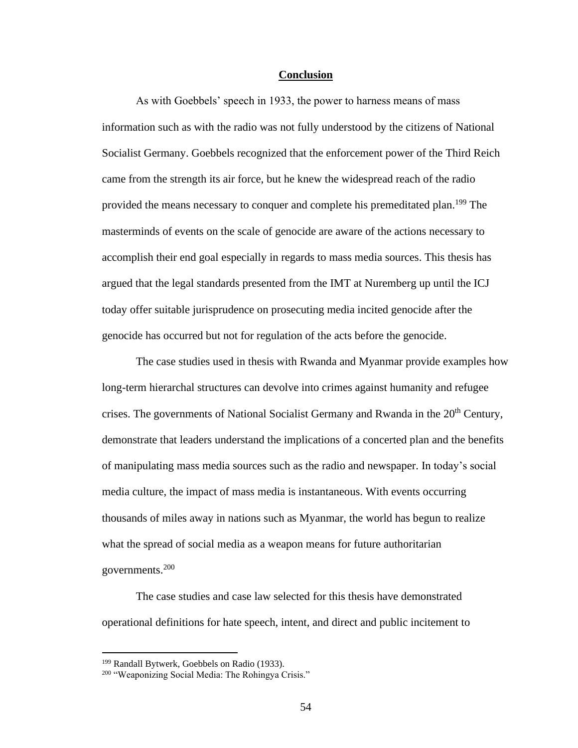#### **Conclusion**

As with Goebbels' speech in 1933, the power to harness means of mass information such as with the radio was not fully understood by the citizens of National Socialist Germany. Goebbels recognized that the enforcement power of the Third Reich came from the strength its air force, but he knew the widespread reach of the radio provided the means necessary to conquer and complete his premeditated plan.<sup>199</sup> The masterminds of events on the scale of genocide are aware of the actions necessary to accomplish their end goal especially in regards to mass media sources. This thesis has argued that the legal standards presented from the IMT at Nuremberg up until the ICJ today offer suitable jurisprudence on prosecuting media incited genocide after the genocide has occurred but not for regulation of the acts before the genocide.

The case studies used in thesis with Rwanda and Myanmar provide examples how long-term hierarchal structures can devolve into crimes against humanity and refugee crises. The governments of National Socialist Germany and Rwanda in the 20<sup>th</sup> Century, demonstrate that leaders understand the implications of a concerted plan and the benefits of manipulating mass media sources such as the radio and newspaper. In today's social media culture, the impact of mass media is instantaneous. With events occurring thousands of miles away in nations such as Myanmar, the world has begun to realize what the spread of social media as a weapon means for future authoritarian governments. 200

The case studies and case law selected for this thesis have demonstrated operational definitions for hate speech, intent, and direct and public incitement to

<sup>&</sup>lt;sup>199</sup> Randall Bytwerk, Goebbels on Radio (1933).

<sup>200</sup> "Weaponizing Social Media: The Rohingya Crisis."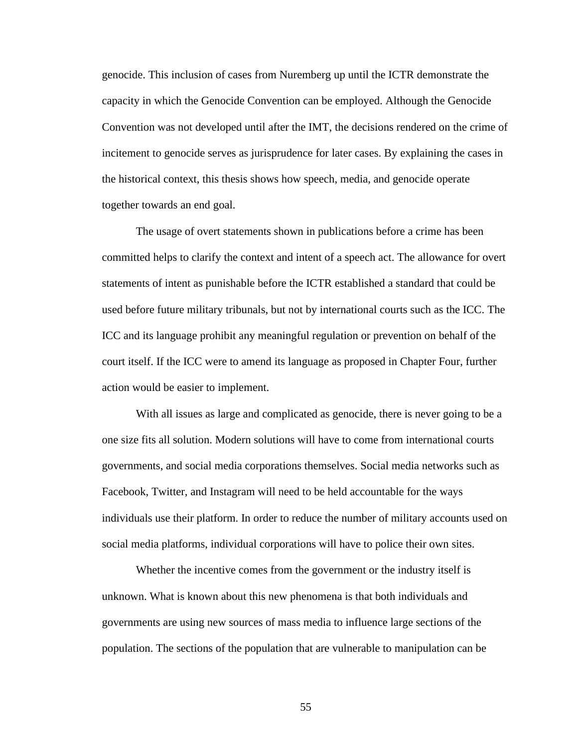genocide. This inclusion of cases from Nuremberg up until the ICTR demonstrate the capacity in which the Genocide Convention can be employed. Although the Genocide Convention was not developed until after the IMT, the decisions rendered on the crime of incitement to genocide serves as jurisprudence for later cases. By explaining the cases in the historical context, this thesis shows how speech, media, and genocide operate together towards an end goal.

The usage of overt statements shown in publications before a crime has been committed helps to clarify the context and intent of a speech act. The allowance for overt statements of intent as punishable before the ICTR established a standard that could be used before future military tribunals, but not by international courts such as the ICC. The ICC and its language prohibit any meaningful regulation or prevention on behalf of the court itself. If the ICC were to amend its language as proposed in Chapter Four, further action would be easier to implement.

With all issues as large and complicated as genocide, there is never going to be a one size fits all solution. Modern solutions will have to come from international courts governments, and social media corporations themselves. Social media networks such as Facebook, Twitter, and Instagram will need to be held accountable for the ways individuals use their platform. In order to reduce the number of military accounts used on social media platforms, individual corporations will have to police their own sites.

Whether the incentive comes from the government or the industry itself is unknown. What is known about this new phenomena is that both individuals and governments are using new sources of mass media to influence large sections of the population. The sections of the population that are vulnerable to manipulation can be

55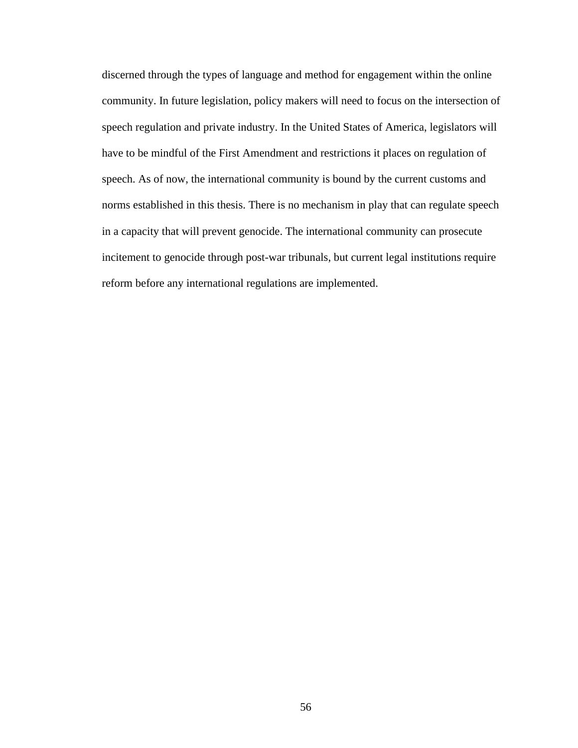discerned through the types of language and method for engagement within the online community. In future legislation, policy makers will need to focus on the intersection of speech regulation and private industry. In the United States of America, legislators will have to be mindful of the First Amendment and restrictions it places on regulation of speech. As of now, the international community is bound by the current customs and norms established in this thesis. There is no mechanism in play that can regulate speech in a capacity that will prevent genocide. The international community can prosecute incitement to genocide through post-war tribunals, but current legal institutions require reform before any international regulations are implemented.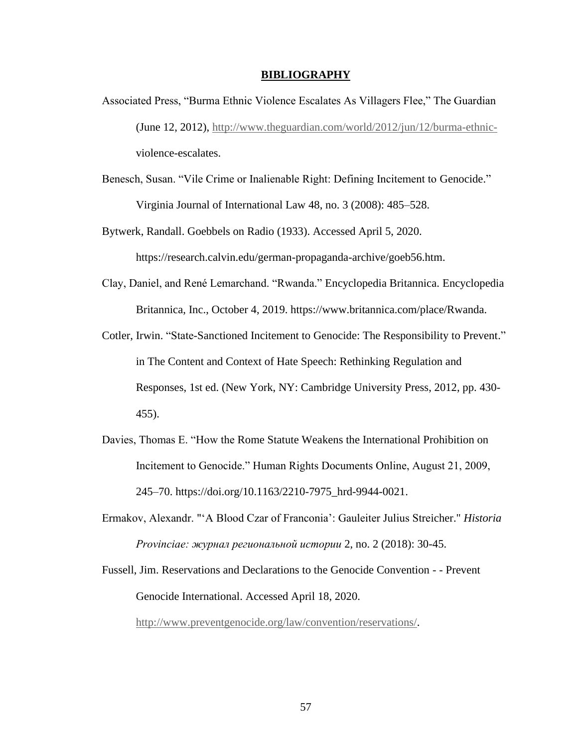#### **BIBLIOGRAPHY**

- Associated Press, "Burma Ethnic Violence Escalates As Villagers Flee," The Guardian (June 12, 2012), [http://www.theguardian.com/world/2012/jun/12/burma-ethnic](http://www.theguardian.com/world/2012/jun/12/burma-ethnic-)violence-escalates.
- Benesch, Susan. "Vile Crime or Inalienable Right: Defining Incitement to Genocide." Virginia Journal of International Law 48, no. 3 (2008): 485–528.

Bytwerk, Randall. Goebbels on Radio (1933). Accessed April 5, 2020. https://research.calvin.edu/german-propaganda-archive/goeb56.htm.

- Clay, Daniel, and René Lemarchand. "Rwanda." Encyclopedia Britannica. Encyclopedia Britannica, Inc., October 4, 2019. https://www.britannica.com/place/Rwanda.
- Cotler, Irwin. "State-Sanctioned Incitement to Genocide: The Responsibility to Prevent." in The Content and Context of Hate Speech: Rethinking Regulation and Responses, 1st ed. (New York, NY: Cambridge University Press, 2012, pp. 430- 455).
- Davies, Thomas E. "How the Rome Statute Weakens the International Prohibition on Incitement to Genocide." Human Rights Documents Online, August 21, 2009, 245–70. https://doi.org/10.1163/2210-7975\_hrd-9944-0021.
- Ermakov, Alexandr. "'A Blood Czar of Franconia': Gauleiter Julius Streicher." *Historia Provinciae: журнал региональной истории* 2, no. 2 (2018): 30-45.
- Fussell, Jim. Reservations and Declarations to the Genocide Convention - Prevent Genocide International. Accessed April 18, 2020.

[http://www.preventgenocide.org/law/convention/reservations/.](http://www.preventgenocide.org/law/convention/reservations/)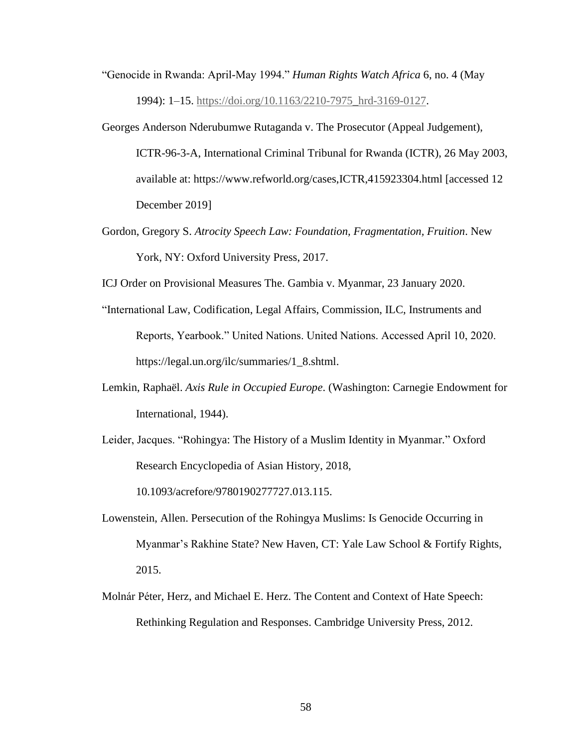- "Genocide in Rwanda: April-May 1994." *Human Rights Watch Africa* 6, no. 4 (May 1994): 1–15. [https://doi.org/10.1163/2210-7975\\_hrd-3169-0127.](https://doi.org/10.1163/2210-7975_hrd-3169-0127)
- Georges Anderson Nderubumwe Rutaganda v. The Prosecutor (Appeal Judgement), ICTR-96-3-A, International Criminal Tribunal for Rwanda (ICTR), 26 May 2003, available at: https://www.refworld.org/cases,ICTR,415923304.html [accessed 12 December 2019]
- Gordon, Gregory S. *Atrocity Speech Law: Foundation, Fragmentation, Fruition*. New York, NY: Oxford University Press, 2017.
- ICJ Order on Provisional Measures The. Gambia v. Myanmar, 23 January 2020.
- "International Law, Codification, Legal Affairs, Commission, ILC, Instruments and Reports, Yearbook." United Nations. United Nations. Accessed April 10, 2020. https://legal.un.org/ilc/summaries/1\_8.shtml.
- Lemkin, Raphaël. *Axis Rule in Occupied Europe*. (Washington: Carnegie Endowment for International, 1944).
- Leider, Jacques. "Rohingya: The History of a Muslim Identity in Myanmar." Oxford Research Encyclopedia of Asian History, 2018,

10.1093/acrefore/9780190277727.013.115.

- Lowenstein, Allen. Persecution of the Rohingya Muslims: Is Genocide Occurring in Myanmar's Rakhine State? New Haven, CT: Yale Law School & Fortify Rights, 2015.
- Molnár Péter, Herz, and Michael E. Herz. The Content and Context of Hate Speech: Rethinking Regulation and Responses. Cambridge University Press, 2012.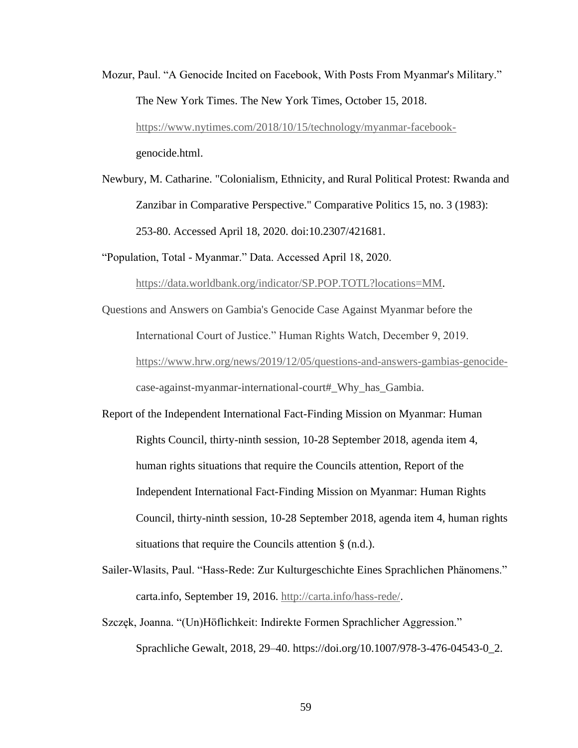- Mozur, Paul. "A Genocide Incited on Facebook, With Posts From Myanmar's Military." The New York Times. The New York Times, October 15, 2018. [https://www.nytimes.com/2018/10/15/technology/myanmar-facebook](https://www.nytimes.com/2018/10/15/technology/myanmar-facebook-)genocide.html.
- Newbury, M. Catharine. "Colonialism, Ethnicity, and Rural Political Protest: Rwanda and Zanzibar in Comparative Perspective." Comparative Politics 15, no. 3 (1983): 253-80. Accessed April 18, 2020. doi:10.2307/421681.

"Population, Total - Myanmar." Data. Accessed April 18, 2020.

[https://data.worldbank.org/indicator/SP.POP.TOTL?locations=MM.](https://data.worldbank.org/indicator/SP.POP.TOTL?locations=MM)

- Questions and Answers on Gambia's Genocide Case Against Myanmar before the International Court of Justice." Human Rights Watch, December 9, 2019. [https://www.hrw.org/news/2019/12/05/questions-and-answers-gambias-genocide](https://www.hrw.org/news/2019/12/05/questions-and-answers-gambias-genocide-)case-against-myanmar-international-court#\_Why\_has\_Gambia.
- Report of the Independent International Fact-Finding Mission on Myanmar: Human Rights Council, thirty-ninth session, 10-28 September 2018, agenda item 4, human rights situations that require the Councils attention, Report of the Independent International Fact-Finding Mission on Myanmar: Human Rights Council, thirty-ninth session, 10-28 September 2018, agenda item 4, human rights situations that require the Councils attention § (n.d.).
- Sailer-Wlasits, Paul. "Hass-Rede: Zur Kulturgeschichte Eines Sprachlichen Phänomens." carta.info, September 19, 2016. [http://carta.info/hass-rede/.](http://carta.info/hass-rede/)
- Szczęk, Joanna. "(Un)Höflichkeit: Indirekte Formen Sprachlicher Aggression." Sprachliche Gewalt, 2018, 29–40. https://doi.org/10.1007/978-3-476-04543-0\_2.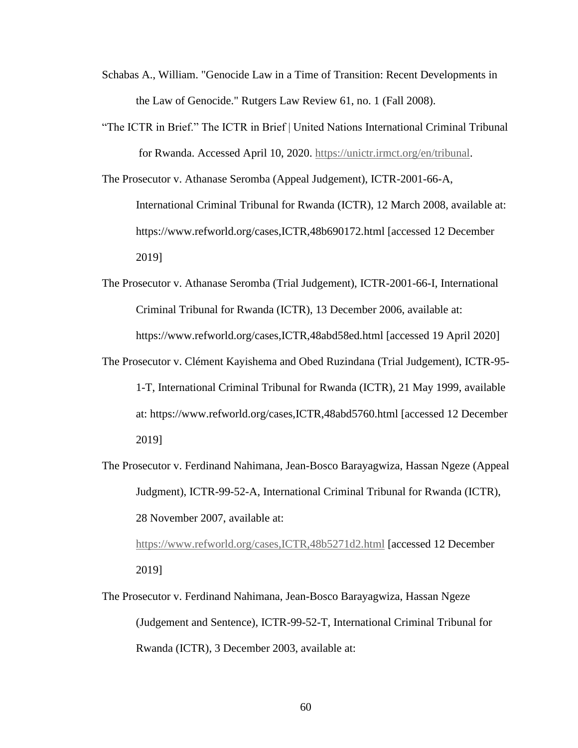- Schabas A., William. "Genocide Law in a Time of Transition: Recent Developments in the Law of Genocide." Rutgers Law Review 61, no. 1 (Fall 2008).
- "The ICTR in Brief." The ICTR in Brief | United Nations International Criminal Tribunal for Rwanda. Accessed April 10, 2020. [https://unictr.irmct.org/en/tribunal.](https://unictr.irmct.org/en/tribunal)
- The Prosecutor v. Athanase Seromba (Appeal Judgement), ICTR-2001-66-A, International Criminal Tribunal for Rwanda (ICTR), 12 March 2008, available at: https://www.refworld.org/cases,ICTR,48b690172.html [accessed 12 December 2019]
- The Prosecutor v. Athanase Seromba (Trial Judgement), ICTR-2001-66-I, International Criminal Tribunal for Rwanda (ICTR), 13 December 2006, available at: https://www.refworld.org/cases,ICTR,48abd58ed.html [accessed 19 April 2020]
- The Prosecutor v. Clément Kayishema and Obed Ruzindana (Trial Judgement), ICTR-95- 1-T, International Criminal Tribunal for Rwanda (ICTR), 21 May 1999, available at: https://www.refworld.org/cases,ICTR,48abd5760.html [accessed 12 December 2019]
- The Prosecutor v. Ferdinand Nahimana, Jean-Bosco Barayagwiza, Hassan Ngeze (Appeal Judgment), ICTR-99-52-A, International Criminal Tribunal for Rwanda (ICTR), 28 November 2007, available at:

<https://www.refworld.org/cases,ICTR,48b5271d2.html> [accessed 12 December 2019]

The Prosecutor v. Ferdinand Nahimana, Jean-Bosco Barayagwiza, Hassan Ngeze (Judgement and Sentence), ICTR-99-52-T, International Criminal Tribunal for Rwanda (ICTR), 3 December 2003, available at: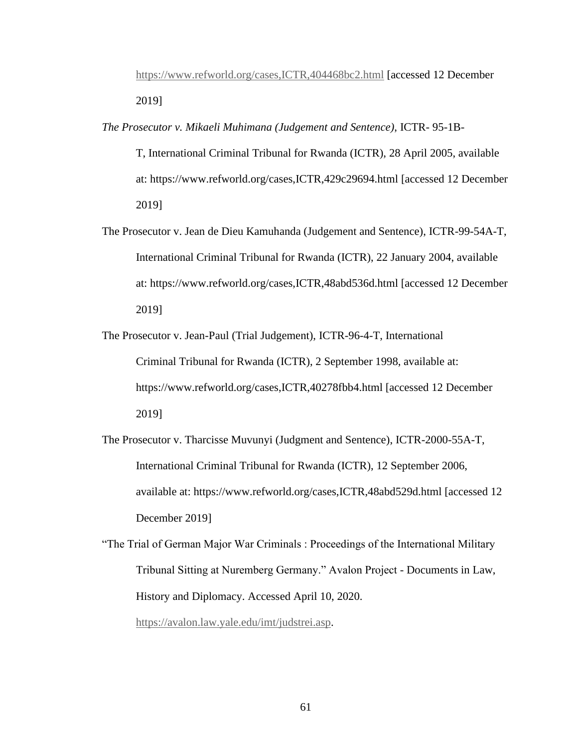<https://www.refworld.org/cases,ICTR,404468bc2.html> [accessed 12 December 2019]

*The Prosecutor v. Mikaeli Muhimana (Judgement and Sentence)*, ICTR- 95-1B-

T, International Criminal Tribunal for Rwanda (ICTR), 28 April 2005, available at: https://www.refworld.org/cases,ICTR,429c29694.html [accessed 12 December 2019]

The Prosecutor v. Jean de Dieu Kamuhanda (Judgement and Sentence), ICTR-99-54A-T, International Criminal Tribunal for Rwanda (ICTR), 22 January 2004, available at: https://www.refworld.org/cases,ICTR,48abd536d.html [accessed 12 December 2019]

The Prosecutor v. Jean-Paul (Trial Judgement), ICTR-96-4-T, International Criminal Tribunal for Rwanda (ICTR), 2 September 1998, available at: https://www.refworld.org/cases,ICTR,40278fbb4.html [accessed 12 December 2019]

The Prosecutor v. Tharcisse Muvunyi (Judgment and Sentence), ICTR-2000-55A-T, International Criminal Tribunal for Rwanda (ICTR), 12 September 2006, available at: https://www.refworld.org/cases,ICTR,48abd529d.html [accessed 12 December 2019]

"The Trial of German Major War Criminals : Proceedings of the International Military Tribunal Sitting at Nuremberg Germany." Avalon Project - Documents in Law, History and Diplomacy. Accessed April 10, 2020.

[https://avalon.law.yale.edu/imt/judstrei.asp.](https://avalon.law.yale.edu/imt/judstrei.asp)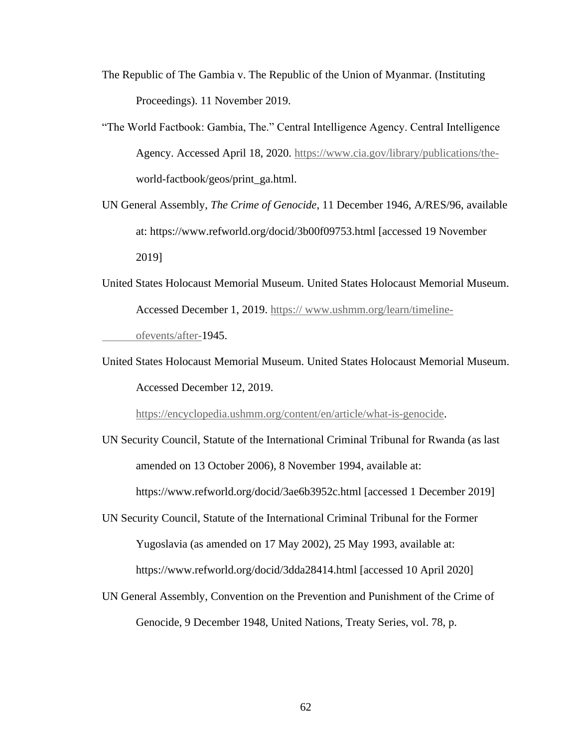- The Republic of The Gambia v. The Republic of the Union of Myanmar. (Instituting Proceedings). 11 November 2019.
- "The World Factbook: Gambia, The." Central Intelligence Agency. Central Intelligence Agency. Accessed April 18, 2020. [https://www.cia.gov/library/publications/the](https://www.cia.gov/library/publications/the-)world-factbook/geos/print\_ga.html.
- UN General Assembly, *The Crime of Genocide*, 11 December 1946, A/RES/96, available at: https://www.refworld.org/docid/3b00f09753.html [accessed 19 November 2019]
- United States Holocaust Memorial Museum. United States Holocaust Memorial Museum. Accessed December 1, 2019. https:// www.ushmm.org/learn/timeline-

ofevents/after-1945.

United States Holocaust Memorial Museum. United States Holocaust Memorial Museum. Accessed December 12, 2019.

[https://encyclopedia.ushmm.org/content/en/article/what-is-genocide.](https://encyclopedia.ushmm.org/content/en/article/what-is-genocide)

- UN Security Council, Statute of the International Criminal Tribunal for Rwanda (as last amended on 13 October 2006), 8 November 1994, available at: https://www.refworld.org/docid/3ae6b3952c.html [accessed 1 December 2019]
- UN Security Council, Statute of the International Criminal Tribunal for the Former Yugoslavia (as amended on 17 May 2002), 25 May 1993, available at: https://www.refworld.org/docid/3dda28414.html [accessed 10 April 2020]
- UN General Assembly, Convention on the Prevention and Punishment of the Crime of Genocide, 9 December 1948, United Nations, Treaty Series, vol. 78, p.